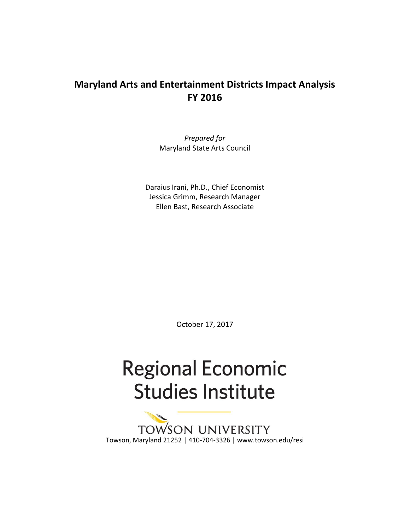# **Maryland Arts and Entertainment Districts Impact Analysis FY 2016**

*Prepared for* Maryland State Arts Council

Daraius Irani, Ph.D., Chief Economist Jessica Grimm, Research Manager Ellen Bast, Research Associate

October 17, 2017

# **Regional Economic Studies Institute**

SON UNIVERSITY **TOW** Towson, Maryland 21252 | 410-704-3326 | www.towson.edu/resi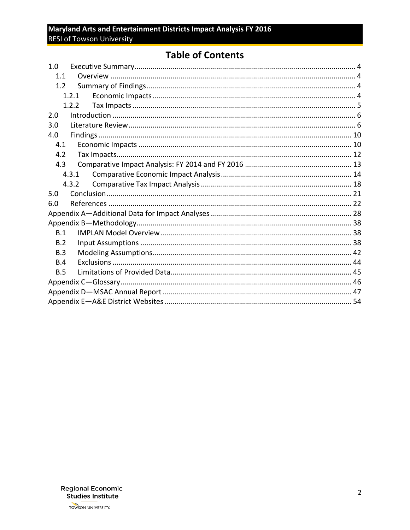# **Table of Contents**

| 1.0   |  |  |
|-------|--|--|
| 1.1   |  |  |
| 1.2   |  |  |
| 1.2.1 |  |  |
| 1.2.2 |  |  |
| 2.0   |  |  |
| 3.0   |  |  |
| 4.0   |  |  |
| 4.1   |  |  |
| 4.2   |  |  |
| 4.3   |  |  |
| 4.3.1 |  |  |
| 4.3.2 |  |  |
| 5.0   |  |  |
| 6.0   |  |  |
|       |  |  |
|       |  |  |
| B.1   |  |  |
| B.2   |  |  |
| B.3   |  |  |
| B.4   |  |  |
| B.5   |  |  |
|       |  |  |
|       |  |  |
|       |  |  |

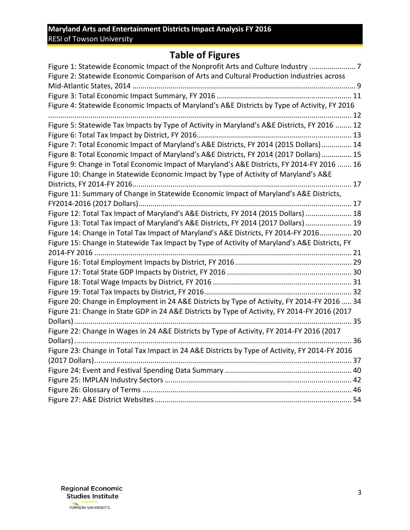# **Table of Figures**

| Figure 1: Statewide Economic Impact of the Nonprofit Arts and Culture Industry  7<br>Figure 2: Statewide Economic Comparison of Arts and Cultural Production Industries across |
|--------------------------------------------------------------------------------------------------------------------------------------------------------------------------------|
|                                                                                                                                                                                |
|                                                                                                                                                                                |
| Figure 4: Statewide Economic Impacts of Maryland's A&E Districts by Type of Activity, FY 2016                                                                                  |
|                                                                                                                                                                                |
| Figure 5: Statewide Tax Impacts by Type of Activity in Maryland's A&E Districts, FY 2016  12                                                                                   |
|                                                                                                                                                                                |
| Figure 7: Total Economic Impact of Maryland's A&E Districts, FY 2014 (2015 Dollars) 14                                                                                         |
| Figure 8: Total Economic Impact of Maryland's A&E Districts, FY 2014 (2017 Dollars) 15                                                                                         |
| Figure 9: Change in Total Economic Impact of Maryland's A&E Districts, FY 2014-FY 2016  16                                                                                     |
| Figure 10: Change in Statewide Economic Impact by Type of Activity of Maryland's A&E                                                                                           |
|                                                                                                                                                                                |
| Figure 11: Summary of Change in Statewide Economic Impact of Maryland's A&E Districts,                                                                                         |
|                                                                                                                                                                                |
| Figure 12: Total Tax Impact of Maryland's A&E Districts, FY 2014 (2015 Dollars)  18                                                                                            |
| Figure 13: Total Tax Impact of Maryland's A&E Districts, FY 2014 (2017 Dollars) 19                                                                                             |
| Figure 14: Change in Total Tax Impact of Maryland's A&E Districts, FY 2014-FY 2016 20                                                                                          |
| Figure 15: Change in Statewide Tax Impact by Type of Activity of Maryland's A&E Districts, FY                                                                                  |
|                                                                                                                                                                                |
|                                                                                                                                                                                |
|                                                                                                                                                                                |
|                                                                                                                                                                                |
|                                                                                                                                                                                |
| Figure 20: Change in Employment in 24 A&E Districts by Type of Activity, FY 2014-FY 2016  34                                                                                   |
| Figure 21: Change in State GDP in 24 A&E Districts by Type of Activity, FY 2014-FY 2016 (2017                                                                                  |
|                                                                                                                                                                                |
| Figure 22: Change in Wages in 24 A&E Districts by Type of Activity, FY 2014-FY 2016 (2017                                                                                      |
|                                                                                                                                                                                |
| Figure 23: Change in Total Tax Impact in 24 A&E Districts by Type of Activity, FY 2014-FY 2016                                                                                 |
|                                                                                                                                                                                |
|                                                                                                                                                                                |
|                                                                                                                                                                                |
|                                                                                                                                                                                |
|                                                                                                                                                                                |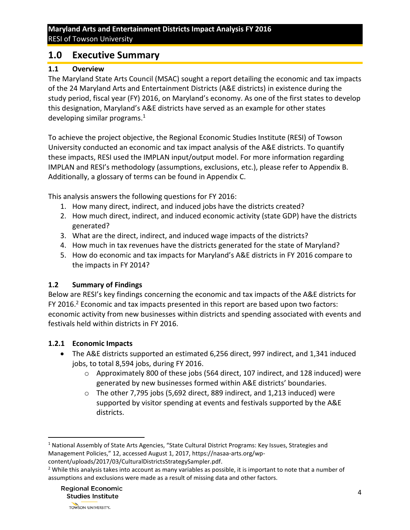# <span id="page-3-0"></span>**1.0 Executive Summary**

#### <span id="page-3-1"></span>**1.1 Overview**

The Maryland State Arts Council (MSAC) sought a report detailing the economic and tax impacts of the 24 Maryland Arts and Entertainment Districts (A&E districts) in existence during the study period, fiscal year (FY) 2016, on Maryland's economy. As one of the first states to develop this designation, Maryland's A&E districts have served as an example for other states developing similar programs.<sup>1</sup>

To achieve the project objective, the Regional Economic Studies Institute (RESI) of Towson University conducted an economic and tax impact analysis of the A&E districts. To quantify these impacts, RESI used the IMPLAN input/output model. For more information regarding IMPLAN and RESI's methodology (assumptions, exclusions, etc.), please refer to Appendix B. Additionally, a glossary of terms can be found in Appendix C.

This analysis answers the following questions for FY 2016:

- 1. How many direct, indirect, and induced jobs have the districts created?
- 2. How much direct, indirect, and induced economic activity (state GDP) have the districts generated?
- 3. What are the direct, indirect, and induced wage impacts of the districts?
- 4. How much in tax revenues have the districts generated for the state of Maryland?
- 5. How do economic and tax impacts for Maryland's A&E districts in FY 2016 compare to the impacts in FY 2014?

### <span id="page-3-2"></span>**1.2 Summary of Findings**

Below are RESI's key findings concerning the economic and tax impacts of the A&E districts for FY 2016.<sup>2</sup> Economic and tax impacts presented in this report are based upon two factors: economic activity from new businesses within districts and spending associated with events and festivals held within districts in FY 2016.

#### <span id="page-3-3"></span>**1.2.1 Economic Impacts**

- The A&E districts supported an estimated 6,256 direct, 997 indirect, and 1,341 induced jobs, to total 8,594 jobs, during FY 2016.
	- o Approximately 800 of these jobs (564 direct, 107 indirect, and 128 induced) were generated by new businesses formed within A&E districts' boundaries.
	- $\circ$  The other 7,795 jobs (5,692 direct, 889 indirect, and 1,213 induced) were supported by visitor spending at events and festivals supported by the A&E districts.

 $\overline{\phantom{a}}$ 

<sup>&</sup>lt;sup>1</sup> National Assembly of State Arts Agencies, "State Cultural District Programs: Key Issues, Strategies and Management Policies," 12, accessed August 1, 2017, https://nasaa-arts.org/wpcontent/uploads/2017/03/CulturalDistrictsStrategySampler.pdf.

<sup>&</sup>lt;sup>2</sup> While this analysis takes into account as many variables as possible, it is important to note that a number of assumptions and exclusions were made as a result of missing data and other factors.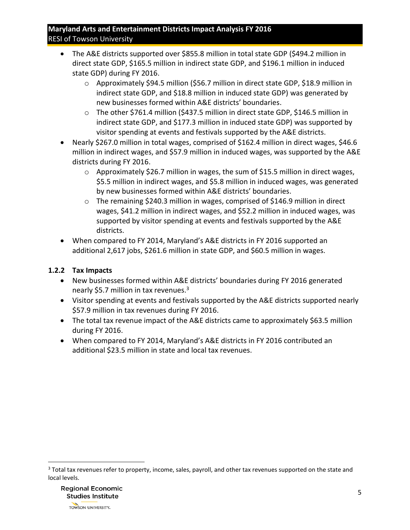- The A&E districts supported over \$855.8 million in total state GDP (\$494.2 million in direct state GDP, \$165.5 million in indirect state GDP, and \$196.1 million in induced state GDP) during FY 2016.
	- o Approximately \$94.5 million (\$56.7 million in direct state GDP, \$18.9 million in indirect state GDP, and \$18.8 million in induced state GDP) was generated by new businesses formed within A&E districts' boundaries.
	- o The other \$761.4 million (\$437.5 million in direct state GDP, \$146.5 million in indirect state GDP, and \$177.3 million in induced state GDP) was supported by visitor spending at events and festivals supported by the A&E districts.
- Nearly \$267.0 million in total wages, comprised of \$162.4 million in direct wages, \$46.6 million in indirect wages, and \$57.9 million in induced wages, was supported by the A&E districts during FY 2016.
	- o Approximately \$26.7 million in wages, the sum of \$15.5 million in direct wages, \$5.5 million in indirect wages, and \$5.8 million in induced wages, was generated by new businesses formed within A&E districts' boundaries.
	- o The remaining \$240.3 million in wages, comprised of \$146.9 million in direct wages, \$41.2 million in indirect wages, and \$52.2 million in induced wages, was supported by visitor spending at events and festivals supported by the A&E districts.
- When compared to FY 2014, Maryland's A&E districts in FY 2016 supported an additional 2,617 jobs, \$261.6 million in state GDP, and \$60.5 million in wages.

# <span id="page-4-0"></span>**1.2.2 Tax Impacts**

- New businesses formed within A&E districts' boundaries during FY 2016 generated nearly \$5.7 million in tax revenues. $3$
- Visitor spending at events and festivals supported by the A&E districts supported nearly \$57.9 million in tax revenues during FY 2016.
- The total tax revenue impact of the A&E districts came to approximately \$63.5 million during FY 2016.
- When compared to FY 2014, Maryland's A&E districts in FY 2016 contributed an additional \$23.5 million in state and local tax revenues.

 $\overline{\phantom{a}}$ 

<sup>&</sup>lt;sup>3</sup> Total tax revenues refer to property, income, sales, payroll, and other tax revenues supported on the state and local levels.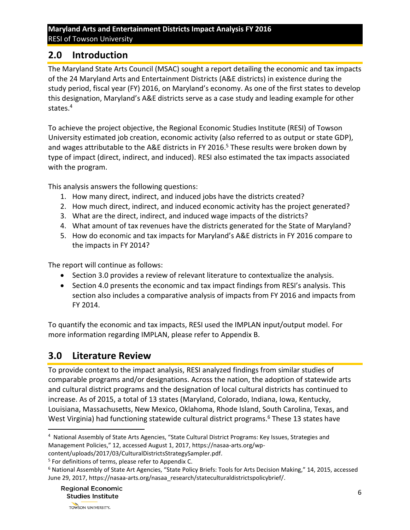# <span id="page-5-0"></span>**2.0 Introduction**

The Maryland State Arts Council (MSAC) sought a report detailing the economic and tax impacts of the 24 Maryland Arts and Entertainment Districts (A&E districts) in existence during the study period, fiscal year (FY) 2016, on Maryland's economy. As one of the first states to develop this designation, Maryland's A&E districts serve as a case study and leading example for other states.<sup>4</sup>

To achieve the project objective, the Regional Economic Studies Institute (RESI) of Towson University estimated job creation, economic activity (also referred to as output or state GDP), and wages attributable to the A&E districts in FY 2016. <sup>5</sup> These results were broken down by type of impact (direct, indirect, and induced). RESI also estimated the tax impacts associated with the program.

This analysis answers the following questions:

- 1. How many direct, indirect, and induced jobs have the districts created?
- 2. How much direct, indirect, and induced economic activity has the project generated?
- 3. What are the direct, indirect, and induced wage impacts of the districts?
- 4. What amount of tax revenues have the districts generated for the State of Maryland?
- 5. How do economic and tax impacts for Maryland's A&E districts in FY 2016 compare to the impacts in FY 2014?

The report will continue as follows:

- Section 3.0 provides a review of relevant literature to contextualize the analysis.
- Section 4.0 presents the economic and tax impact findings from RESI's analysis. This section also includes a comparative analysis of impacts from FY 2016 and impacts from FY 2014.

To quantify the economic and tax impacts, RESI used the IMPLAN input/output model. For more information regarding IMPLAN, please refer to Appendix B.

# <span id="page-5-1"></span>**3.0 Literature Review**

To provide context to the impact analysis, RESI analyzed findings from similar studies of comparable programs and/or designations. Across the nation, the adoption of statewide arts and cultural district programs and the designation of local cultural districts has continued to increase. As of 2015, a total of 13 states (Maryland, Colorado, Indiana, Iowa, Kentucky, Louisiana, Massachusetts, New Mexico, Oklahoma, Rhode Island, South Carolina, Texas, and West Virginia) had functioning statewide cultural district programs.<sup>6</sup> These 13 states have

l <sup>4</sup> National Assembly of State Arts Agencies, "State Cultural District Programs: Key Issues, Strategies and Management Policies," 12, accessed August 1, 2017, https://nasaa-arts.org/wp-

content/uploads/2017/03/CulturalDistrictsStrategySampler.pdf.

<sup>&</sup>lt;sup>5</sup> For definitions of terms, please refer to Appendix C.

<sup>&</sup>lt;sup>6</sup> National Assembly of State Art Agencies, "State Policy Briefs: Tools for Arts Decision Making," 14, 2015, accessed June 29, 2017, https://nasaa-arts.org/nasaa\_research/stateculturaldistrictspolicybrief/.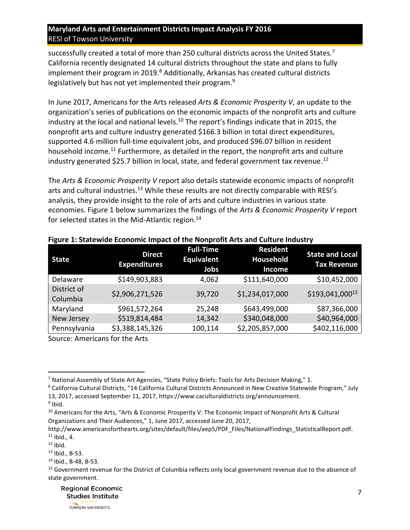successfully created a total of more than 250 cultural districts across the United States.<sup>7</sup> California recently designated 14 cultural districts throughout the state and plans to fully implement their program in 2019. $8$  Additionally, Arkansas has created cultural districts legislatively but has not yet implemented their program.<sup>9</sup>

In June 2017, Americans for the Arts released *Arts & Economic Prosperity V*, an update to the organization's series of publications on the economic impacts of the nonprofit arts and culture industry at the local and national levels.<sup>10</sup> The report's findings indicate that in 2015, the nonprofit arts and culture industry generated \$166.3 billion in total direct expenditures, supported 4.6 million full-time equivalent jobs, and produced \$96.07 billion in resident household income.<sup>11</sup> Furthermore, as detailed in the report, the nonprofit arts and culture industry generated \$25.7 billion in local, state, and federal government tax revenue.<sup>12</sup>

The *Arts & Economic Prosperity V* report also details statewide economic impacts of nonprofit arts and cultural industries.<sup>13</sup> While these results are not directly comparable with RESI's analysis, they provide insight to the role of arts and culture industries in various state economies. [Figure 1](#page-6-0) below summarizes the findings of the *Arts & Economic Prosperity V* report for selected states in the Mid-Atlantic region.<sup>14</sup>

| <b>State</b>            | <b>Direct</b><br><b>Expenditures</b> | <b>Full-Time</b><br><b>Equivalent</b><br>Jobs | <b>Resident</b><br>Household<br>Income | <b>State and Local</b><br><b>Tax Revenue</b> |
|-------------------------|--------------------------------------|-----------------------------------------------|----------------------------------------|----------------------------------------------|
| Delaware                | \$149,903,883                        | 4,062                                         | \$111,640,000                          | \$10,452,000                                 |
| District of<br>Columbia | \$2,906,271,526                      | 39,720                                        | \$1,234,017,000                        | \$193,041,00015                              |
| Maryland                | \$961,572,264                        | 25,248                                        | \$643,499,000                          | \$87,366,000                                 |
| New Jersey              | \$519,814,484                        | 14,342                                        | \$340,048,000                          | \$40,964,000                                 |
| Pennsylvania            | \$3,388,145,326                      | 100,114                                       | \$2,205,857,000                        | \$402,116,000                                |

#### <span id="page-6-0"></span>**Figure 1: Statewide Economic Impact of the Nonprofit Arts and Culture Industry**

Source: Americans for the Arts

<sup>9</sup> Ibid.

 $\overline{\phantom{a}}$ 

<sup>10</sup> Americans for the Arts, "Arts & Economic Prosperity V: The Economic Impact of Nonprofit Arts & Cultural Organizations and Their Audiences," 1, June 2017, accessed June 20, 2017,

<sup>7</sup> National Assembly of State Art Agencies, "State Policy Briefs: Tools for Arts Decision Making," 1.

<sup>8</sup> California Cultural Districts, "14 California Cultural Districts Announced in New Creative Statewide Program," July 13, 2017, accessed September 11, 2017, https://www.caculturaldistricts.org/announcement.

http://www.americansforthearts.org/sites/default/files/aep5/PDF\_Files/NationalFindings\_StatisticalReport.pdf.  $11$  Ibid., 4.

 $12$  Ibid.

<sup>13</sup> Ibid., B-53.

<sup>14</sup> Ibid., B-48, B-53.

<sup>&</sup>lt;sup>15</sup> Government revenue for the District of Columbia reflects only local government revenue due to the absence of state government.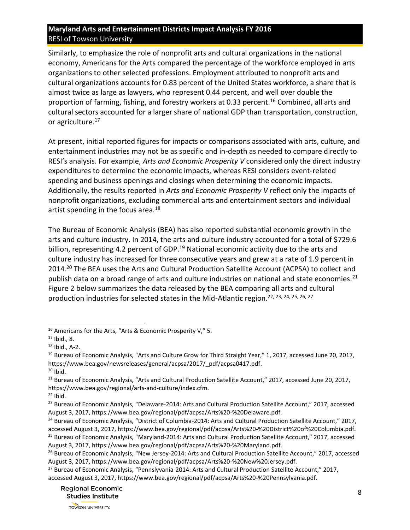Similarly, to emphasize the role of nonprofit arts and cultural organizations in the national economy, Americans for the Arts compared the percentage of the workforce employed in arts organizations to other selected professions. Employment attributed to nonprofit arts and cultural organizations accounts for 0.83 percent of the United States workforce, a share that is almost twice as large as lawyers, who represent 0.44 percent, and well over double the proportion of farming, fishing, and forestry workers at 0.33 percent.<sup>16</sup> Combined, all arts and cultural sectors accounted for a larger share of national GDP than transportation, construction, or agriculture.<sup>17</sup>

At present, initial reported figures for impacts or comparisons associated with arts, culture, and entertainment industries may not be as specific and in-depth as needed to compare directly to RESI's analysis. For example, *Arts and Economic Prosperity V* considered only the direct industry expenditures to determine the economic impacts, whereas RESI considers event-related spending and business openings and closings when determining the economic impacts. Additionally, the results reported in *Arts and Economic Prosperity V* reflect only the impacts of nonprofit organizations, excluding commercial arts and entertainment sectors and individual artist spending in the focus area.<sup>18</sup>

The Bureau of Economic Analysis (BEA) has also reported substantial economic growth in the arts and culture industry. In 2014, the arts and culture industry accounted for a total of \$729.6 billion, representing 4.2 percent of GDP.<sup>19</sup> National economic activity due to the arts and culture industry has increased for three consecutive years and grew at a rate of 1.9 percent in 2014.<sup>20</sup> The BEA uses the Arts and Cultural Production Satellite Account (ACPSA) to collect and publish data on a broad range of arts and culture industries on national and state economies.<sup>21</sup> [Figure](#page-7-0) 2 below summarizes the data released by the BEA comparing all arts and cultural production industries for selected states in the Mid-Atlantic region.22, 23, 24, 25, 26, 27

<span id="page-7-0"></span> $\overline{\phantom{a}}$ 

<sup>&</sup>lt;sup>16</sup> Americans for the Arts, "Arts & Economic Prosperity V," 5.

<sup>17</sup> Ibid., 8.

 $18$  Ibid., A-2.

<sup>&</sup>lt;sup>19</sup> Bureau of Economic Analysis, "Arts and Culture Grow for Third Straight Year," 1, 2017, accessed June 20, 2017, https://www.bea.gov/newsreleases/general/acpsa/2017/\_pdf/acpsa0417.pdf.  $20$  Ibid.

<sup>&</sup>lt;sup>21</sup> Bureau of Economic Analysis, "Arts and Cultural Production Satellite Account," 2017, accessed June 20, 2017, https://www.bea.gov/regional/arts-and-culture/index.cfm.

 $22$  Ibid.

<sup>&</sup>lt;sup>23</sup> Bureau of Economic Analysis, "Delaware-2014: Arts and Cultural Production Satellite Account," 2017, accessed August 3, 2017, https://www.bea.gov/regional/pdf/acpsa/Arts%20-%20Delaware.pdf.

<sup>&</sup>lt;sup>24</sup> Bureau of Economic Analysis, "District of Columbia-2014: Arts and Cultural Production Satellite Account," 2017, accessed August 3, 2017, https://www.bea.gov/regional/pdf/acpsa/Arts%20-%20District%20of%20Columbia.pdf. <sup>25</sup> Bureau of Economic Analysis, "Maryland-2014: Arts and Cultural Production Satellite Account," 2017, accessed August 3, 2017, https://www.bea.gov/regional/pdf/acpsa/Arts%20-%20Maryland.pdf.

<sup>&</sup>lt;sup>26</sup> Bureau of Economic Analysis, "New Jersey-2014: Arts and Cultural Production Satellite Account," 2017, accessed August 3, 2017, https://www.bea.gov/regional/pdf/acpsa/Arts%20-%20New%20Jersey.pdf.

<sup>&</sup>lt;sup>27</sup> Bureau of Economic Analysis, "Pennslyvania-2014: Arts and Cultural Production Satellite Account," 2017, accessed August 3, 2017, https://www.bea.gov/regional/pdf/acpsa/Arts%20-%20Pennsylvania.pdf.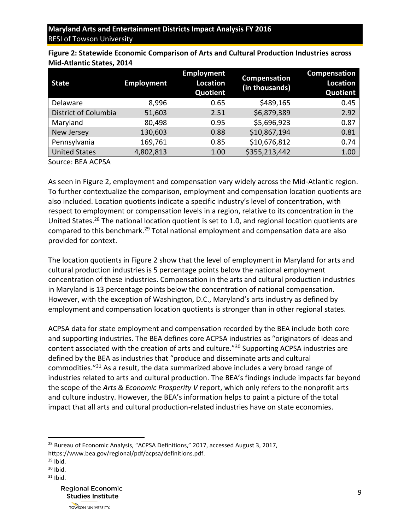| <b>Employment</b> | <b>Employment</b><br>Location<br>Quotient | Compensation<br>(in thousands) | Compensation<br><b>Location</b><br>Quotient |
|-------------------|-------------------------------------------|--------------------------------|---------------------------------------------|
| 8,996             | 0.65                                      | \$489,165                      | 0.45                                        |
| 51,603            | 2.51                                      | \$6,879,389                    | 2.92                                        |
| 80,498            | 0.95                                      | \$5,696,923                    | 0.87                                        |
| 130,603           | 0.88                                      | \$10,867,194                   | 0.81                                        |
| 169,761           | 0.85                                      | \$10,676,812                   | 0.74                                        |
| 4,802,813         | 1.00                                      | \$355,213,442                  | 1.00                                        |
|                   |                                           |                                |                                             |

<span id="page-8-0"></span>**Figure 2: Statewide Economic Comparison of Arts and Cultural Production Industries across Mid-Atlantic States, 2014**

Source: BEA ACPSA

As seen in [Figure 2,](#page-7-0) employment and compensation vary widely across the Mid-Atlantic region. To further contextualize the comparison, employment and compensation location quotients are also included. Location quotients indicate a specific industry's level of concentration, with respect to employment or compensation levels in a region, relative to its concentration in the United States.<sup>28</sup> The national location quotient is set to 1.0, and regional location quotients are compared to this benchmark.<sup>29</sup> Total national employment and compensation data are also provided for context.

The location quotients in [Figure 2](#page-7-0) show that the level of employment in Maryland for arts and cultural production industries is 5 percentage points below the national employment concentration of these industries. Compensation in the arts and cultural production industries in Maryland is 13 percentage points below the concentration of national compensation. However, with the exception of Washington, D.C., Maryland's arts industry as defined by employment and compensation location quotients is stronger than in other regional states.

ACPSA data for state employment and compensation recorded by the BEA include both core and supporting industries. The BEA defines core ACPSA industries as "originators of ideas and content associated with the creation of arts and culture."<sup>30</sup> Supporting ACPSA industries are defined by the BEA as industries that "produce and disseminate arts and cultural commodities."<sup>31</sup> As a result, the data summarized above includes a very broad range of industries related to arts and cultural production. The BEA's findings include impacts far beyond the scope of the *Arts & Economic Prosperity V* report, which only refers to the nonprofit arts and culture industry. However, the BEA's information helps to paint a picture of the total impact that all arts and cultural production-related industries have on state economies.

<sup>28</sup> Bureau of Economic Analysis, "ACPSA Definitions," 2017, accessed August 3, 2017, https://www.bea.gov/regional/pdf/acpsa/definitions.pdf.

 $\overline{\phantom{a}}$ 

 $30$  Ibid.

 $29$  Ibid.

 $31$  Ibid.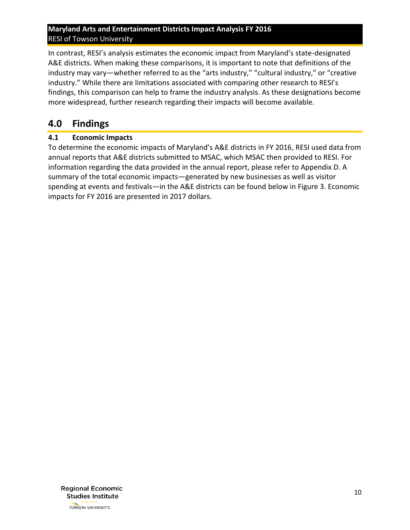In contrast, RESI's analysis estimates the economic impact from Maryland's state-designated A&E districts. When making these comparisons, it is important to note that definitions of the industry may vary—whether referred to as the "arts industry," "cultural industry," or "creative industry." While there are limitations associated with comparing other research to RESI's findings, this comparison can help to frame the industry analysis. As these designations become more widespread, further research regarding their impacts will become available.

# <span id="page-9-0"></span>**4.0 Findings**

#### <span id="page-9-1"></span>**4.1 Economic Impacts**

<span id="page-9-2"></span>To determine the economic impacts of Maryland's A&E districts in FY 2016, RESI used data from annual reports that A&E districts submitted to MSAC, which MSAC then provided to RESI. For information regarding the data provided in the annual report, please refer to Appendix D. A summary of the total economic impacts—generated by new businesses as well as visitor spending at events and festivals—in the A&E districts can be found below in [Figure 3.](#page-9-2) Economic impacts for FY 2016 are presented in 2017 dollars.

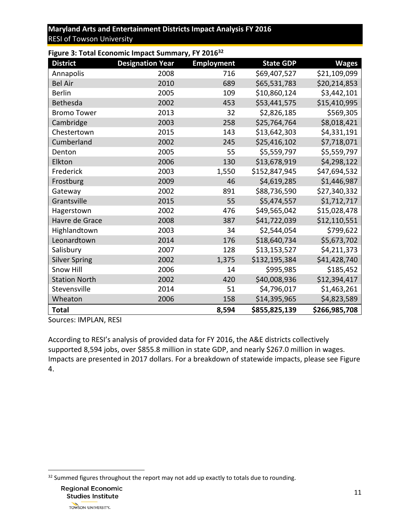| Figure 3: Total Economic Impact Summary, FY 201632 |                         |                   |                  |               |  |  |  |  |
|----------------------------------------------------|-------------------------|-------------------|------------------|---------------|--|--|--|--|
| <b>District</b>                                    | <b>Designation Year</b> | <b>Employment</b> | <b>State GDP</b> | <b>Wages</b>  |  |  |  |  |
| Annapolis                                          | 2008                    | 716               | \$69,407,527     | \$21,109,099  |  |  |  |  |
| <b>Bel Air</b>                                     | 2010                    | 689               | \$65,531,783     | \$20,214,853  |  |  |  |  |
| <b>Berlin</b>                                      | 2005                    | 109               | \$10,860,124     | \$3,442,101   |  |  |  |  |
| Bethesda                                           | 2002                    | 453               | \$53,441,575     | \$15,410,995  |  |  |  |  |
| <b>Bromo Tower</b>                                 | 2013                    | 32                | \$2,826,185      | \$569,305     |  |  |  |  |
| Cambridge                                          | 2003                    | 258               | \$25,764,764     | \$8,018,421   |  |  |  |  |
| Chestertown                                        | 2015                    | 143               | \$13,642,303     | \$4,331,191   |  |  |  |  |
| Cumberland                                         | 2002                    | 245               | \$25,416,102     | \$7,718,071   |  |  |  |  |
| Denton                                             | 2005                    | 55                | \$5,559,797      | \$5,559,797   |  |  |  |  |
| Elkton                                             | 2006                    | 130               | \$13,678,919     | \$4,298,122   |  |  |  |  |
| Frederick                                          | 2003                    | 1,550             | \$152,847,945    | \$47,694,532  |  |  |  |  |
| Frostburg                                          | 2009                    | 46                | \$4,619,285      | \$1,446,987   |  |  |  |  |
| Gateway                                            | 2002                    | 891               | \$88,736,590     | \$27,340,332  |  |  |  |  |
| Grantsville                                        | 2015                    | 55                | \$5,474,557      | \$1,712,717   |  |  |  |  |
| Hagerstown                                         | 2002                    | 476               | \$49,565,042     | \$15,028,478  |  |  |  |  |
| Havre de Grace                                     | 2008                    | 387               | \$41,722,039     | \$12,110,551  |  |  |  |  |
| Highlandtown                                       | 2003                    | 34                | \$2,544,054      | \$799,622     |  |  |  |  |
| Leonardtown                                        | 2014                    | 176               | \$18,640,734     | \$5,673,702   |  |  |  |  |
| Salisbury                                          | 2007                    | 128               | \$13,153,527     | \$4,211,373   |  |  |  |  |
| <b>Silver Spring</b>                               | 2002                    | 1,375             | \$132,195,384    | \$41,428,740  |  |  |  |  |
| Snow Hill                                          | 2006                    | 14                | \$995,985        | \$185,452     |  |  |  |  |
| <b>Station North</b>                               | 2002                    | 420               | \$40,008,936     | \$12,394,417  |  |  |  |  |
| Stevensville                                       | 2014                    | 51                | \$4,796,017      | \$1,463,261   |  |  |  |  |
| Wheaton                                            | 2006                    | 158               | \$14,395,965     | \$4,823,589   |  |  |  |  |
| <b>Total</b>                                       |                         | 8,594             | \$855,825,139    | \$266,985,708 |  |  |  |  |

Sources: IMPLAN, RESI

<span id="page-10-1"></span><span id="page-10-0"></span>According to RESI's analysis of provided data for FY 2016, the A&E districts collectively supported 8,594 jobs, over \$855.8 million in state GDP, and nearly \$267.0 million in wages. Impacts are presented in 2017 dollars. For a breakdown of statewide impacts, please se[e Figure](#page-10-0)  [4.](#page-10-0)

<sup>&</sup>lt;sup>32</sup> Summed figures throughout the report may not add up exactly to totals due to rounding.



 $\overline{\phantom{a}}$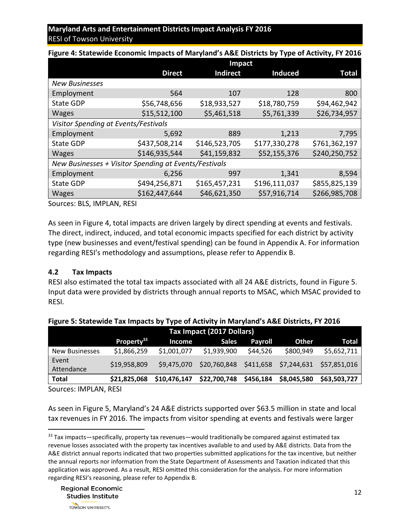|                                                       | Impact        |                 |                |               |  |  |
|-------------------------------------------------------|---------------|-----------------|----------------|---------------|--|--|
|                                                       | <b>Direct</b> | <b>Indirect</b> | <b>Induced</b> | Total         |  |  |
| <b>New Businesses</b>                                 |               |                 |                |               |  |  |
| Employment                                            | 564           | 107             | 128            | 800           |  |  |
| <b>State GDP</b>                                      | \$56,748,656  | \$18,933,527    | \$18,780,759   | \$94,462,942  |  |  |
| <b>Wages</b>                                          | \$15,512,100  | \$5,461,518     | \$5,761,339    | \$26,734,957  |  |  |
| Visitor Spending at Events/Festivals                  |               |                 |                |               |  |  |
| Employment                                            | 5,692         | 889             | 1,213          | 7,795         |  |  |
| <b>State GDP</b>                                      | \$437,508,214 | \$146,523,705   | \$177,330,278  | \$761,362,197 |  |  |
| <b>Wages</b>                                          | \$146,935,544 | \$41,159,832    | \$52,155,376   | \$240,250,752 |  |  |
| New Businesses + Visitor Spending at Events/Festivals |               |                 |                |               |  |  |
| Employment                                            | 6,256         | 997             | 1,341          | 8,594         |  |  |
| <b>State GDP</b>                                      | \$494,256,871 | \$165,457,231   | \$196,111,037  | \$855,825,139 |  |  |
| <b>Wages</b>                                          | \$162,447,644 | \$46,621,350    | \$57,916,714   | \$266,985,708 |  |  |

**Figure 4: Statewide Economic Impacts of Maryland's A&E Districts by Type of Activity, FY 2016**

Sources: BLS, IMPLAN, RESI

As seen in [Figure 4,](#page-10-1) total impacts are driven largely by direct spending at events and festivals. The direct, indirect, induced, and total economic impacts specified for each district by activity type (new businesses and event/festival spending) can be found in Appendix A. For information regarding RESI's methodology and assumptions, please refer to Appendix B.

#### <span id="page-11-0"></span>**4.2 Tax Impacts**

<span id="page-11-1"></span>RESI also estimated the total tax impacts associated with all 24 A&E districts, found in [Figure 5.](#page-11-1) Input data were provided by districts through annual reports to MSAC, which MSAC provided to RESI.

| Tax Impact (2017 Dollars) |                        |              |              |           |             |                                                          |
|---------------------------|------------------------|--------------|--------------|-----------|-------------|----------------------------------------------------------|
|                           | Property <sup>33</sup> | Income       | <b>Sales</b> | Payroll   | Other       | <b>Total</b>                                             |
| <b>New Businesses</b>     | \$1,866,259            | \$1,001,077  | \$1,939,900  | \$44,526  | \$800,949   | \$5,652,711                                              |
| Event<br>Attendance       | \$19,958,809           | \$9,475,070  |              |           |             | \$20,760,848    \$411,658    \$7,244,631    \$57,851,016 |
| <b>Total</b>              | \$21,825,068           | \$10,476,147 | \$22,700,748 | \$456,184 | \$8,045,580 | \$63,503,727                                             |
|                           |                        |              |              |           |             |                                                          |

| Figure 5: Statewide Tax Impacts by Type of Activity in Maryland's A&E Districts, FY 2016 |  |  |  |  |
|------------------------------------------------------------------------------------------|--|--|--|--|
|                                                                                          |  |  |  |  |

Sources: IMPLAN, RESI

As seen in [Figure 5,](#page-11-1) Maryland's 24 A&E districts supported over \$63.5 million in state and local tax revenues in FY 2016. The impacts from visitor spending at events and festivals were larger

l  $33$  Tax impacts—specifically, property tax revenues—would traditionally be compared against estimated tax revenue losses associated with the property tax incentives available to and used by A&E districts. Data from the A&E district annual reports indicated that two properties submitted applications for the tax incentive, but neither the annual reports nor information from the State Department of Assessments and Taxation indicated that this application was approved. As a result, RESI omitted this consideration for the analysis. For more information regarding RESI's reasoning, please refer to Appendix B.

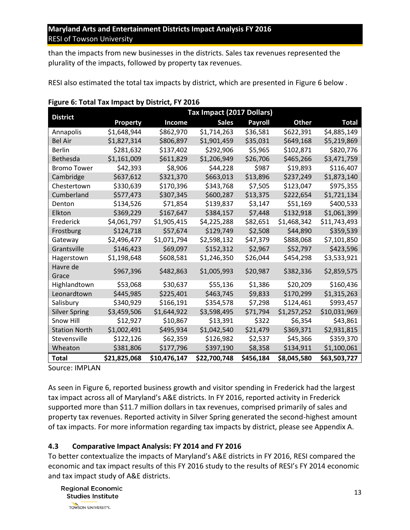than the impacts from new businesses in the districts. Sales tax revenues represented the plurality of the impacts, followed by property tax revenues.

RESI also estimated the total tax impacts by district, which are presented in [Figure](#page-12-1) 6 below .

|                      |                 |              | Tax Impact (2017 Dollars) |           |             |              |
|----------------------|-----------------|--------------|---------------------------|-----------|-------------|--------------|
| <b>District</b>      | <b>Property</b> | Income       | <b>Sales</b>              | Payroll   | Other       | Total        |
| Annapolis            | \$1,648,944     | \$862,970    | \$1,714,263               | \$36,581  | \$622,391   | \$4,885,149  |
| <b>Bel Air</b>       | \$1,827,314     | \$806,897    | \$1,901,459               | \$35,031  | \$649,168   | \$5,219,869  |
| Berlin               | \$281,632       | \$137,402    | \$292,906                 | \$5,965   | \$102,871   | \$820,776    |
| <b>Bethesda</b>      | \$1,161,009     | \$611,829    | \$1,206,949               | \$26,706  | \$465,266   | \$3,471,759  |
| <b>Bromo Tower</b>   | \$42,393        | \$8,906      | \$44,228                  | S987      | \$19,893    | \$116,407    |
| Cambridge            | \$637,612       | \$321.370    | \$663,013                 | \$13,896  | \$237,249   | \$1,873,140  |
| Chestertown          | \$330,639       | \$170,396    | \$343,768                 | S7.505    | \$123,047   | \$975,355    |
| Cumberland           | \$577,473       | \$307,345    | \$600,287                 | \$13,375  | \$222,654   | \$1,721,134  |
| Denton               | \$134,526       | \$71,854     | \$139,837                 | \$3,147   | \$51,169    | \$400,533    |
| Elkton               | \$369,229       | \$167,647    | \$384,157                 | \$7,448   | \$132,918   | \$1,061,399  |
| Frederick            | \$4,061,797     | \$1,905,415  | \$4,225,288               | \$82,651  | \$1,468,342 | \$11,743,493 |
| Frostburg            | \$124,718       | \$57,674     | \$129,749                 | \$2,508   | \$44,890    | \$359,539    |
| Gateway              | \$2,496,477     | \$1,071,794  | \$2,598,132               | \$47,379  | \$888,068   | \$7,101,850  |
| Grantsville          | \$146,423       | \$69,097     | \$152,312                 | \$2,967   | \$52,797    | \$423,596    |
| Hagerstown           | \$1,198,648     | \$608,581    | \$1,246,350               | \$26,044  | \$454,298   | \$3,533,921  |
| Havre de<br>Grace    | \$967,396       | \$482,863    | \$1,005,993               | \$20,987  | \$382,336   | \$2,859,575  |
| Highlandtown         | \$53,068        | \$30,637     | \$55,136                  | \$1,386   | \$20,209    | \$160,436    |
| Leonardtown          | \$445,985       | \$225,401    | \$463,745                 | \$9,833   | \$170,299   | \$1,315,263  |
| Salisbury            | \$340,929       | \$166,191    | \$354,578                 | \$7,298   | \$124,461   | \$993,457    |
| <b>Silver Spring</b> | \$3,459,506     | \$1,644,922  | \$3,598,495               | \$71,794  | \$1,257,252 | \$10,031,969 |
| Snow Hill            | \$12,927        | \$10,867     | \$13,391                  | \$322     | S6,354      | \$43,861     |
| <b>Station North</b> | \$1,002,491     | \$495,934    | \$1,042,540               | \$21,479  | \$369,371   | \$2,931,815  |
| Stevensville         | \$122,126       | \$62,359     | \$126,982                 | \$2,537   | \$45,366    | \$359,370    |
| Wheaton              | \$381,806       | \$177,796    | \$397,190                 | \$8,358   | \$134,911   | \$1,100,061  |
| Total                | \$21,825,068    | \$10,476,147 | \$22,700,748              | \$456,184 | \$8,045,580 | \$63,503,727 |

#### <span id="page-12-1"></span>**Figure 6: Total Tax Impact by District, FY 2016**

Source: IMPLAN

As seen in [Figure](#page-12-1) 6, reported business growth and visitor spending in Frederick had the largest tax impact across all of Maryland's A&E districts. In FY 2016, reported activity in Frederick supported more than \$11.7 million dollars in tax revenues, comprised primarily of sales and property tax revenues. Reported activity in Silver Spring generated the second-highest amount of tax impacts. For more information regarding tax impacts by district, please see Appendix A.

#### <span id="page-12-0"></span>**4.3 Comparative Impact Analysis: FY 2014 and FY 2016**

To better contextualize the impacts of Maryland's A&E districts in FY 2016, RESI compared the economic and tax impact results of this FY 2016 study to the results of RESI's FY 2014 economic and tax impact study of A&E districts.

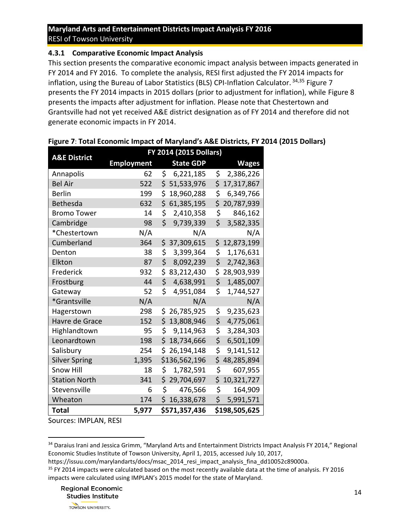#### <span id="page-13-0"></span>**4.3.1 Comparative Economic Impact Analysis**

This section presents the comparative economic impact analysis between impacts generated in FY 2014 and FY 2016. To complete the analysis, RESI first adjusted the FY 2014 impacts for inflation, using the Bureau of Labor Statistics (BLS) CPI-Inflation Calculator. 34,35 [Figure 7](#page-13-1) presents the FY 2014 impacts in 2015 dollars (prior to adjustment for inflation), while [Figure 8](#page-14-0) presents the impacts after adjustment for inflation. Please note that Chestertown and Grantsville had not yet received A&E district designation as of FY 2014 and therefore did not generate economic impacts in FY 2014.

| <b>A&amp;E District</b> | FY 2014 (2015 Dollars) |                   |                  |  |  |  |
|-------------------------|------------------------|-------------------|------------------|--|--|--|
|                         | <b>Employment</b>      | <b>State GDP</b>  | <b>Wages</b>     |  |  |  |
| Annapolis               | 62                     | \$<br>6,221,185   | \$<br>2,386,226  |  |  |  |
| <b>Bel Air</b>          | 522                    | \$51,533,976      | \$<br>17,317,867 |  |  |  |
| <b>Berlin</b>           | 199                    | \$<br>18,960,288  | \$<br>6,349,766  |  |  |  |
| Bethesda                | 632                    | \$<br>61,385,195  | \$<br>20,787,939 |  |  |  |
| <b>Bromo Tower</b>      | 14                     | \$.<br>2,410,358  | \$<br>846,162    |  |  |  |
| Cambridge               | 98                     | Ś.<br>9,739,339   | \$<br>3,582,335  |  |  |  |
| *Chestertown            | N/A                    | N/A               | N/A              |  |  |  |
| Cumberland              | 364                    | \$.<br>37,309,615 | \$<br>12,873,199 |  |  |  |
| Denton                  | 38                     | \$.<br>3,399,364  | \$<br>1,176,631  |  |  |  |
| Elkton                  | 87                     | \$<br>8,092,239   | \$<br>2,742,363  |  |  |  |
| Frederick               | 932                    | \$<br>83,212,430  | \$<br>28,903,939 |  |  |  |
| Frostburg               | 44                     | \$<br>4,638,991   | \$<br>1,485,007  |  |  |  |
| Gateway                 | 52                     | \$.<br>4,951,084  | \$<br>1,744,527  |  |  |  |
| *Grantsville            | N/A                    | N/A               | N/A              |  |  |  |
| Hagerstown              | 298                    | 26,785,925<br>\$. | \$<br>9,235,623  |  |  |  |
| Havre de Grace          | 152                    | \$<br>13,808,946  | \$<br>4,775,061  |  |  |  |
| Highlandtown            | 95                     | \$<br>9,114,963   | \$<br>3,284,303  |  |  |  |
| Leonardtown             | 198                    | Ś.<br>18,734,666  | \$<br>6,501,109  |  |  |  |
| Salisbury               | 254                    | \$<br>26,194,148  | \$<br>9,141,512  |  |  |  |
| <b>Silver Spring</b>    | 1,395                  | \$136,562,196     | \$<br>48,285,894 |  |  |  |
| <b>Snow Hill</b>        | 18                     | \$<br>1,782,591   | \$<br>607,955    |  |  |  |
| <b>Station North</b>    | 341                    | \$<br>29,704,697  | \$<br>10,321,727 |  |  |  |
| Stevensville            | 6                      | \$.<br>476,566    | \$<br>164,909    |  |  |  |
| Wheaton                 | 174                    | \$<br>16,338,678  | \$<br>5,991,571  |  |  |  |
| Total                   | 5,977                  | \$571,357,436     | \$198,505,625    |  |  |  |

#### <span id="page-13-1"></span>**Figure 7**: **Total Economic Impact of Maryland's A&E Districts, FY 2014 (2015 Dollars)**

Sources: IMPLAN, RESI

 $\overline{\phantom{a}}$ 

**Regional Economic Studies Institute** 

<sup>34</sup> Daraius Irani and Jessica Grimm, "Maryland Arts and Entertainment Districts Impact Analysis FY 2014," Regional Economic Studies Institute of Towson University, April 1, 2015, accessed July 10, 2017,

https://issuu.com/marylandarts/docs/msac\_2014\_resi\_impact\_analysis\_fina\_dd10052c89000a.

<sup>&</sup>lt;sup>35</sup> FY 2014 impacts were calculated based on the most recently available data at the time of analysis. FY 2016 impacts were calculated using IMPLAN's 2015 model for the state of Maryland.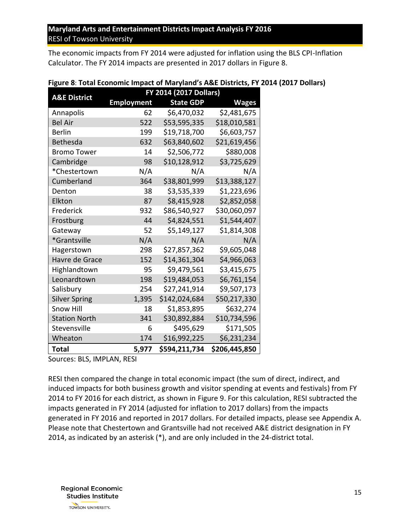<span id="page-14-0"></span>The economic impacts from FY 2014 were adjusted for inflation using the BLS CPI-Inflation Calculator. The FY 2014 impacts are presented in 2017 dollars in [Figure 8.](#page-14-0)

| <b>A&amp;E District</b> | FY 2014 (2017 Dollars) |                  |               |  |  |
|-------------------------|------------------------|------------------|---------------|--|--|
|                         | <b>Employment</b>      | <b>State GDP</b> | <b>Wages</b>  |  |  |
| Annapolis               | 62                     | \$6,470,032      | \$2,481,675   |  |  |
| <b>Bel Air</b>          | 522                    | \$53,595,335     | \$18,010,581  |  |  |
| Berlin                  | 199                    | \$19,718,700     | \$6,603,757   |  |  |
| <b>Bethesda</b>         | 632                    | \$63,840,602     | \$21,619,456  |  |  |
| <b>Bromo Tower</b>      | 14                     | \$2,506,772      | \$880,008     |  |  |
| Cambridge               | 98                     | \$10,128,912     | \$3,725,629   |  |  |
| *Chestertown            | N/A                    | N/A              | N/A           |  |  |
| Cumberland              | 364                    | \$38,801,999     | \$13,388,127  |  |  |
| Denton                  | 38                     | \$3,535,339      | \$1,223,696   |  |  |
| Elkton                  | 87                     | \$8,415,928      | \$2,852,058   |  |  |
| Frederick               | 932                    | \$86,540,927     | \$30,060,097  |  |  |
| Frostburg               | 44                     | \$4,824,551      | \$1,544,407   |  |  |
| Gateway                 | 52                     | \$5,149,127      | \$1,814,308   |  |  |
| *Grantsville            | N/A                    | N/A              | N/A           |  |  |
| Hagerstown              | 298                    | \$27,857,362     | \$9,605,048   |  |  |
| Havre de Grace          | 152                    | \$14,361,304     | \$4,966,063   |  |  |
| Highlandtown            | 95                     | \$9,479,561      | \$3,415,675   |  |  |
| Leonardtown             | 198                    | \$19,484,053     | \$6,761,154   |  |  |
| Salisbury               | 254                    | \$27,241,914     | \$9,507,173   |  |  |
| <b>Silver Spring</b>    | 1,395                  | \$142,024,684    | \$50,217,330  |  |  |
| <b>Snow Hill</b>        | 18                     | \$1,853,895      | \$632,274     |  |  |
| <b>Station North</b>    | 341                    | \$30,892,884     | \$10,734,596  |  |  |
| Stevensville            | 6                      | \$495,629        | \$171,505     |  |  |
| Wheaton                 | 174                    | \$16,992,225     | \$6,231,234   |  |  |
| <b>Total</b>            | 5,977                  | \$594,211,734    | \$206,445,850 |  |  |

|  | Figure 8: Total Economic Impact of Maryland's A&E Districts, FY 2014 (2017 Dollars) |  |  |  |  |  |
|--|-------------------------------------------------------------------------------------|--|--|--|--|--|
|--|-------------------------------------------------------------------------------------|--|--|--|--|--|

Sources: BLS, IMPLAN, RESI

RESI then compared the change in total economic impact (the sum of direct, indirect, and induced impacts for both business growth and visitor spending at events and festivals) from FY 2014 to FY 2016 for each district, as shown in [Figure 9.](#page-15-0) For this calculation, RESI subtracted the impacts generated in FY 2014 (adjusted for inflation to 2017 dollars) from the impacts generated in FY 2016 and reported in 2017 dollars. For detailed impacts, please see Appendix A. Please note that Chestertown and Grantsville had not received A&E district designation in FY 2014, as indicated by an asterisk (\*), and are only included in the 24-district total.

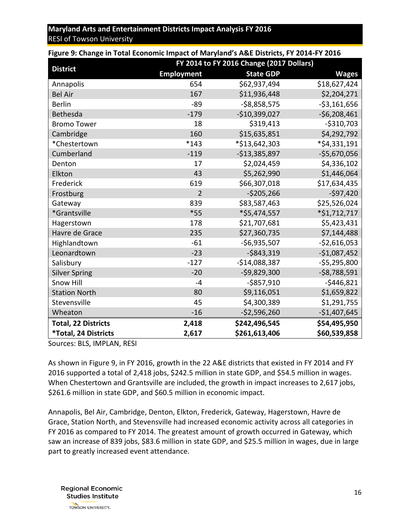| <b>1 Barc 2: Change in Total Economic impact of maryland 3 A&amp;L Districts, 1 1 2024 1 1 20</b> |                   | FY 2014 to FY 2016 Change (2017 Dollars) |                 |
|---------------------------------------------------------------------------------------------------|-------------------|------------------------------------------|-----------------|
| <b>District</b>                                                                                   | <b>Employment</b> | <b>State GDP</b>                         | <b>Wages</b>    |
| Annapolis                                                                                         | 654               | \$62,937,494                             | \$18,627,424    |
| <b>Bel Air</b>                                                                                    | 167               | \$11,936,448                             | \$2,204,271     |
| <b>Berlin</b>                                                                                     | $-89$             | $-58,858,575$                            | $-53,161,656$   |
| <b>Bethesda</b>                                                                                   | $-179$            | $-$10,399,027$                           | $-56,208,461$   |
| <b>Bromo Tower</b>                                                                                | 18                | \$319,413                                | $-$310,703$     |
| Cambridge                                                                                         | 160               | \$15,635,851                             | \$4,292,792     |
| *Chestertown                                                                                      | $*143$            | *\$13,642,303                            | *\$4,331,191    |
| Cumberland                                                                                        | $-119$            | $-$13,385,897$                           | $-$5,670,056$   |
| Denton                                                                                            | 17                | \$2,024,459                              | \$4,336,102     |
| Elkton                                                                                            | 43                | \$5,262,990                              | \$1,446,064     |
| Frederick                                                                                         | 619               | \$66,307,018                             | \$17,634,435    |
| Frostburg                                                                                         | $\overline{2}$    | $-$ \$205,266                            | $-$ \$97,420    |
| Gateway                                                                                           | 839               | \$83,587,463                             | \$25,526,024    |
| *Grantsville                                                                                      | $*55$             | *\$5,474,557                             | *\$1,712,717    |
| Hagerstown                                                                                        | 178               | \$21,707,681                             | \$5,423,431     |
| Havre de Grace                                                                                    | 235               | \$27,360,735                             | \$7,144,488     |
| Highlandtown                                                                                      | $-61$             | $-56,935,507$                            | $-$ \$2,616,053 |
| Leonardtown                                                                                       | $-23$             | $-$ \$843,319                            | $-$1,087,452$   |
| Salisbury                                                                                         | $-127$            | $-514,088,387$                           | $-55,295,800$   |
| <b>Silver Spring</b>                                                                              | $-20$             | $-59,829,300$                            | $-$ \$8,788,591 |
| <b>Snow Hill</b>                                                                                  | $-4$              | $-$ \$857,910                            | $-$ \$446,821   |
| <b>Station North</b>                                                                              | 80                | \$9,116,051                              | \$1,659,822     |
| Stevensville                                                                                      | 45                | \$4,300,389                              | \$1,291,755     |
| Wheaton                                                                                           | $-16$             | $-52,596,260$                            | $-$1,407,645$   |
| <b>Total, 22 Districts</b>                                                                        | 2,418             | \$242,496,545                            | \$54,495,950    |
| *Total, 24 Districts                                                                              | 2,617             | \$261,613,406                            | \$60,539,858    |

<span id="page-15-0"></span>**Figure 9: Change in Total Economic Impact of Maryland's A&E Districts, FY 2014-FY 2016**

Sources: BLS, IMPLAN, RESI

As shown in [Figure 9,](#page-15-0) in FY 2016, growth in the 22 A&E districts that existed in FY 2014 and FY 2016 supported a total of 2,418 jobs, \$242.5 million in state GDP, and \$54.5 million in wages. When Chestertown and Grantsville are included, the growth in impact increases to 2,617 jobs, \$261.6 million in state GDP, and \$60.5 million in economic impact.

Annapolis, Bel Air, Cambridge, Denton, Elkton, Frederick, Gateway, Hagerstown, Havre de Grace, Station North, and Stevensville had increased economic activity across all categories in FY 2016 as compared to FY 2014. The greatest amount of growth occurred in Gateway, which saw an increase of 839 jobs, \$83.6 million in state GDP, and \$25.5 million in wages, due in large part to greatly increased event attendance.

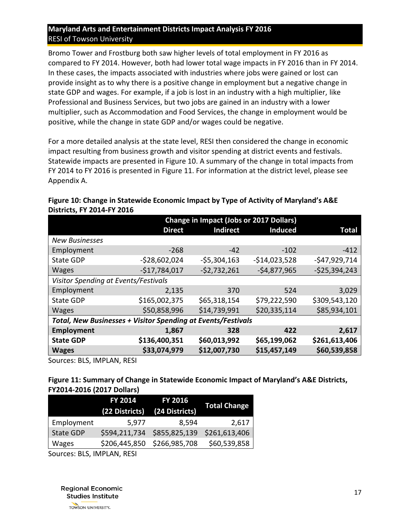Bromo Tower and Frostburg both saw higher levels of total employment in FY 2016 as compared to FY 2014. However, both had lower total wage impacts in FY 2016 than in FY 2014. In these cases, the impacts associated with industries where jobs were gained or lost can provide insight as to why there is a positive change in employment but a negative change in state GDP and wages. For example, if a job is lost in an industry with a high multiplier, like Professional and Business Services, but two jobs are gained in an industry with a lower multiplier, such as Accommodation and Food Services, the change in employment would be positive, while the change in state GDP and/or wages could be negative.

For a more detailed analysis at the state level, RESI then considered the change in economic impact resulting from business growth and visitor spending at district events and festivals. Statewide impacts are presented in [Figure 10.](#page-16-2) A summary of the change in total impacts from FY 2014 to FY 2016 is presented in [Figure 11.](#page-16-1) For information at the district level, please see Appendix A.

|                                                              |                | <b>Change in Impact (Jobs or 2017 Dollars)</b> |                |                |
|--------------------------------------------------------------|----------------|------------------------------------------------|----------------|----------------|
|                                                              | <b>Direct</b>  | <b>Indirect</b>                                | <b>Induced</b> | Total          |
| <b>New Businesses</b>                                        |                |                                                |                |                |
| Employment                                                   | $-268$         | $-42$                                          | $-102$         | $-412$         |
| <b>State GDP</b>                                             | $-528,602,024$ | $-$ \$5,304,163                                | $-$14,023,528$ | $-547,929,714$ |
| <b>Wages</b>                                                 | $-517,784,017$ | $-52,732,261$                                  | $-54,877,965$  | $-525,394,243$ |
| Visitor Spending at Events/Festivals                         |                |                                                |                |                |
| Employment                                                   | 2,135          | 370                                            | 524            | 3,029          |
| <b>State GDP</b>                                             | \$165,002,375  | \$65,318,154                                   | \$79,222,590   | \$309,543,120  |
| <b>Wages</b>                                                 | \$50,858,996   | \$14,739,991                                   | \$20,335,114   | \$85,934,101   |
| Total, New Businesses + Visitor Spending at Events/Festivals |                |                                                |                |                |
| Employment                                                   | 1,867          | 328                                            | 422            | 2,617          |
| <b>State GDP</b>                                             | \$136,400,351  | \$60,013,992                                   | \$65,199,062   | \$261,613,406  |
| <b>Wages</b>                                                 | \$33,074,979   | \$12,007,730                                   | \$15,457,149   | \$60,539,858   |

#### <span id="page-16-2"></span><span id="page-16-0"></span>**Figure 10: Change in Statewide Economic Impact by Type of Activity of Maryland's A&E Districts, FY 2014-FY 2016**

Sources: BLS, IMPLAN, RESI

#### <span id="page-16-1"></span>**Figure 11: Summary of Change in Statewide Economic Impact of Maryland's A&E Districts, FY2014-2016 (2017 Dollars)**

|                  | <b>FY 2014</b><br>(22 Districts) | <b>FY 2016</b><br>(24 Districts) | <b>Total Change</b> |
|------------------|----------------------------------|----------------------------------|---------------------|
| Employment       | 5,977                            | 8,594                            | 2,617               |
| <b>State GDP</b> | \$594,211,734                    | \$855,825,139                    | \$261,613,406       |
| Wages            | \$206,445,850                    | \$266,985,708                    | \$60,539,858        |

Sources: BLS, IMPLAN, RESI

**Regional Economic Studies Institute** TOWSON UNIVERSITY.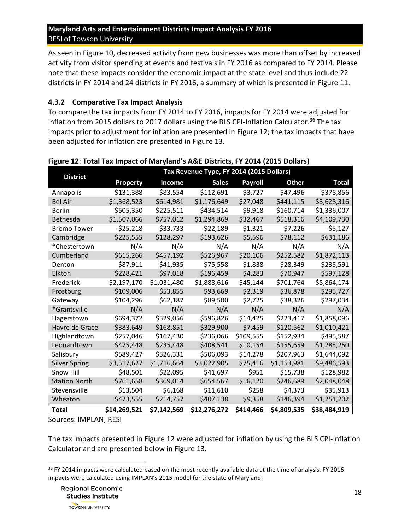As seen in [Figure 10,](#page-16-2) decreased activity from new businesses was more than offset by increased activity from visitor spending at events and festivals in FY 2016 as compared to FY 2014. Please note that these impacts consider the economic impact at the state level and thus include 22 districts in FY 2014 and 24 districts in FY 2016, a summary of which is presented in [Figure 11.](#page-16-1)

#### <span id="page-17-0"></span>**4.3.2 Comparative Tax Impact Analysis**

To compare the tax impacts from FY 2014 to FY 2016, impacts for FY 2014 were adjusted for inflation from 2015 dollars to 2017 dollars using the BLS CPI-Inflation Calculator.<sup>36</sup> The tax impacts prior to adjustment for inflation are presented in [Figure 12;](#page-17-1) the tax impacts that have been adjusted for inflation are presented in [Figure](#page-17-2) 13.

| <b>District</b>      |                 |                       | Tax Revenue Type, FY 2014 (2015 Dollars) |                |              |              |
|----------------------|-----------------|-----------------------|------------------------------------------|----------------|--------------|--------------|
|                      | <b>Property</b> | <b>Income</b>         | <b>Sales</b>                             | <b>Payroll</b> | <b>Other</b> | <b>Total</b> |
| Annapolis            | \$131,388       | \$83,554              | \$112,691                                | S3,727         | \$47,496     | \$378,856    |
| <b>Bel Air</b>       | \$1,368,523     | \$614,981             | \$1,176,649                              | \$27,048       | \$441,115    | \$3,628,316  |
| Berlin               | \$505,350       | \$225,511             | \$434,514                                | \$9,918        | \$160,714    | \$1,336,007  |
| <b>Bethesda</b>      | \$1,507,066     | \$757,012             | \$1,294,869                              | \$32,467       | \$518,316    | \$4,109,730  |
| <b>Bromo Tower</b>   | $-525,218$      | \$33,733              | $-522,189$                               | \$1,321        | \$7,226      | $-55,127$    |
| Cambridge            | S225.555        | S <sub>128</sub> .297 | \$193,626                                | S5.596         | \$78,112     | \$631,186    |
| *Chestertown         | N/A             | N/A                   | N/A                                      | N/A            | N/A          | N/A          |
| Cumberland           | \$615,266       | \$457,192             | \$526,967                                | \$20,106       | \$252,582    | \$1,872,113  |
| Denton               | \$87,911        | \$41,935              | \$75,558                                 | \$1,838        | \$28,349     | \$235,591    |
| Elkton               | \$228,421       | \$97,018              | \$196,459                                | \$4,283        | \$70,947     | \$597,128    |
| Frederick            | \$2,197,170     | \$1,031,480           | \$1,888,616                              | \$45,144       | \$701,764    | \$5,864,174  |
| Frostburg            | \$109,006       | \$53,855              | \$93,669                                 | \$2,319        | \$36,878     | \$295,727    |
| Gateway              | \$104,296       | \$62,187              | \$89,500                                 | \$2,725        | \$38,326     | \$297,034    |
| *Grantsville         | N/A             | N/A                   | N/A                                      | N/A            | N/A          | N/A          |
| Hagerstown           | \$694,372       | \$329,056             | \$596,826                                | \$14,425       | \$223,417    | \$1,858,096  |
| Havre de Grace       | \$383,649       | \$168,851             | \$329,900                                | \$7,459        | \$120,562    | \$1,010,421  |
| Highlandtown         | \$257,046       | \$167,430             | \$236,066                                | \$109,555      | \$152,934    | \$495,587    |
| Leonardtown          | \$475,448       | \$235,448             | \$408,541                                | \$10,154       | \$155,659    | \$1,285,250  |
| Salisbury            | \$589,427       | \$326,331             | \$506,093                                | \$14,278       | \$207,963    | \$1,644,092  |
| <b>Silver Spring</b> | \$3,517,627     | \$1,716,664           | \$3,022,905                              | \$75,416       | \$1,153,981  | \$9,486,593  |
| Snow Hill            | \$48,501        | \$22,095              | \$41,697                                 | \$951          | \$15,738     | \$128,982    |
| <b>Station North</b> | \$761,658       | \$369,014             | \$654,567                                | \$16,120       | \$246,689    | \$2,048,048  |
| Stevensville         | \$13,504        | \$6,168               | \$11,610                                 | \$258          | \$4,373      | \$35,913     |
| Wheaton              | \$473,555       | \$214,757             | \$407,138                                | \$9,358        | \$146,394    | \$1,251,202  |
| Total                | \$14,269,521    | \$7,142,569           | \$12,276,272                             | \$414,466      | \$4,809,535  | \$38,484,919 |

### <span id="page-17-1"></span>**Figure 12**: **Total Tax Impact of Maryland's A&E Districts, FY 2014 (2015 Dollars)**

Sources: IMPLAN, RESI

<span id="page-17-2"></span> $\overline{\phantom{a}}$ 

The tax impacts presented in [Figure 12](#page-17-1) were adjusted for inflation by using the BLS CPI-Inflation Calculator and are presented below in [Figure](#page-17-2) 13.

<sup>&</sup>lt;sup>36</sup> FY 2014 impacts were calculated based on the most recently available data at the time of analysis. FY 2016 impacts were calculated using IMPLAN's 2015 model for the state of Maryland.

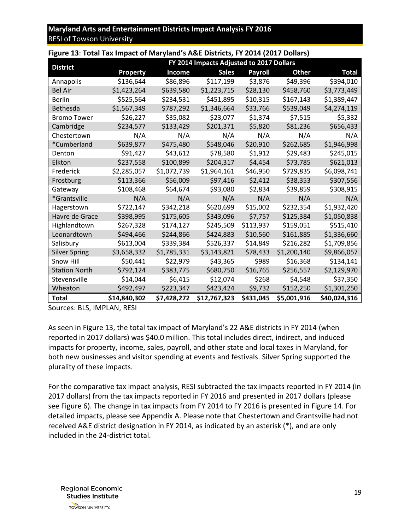| Figure 13: Total Tax Impact of Maryland's A&E Districts, FY 2014 (2017 Dollars) |              |               |                                          |                |              |              |
|---------------------------------------------------------------------------------|--------------|---------------|------------------------------------------|----------------|--------------|--------------|
|                                                                                 |              |               | FY 2014 Impacts Adjusted to 2017 Dollars |                |              |              |
| <b>District</b>                                                                 | Property     | <b>Income</b> | <b>Sales</b>                             | <b>Payroll</b> | <b>Other</b> | Total        |
| Annapolis                                                                       | \$136,644    | \$86,896      | \$117,199                                | \$3,876        | \$49,396     | \$394,010    |
| <b>Bel Air</b>                                                                  | \$1,423,264  | \$639,580     | \$1,223,715                              | \$28,130       | \$458,760    | \$3,773,449  |
| <b>Berlin</b>                                                                   | \$525,564    | \$234,531     | \$451,895                                | \$10,315       | \$167,143    | \$1,389,447  |
| <b>Bethesda</b>                                                                 | \$1,567,349  | \$787,292     | \$1,346,664                              | \$33,766       | \$539,049    | \$4,274,119  |
| <b>Bromo Tower</b>                                                              | $-526,227$   | \$35,082      | $-$ \$23,077                             | \$1,374        | \$7,515      | $-55,332$    |
| Cambridge                                                                       | \$234,577    | \$133,429     | \$201,371                                | \$5,820        | \$81,236     | \$656,433    |
| Chestertown                                                                     | N/A          | N/A           | N/A                                      | N/A            | N/A          | N/A          |
| *Cumberland                                                                     | \$639,877    | \$475,480     | \$548,046                                | \$20,910       | \$262,685    | \$1,946,998  |
| Denton                                                                          | \$91,427     | \$43,612      | \$78,580                                 | \$1,912        | \$29,483     | \$245,015    |
| Elkton                                                                          | \$237,558    | \$100,899     | \$204,317                                | \$4,454        | \$73,785     | \$621,013    |
| Frederick                                                                       | \$2,285,057  | \$1,072,739   | \$1,964,161                              | \$46,950       | \$729,835    | \$6,098,741  |
| Frostburg                                                                       | \$113,366    | \$56,009      | \$97,416                                 | \$2,412        | \$38,353     | \$307,556    |
| Gateway                                                                         | \$108,468    | \$64,674      | \$93,080                                 | \$2,834        | \$39,859     | \$308,915    |
| *Grantsville                                                                    | N/A          | N/A           | N/A                                      | N/A            | N/A          | N/A          |
| Hagerstown                                                                      | \$722,147    | \$342,218     | \$620,699                                | \$15,002       | \$232.354    | \$1,932,420  |
| Havre de Grace                                                                  | \$398,995    | \$175,605     | \$343,096                                | S7.757         | \$125,384    | \$1,050,838  |
| Highlandtown                                                                    | \$267,328    | \$174,127     | \$245,509                                | \$113,937      | \$159,051    | \$515,410    |
| Leonardtown                                                                     | \$494,466    | \$244,866     | \$424,883                                | \$10,560       | \$161,885    | \$1,336,660  |
| Salisbury                                                                       | \$613,004    | \$339,384     | \$526,337                                | \$14,849       | \$216,282    | \$1,709,856  |
| <b>Silver Spring</b>                                                            | \$3,658,332  | \$1,785,331   | \$3,143,821                              | \$78,433       | \$1,200,140  | \$9,866,057  |
| Snow Hill                                                                       | \$50,441     | \$22,979      | \$43,365                                 | \$989          | \$16,368     | \$134,141    |
| <b>Station North</b>                                                            | \$792,124    | \$383,775     | \$680,750                                | \$16,765       | \$256,557    | \$2,129,970  |
| Stevensville                                                                    | \$14,044     | \$6,415       | \$12,074                                 | \$268          | \$4,548      | \$37,350     |
| Wheaton                                                                         | \$492,497    | \$223,347     | \$423,424                                | \$9,732        | \$152,250    | \$1,301,250  |
| Total                                                                           | \$14,840,302 | \$7,428,272   | \$12,767,323                             | \$431,045      | \$5,001,916  | \$40,024,316 |

Sources: BLS, IMPLAN, RESI

As seen in [Figure](#page-17-2) 13, the total tax impact of Maryland's 22 A&E districts in FY 2014 (when reported in 2017 dollars) was \$40.0 million. This total includes direct, indirect, and induced impacts for property, income, sales, payroll, and other state and local taxes in Maryland, for both new businesses and visitor spending at events and festivals. Silver Spring supported the plurality of these impacts.

For the comparative tax impact analysis, RESI subtracted the tax impacts reported in FY 2014 (in 2017 dollars) from the tax impacts reported in FY 2016 and presented in 2017 dollars (please see [Figure](#page-12-1) 6). The change in tax impacts from FY 2014 to FY 2016 is presented in [Figure 14.](#page-18-1) For detailed impacts, please see Appendix A. Please note that Chestertown and Grantsville had not received A&E district designation in FY 2014, as indicated by an asterisk (\*), and are only included in the 24-district total.

<span id="page-18-1"></span><span id="page-18-0"></span>**Regional Economic Studies Institute** TOWSON UNIVERSITY.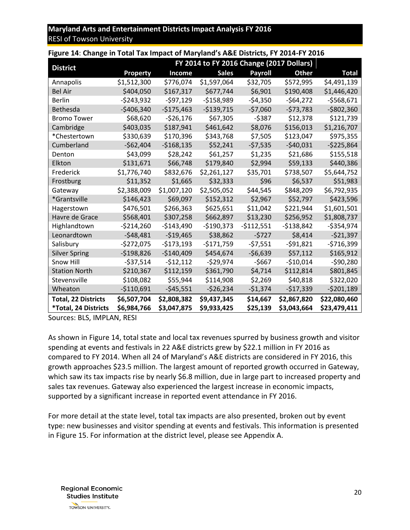| Figure 14: Change in Total Tax Impact of Maryland's A&E Districts, FY 2014-FY 2016 |               |               |                                          |            |              |               |
|------------------------------------------------------------------------------------|---------------|---------------|------------------------------------------|------------|--------------|---------------|
| <b>District</b>                                                                    |               |               | FY 2014 to FY 2016 Change (2017 Dollars) |            |              |               |
|                                                                                    | Property      | <b>Income</b> | <b>Sales</b>                             | Payroll    | <b>Other</b> | Total         |
| Annapolis                                                                          | \$1,512,300   | \$776,074     | \$1,597,064                              | \$32,705   | \$572,995    | \$4,491,139   |
| <b>Bel Air</b>                                                                     | \$404,050     | \$167,317     | \$677,744                                | \$6,901    | \$190,408    | \$1,446,420   |
| <b>Berlin</b>                                                                      | $-5243,932$   | -\$97,129     | $-5158,989$                              | -\$4,350   | $-564,272$   | $-5568,671$   |
| Bethesda                                                                           | $-$ \$406,340 | $-5175,463$   | $-$139,715$                              | $-57,060$  | $-573,783$   | $-$ \$802,360 |
| <b>Bromo Tower</b>                                                                 | \$68,620      | $-526,176$    | \$67,305                                 | $-5387$    | \$12,378     | \$121,739     |
| Cambridge                                                                          | \$403,035     | \$187,941     | \$461,642                                | \$8,076    | \$156,013    | \$1,216,707   |
| *Chestertown                                                                       | \$330,639     | \$170,396     | \$343,768                                | \$7.505    | \$123,047    | \$975,355     |
| Cumberland                                                                         | $-$62,404$    | $-$168,135$   | \$52,241                                 | $-57,535$  | $-540,031$   | $-5225,864$   |
| Denton                                                                             | \$43,099      | \$28,242      | \$61,257                                 | \$1,235    | \$21,686     | \$155,518     |
| Elkton                                                                             | \$131,671     | \$66,748      | \$179,840                                | \$2,994    | \$59,133     | \$440,386     |
| Frederick                                                                          | \$1,776,740   | \$832,676     | \$2,261,127                              | \$35,701   | \$738,507    | \$5,644,752   |
| Frostburg                                                                          | \$11,352      | \$1,665       | \$32,333                                 | \$96       | \$6,537      | \$51,983      |
| Gateway                                                                            | \$2,388,009   | \$1,007,120   | \$2,505,052                              | \$44,545   | \$848,209    | \$6,792,935   |
| *Grantsville                                                                       | \$146,423     | \$69,097      | \$152,312                                | \$2,967    | \$52,797     | \$423,596     |
| Hagerstown                                                                         | \$476,501     | \$266,363     | \$625,651                                | \$11,042   | \$221,944    | \$1,601,501   |
| Havre de Grace                                                                     | \$568,401     | \$307,258     | \$662,897                                | \$13,230   | \$256,952    | \$1,808,737   |
| Highlandtown                                                                       | $-5214,260$   | $-$143,490$   | $-$190,373$                              | -\$112,551 | -\$138,842   | $-5354,974$   |
| Leonardtown                                                                        | -\$48.481     | $-519,465$    | \$38,862                                 | $-5727$    | \$8,414      | $-521,397$    |
| Salisbury                                                                          | $-5272,075$   | $-5173,193$   | $-5171,759$                              | $-57,551$  | $-591,821$   | $-5716,399$   |
| <b>Silver Spring</b>                                                               | $-5198,826$   | $-$140,409$   | \$454,674                                | $-56,639$  | \$57,112     | \$165,912     |
| Snow Hill                                                                          | $-537,514$    | $-512,112$    | $-529,974$                               | $-5667$    | $-$10,014$   | $-590,280$    |
| <b>Station North</b>                                                               | \$210,367     | \$112,159     | \$361,790                                | \$4,714    | \$112,814    | \$801,845     |
| Stevensville                                                                       | \$108,082     | \$55,944      | \$114,908                                | \$2,269    | \$40,818     | \$322,020     |
| Wheaton                                                                            | $-5110,691$   | -\$45,551     | $-526,234$                               | -\$1,374   | -\$17,339    | $-5201,189$   |
| <b>Total, 22 Districts</b>                                                         | \$6,507,704   | \$2,808,382   | \$9,437,345                              | \$14,667   | \$2,867,820  | \$22,080,460  |
| *Total, 24 Districts                                                               | \$6,984,766   | \$3,047,875   | \$9,933,425                              | \$25,139   | \$3,043,664  | \$23,479,411  |

Sources: BLS, IMPLAN, RESI

As shown in [Figure 14,](#page-18-1) total state and local tax revenues spurred by business growth and visitor spending at events and festivals in 22 A&E districts grew by \$22.1 million in FY 2016 as compared to FY 2014. When all 24 of Maryland's A&E districts are considered in FY 2016, this growth approaches \$23.5 million. The largest amount of reported growth occurred in Gateway, which saw its tax impacts rise by nearly \$6.8 million, due in large part to increased property and sales tax revenues. Gateway also experienced the largest increase in economic impacts, supported by a significant increase in reported event attendance in FY 2016.

For more detail at the state level, total tax impacts are also presented, broken out by event type: new businesses and visitor spending at events and festivals. This information is presented in [Figure](#page-20-1) 15. For information at the district level, please see Appendix A.

**Regional Economic Studies Institute** TOWSON UNIVERSITY.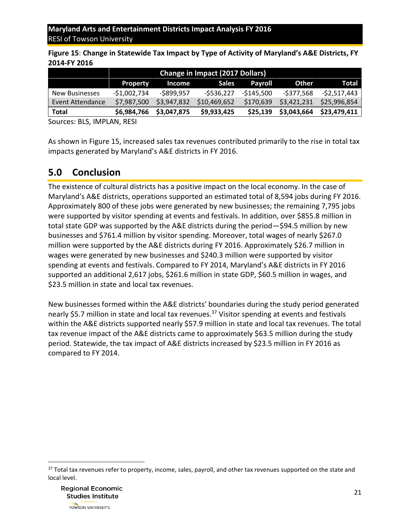<span id="page-20-1"></span>**Figure 15**: **Change in Statewide Tax Impact by Type of Activity of Maryland's A&E Districts, FY 2014-FY 2016**

|                       | <b>Change in Impact (2017 Dollars)</b> |             |              |             |              |              |
|-----------------------|----------------------------------------|-------------|--------------|-------------|--------------|--------------|
|                       | <b>Property</b>                        | Income      | Sales        | Payroll     | <b>Other</b> | Total        |
| <b>New Businesses</b> | $-$1,002,734$                          | -\$899,957  | -\$536,227   | $-5145,500$ | -\$377,568   | -\$2,517,443 |
| Event Attendance      | \$7,987,500                            | \$3,947,832 | \$10,469,652 | \$170,639   | \$3,421,231  | \$25,996,854 |
| <b>Total</b>          | \$6,984,766                            | \$3,047,875 | \$9,933,425  | \$25,139    | \$3,043,664  | \$23,479,411 |

Sources: BLS, IMPLAN, RESI

As shown in [Figure](#page-20-1) 15, increased sales tax revenues contributed primarily to the rise in total tax impacts generated by Maryland's A&E districts in FY 2016.

# <span id="page-20-0"></span>**5.0 Conclusion**

The existence of cultural districts has a positive impact on the local economy. In the case of Maryland's A&E districts, operations supported an estimated total of 8,594 jobs during FY 2016. Approximately 800 of these jobs were generated by new businesses; the remaining 7,795 jobs were supported by visitor spending at events and festivals. In addition, over \$855.8 million in total state GDP was supported by the A&E districts during the period—\$94.5 million by new businesses and \$761.4 million by visitor spending. Moreover, total wages of nearly \$267.0 million were supported by the A&E districts during FY 2016. Approximately \$26.7 million in wages were generated by new businesses and \$240.3 million were supported by visitor spending at events and festivals. Compared to FY 2014, Maryland's A&E districts in FY 2016 supported an additional 2,617 jobs, \$261.6 million in state GDP, \$60.5 million in wages, and \$23.5 million in state and local tax revenues.

New businesses formed within the A&E districts' boundaries during the study period generated nearly \$5.7 million in state and local tax revenues.<sup>37</sup> Visitor spending at events and festivals within the A&E districts supported nearly \$57.9 million in state and local tax revenues. The total tax revenue impact of the A&E districts came to approximately \$63.5 million during the study period. Statewide, the tax impact of A&E districts increased by \$23.5 million in FY 2016 as compared to FY 2014.

 $\overline{\phantom{a}}$ 

 $37$  Total tax revenues refer to property, income, sales, payroll, and other tax revenues supported on the state and local level.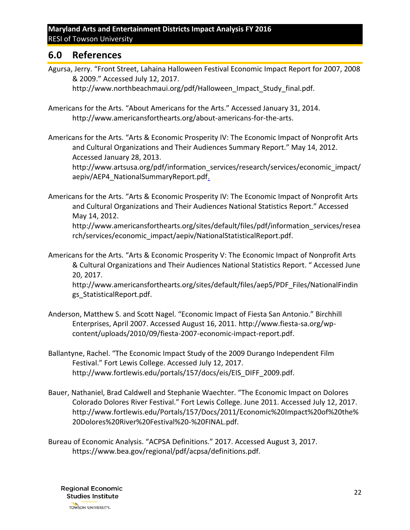# <span id="page-21-0"></span>**6.0 References**

Agursa, Jerry. "Front Street, Lahaina Halloween Festival Economic Impact Report for 2007, 2008 & 2009." Accessed July 12, 2017.

http://www.northbeachmaui.org/pdf/Halloween\_Impact\_Study\_final.pdf.

- Americans for the Arts. "About Americans for the Arts." Accessed January 31, 2014. http://www.americansforthearts.org/about-americans-for-the-arts.
- Americans for the Arts. "Arts & Economic Prosperity IV: The Economic Impact of Nonprofit Arts and Cultural Organizations and Their Audiences Summary Report." May 14, 2012. Accessed January 28, 2013.

http://www.artsusa.org/pdf/information\_services/research/services/economic\_impact/ aepiv/AEP4\_NationalSummaryReport.pdf.

Americans for the Arts. "Arts & Economic Prosperity IV: The Economic Impact of Nonprofit Arts and Cultural Organizations and Their Audiences National Statistics Report." Accessed May 14, 2012. http://www.americansforthearts.org/sites/default/files/pdf/information\_services/resea rch/services/economic\_impact/aepiv/NationalStatisticalReport.pdf.

Americans for the Arts. "Arts & Economic Prosperity V: The Economic Impact of Nonprofit Arts & Cultural Organizations and Their Audiences National Statistics Report. " Accessed June 20, 2017.

http://www.americansforthearts.org/sites/default/files/aep5/PDF\_Files/NationalFindin gs\_StatisticalReport.pdf.

- Anderson, Matthew S. and Scott Nagel. "Economic Impact of Fiesta San Antonio." Birchhill Enterprises, April 2007. Accessed August 16, 2011. http://www.fiesta-sa.org/wpcontent/uploads/2010/09/fiesta-2007-economic-impact-report.pdf.
- Ballantyne, Rachel. "The Economic Impact Study of the 2009 Durango Independent Film Festival." Fort Lewis College. Accessed July 12, 2017. http://www.fortlewis.edu/portals/157/docs/eis/EIS\_DIFF\_2009.pdf.
- Bauer, Nathaniel, Brad Caldwell and Stephanie Waechter. "The Economic Impact on Dolores Colorado Dolores River Festival." Fort Lewis College. June 2011. Accessed July 12, 2017. http://www.fortlewis.edu/Portals/157/Docs/2011/Economic%20Impact%20of%20the% 20Dolores%20River%20Festival%20-%20FINAL.pdf.
- Bureau of Economic Analysis. "ACPSA Definitions." 2017. Accessed August 3, 2017. https://www.bea.gov/regional/pdf/acpsa/definitions.pdf.

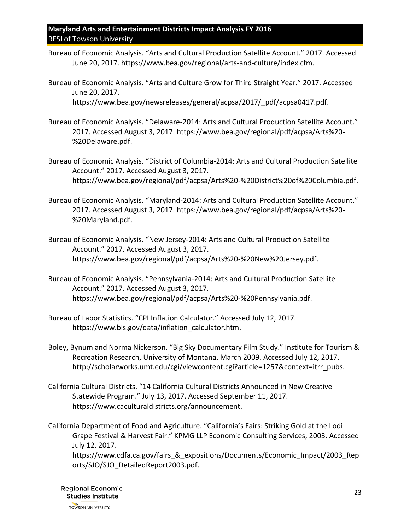- Bureau of Economic Analysis. "Arts and Cultural Production Satellite Account." 2017. Accessed June 20, 2017. https://www.bea.gov/regional/arts-and-culture/index.cfm.
- Bureau of Economic Analysis. "Arts and Culture Grow for Third Straight Year." 2017. Accessed June 20, 2017. https://www.bea.gov/newsreleases/general/acpsa/2017/\_pdf/acpsa0417.pdf.
- Bureau of Economic Analysis. "Delaware-2014: Arts and Cultural Production Satellite Account." 2017. Accessed August 3, 2017. https://www.bea.gov/regional/pdf/acpsa/Arts%20- %20Delaware.pdf.
- Bureau of Economic Analysis. "District of Columbia-2014: Arts and Cultural Production Satellite Account." 2017. Accessed August 3, 2017. https://www.bea.gov/regional/pdf/acpsa/Arts%20-%20District%20of%20Columbia.pdf.
- Bureau of Economic Analysis. "Maryland-2014: Arts and Cultural Production Satellite Account." 2017. Accessed August 3, 2017. https://www.bea.gov/regional/pdf/acpsa/Arts%20- %20Maryland.pdf.
- Bureau of Economic Analysis. "New Jersey-2014: Arts and Cultural Production Satellite Account." 2017. Accessed August 3, 2017. https://www.bea.gov/regional/pdf/acpsa/Arts%20-%20New%20Jersey.pdf.
- Bureau of Economic Analysis. "Pennsylvania-2014: Arts and Cultural Production Satellite Account." 2017. Accessed August 3, 2017. https://www.bea.gov/regional/pdf/acpsa/Arts%20-%20Pennsylvania.pdf.
- Bureau of Labor Statistics. "CPI Inflation Calculator." Accessed July 12, 2017. https://www.bls.gov/data/inflation\_calculator.htm.
- Boley, Bynum and Norma Nickerson. "Big Sky Documentary Film Study." Institute for Tourism & Recreation Research, University of Montana. March 2009. Accessed July 12, 2017. http://scholarworks.umt.edu/cgi/viewcontent.cgi?article=1257&context=itrr\_pubs.
- California Cultural Districts. "14 California Cultural Districts Announced in New Creative Statewide Program." July 13, 2017. Accessed September 11, 2017. https://www.caculturaldistricts.org/announcement.
- California Department of Food and Agriculture. "California's Fairs: Striking Gold at the Lodi Grape Festival & Harvest Fair." KPMG LLP Economic Consulting Services, 2003. Accessed July 12, 2017.

https://www.cdfa.ca.gov/fairs & expositions/Documents/Economic Impact/2003 Rep orts/SJO/SJO\_DetailedReport2003.pdf.

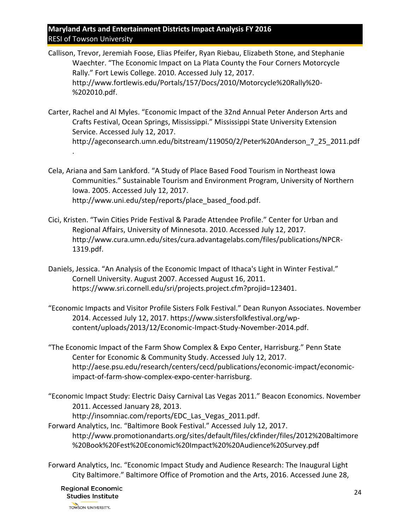- Callison, Trevor, Jeremiah Foose, Elias Pfeifer, Ryan Riebau, Elizabeth Stone, and Stephanie Waechter. "The Economic Impact on La Plata County the Four Corners Motorcycle Rally." Fort Lewis College. 2010. Accessed July 12, 2017. http://www.fortlewis.edu/Portals/157/Docs/2010/Motorcycle%20Rally%20- %202010.pdf.
- Carter, Rachel and Al Myles. "Economic Impact of the 32nd Annual Peter Anderson Arts and Crafts Festival, Ocean Springs, Mississippi." Mississippi State University Extension Service. Accessed July 12, 2017. http://ageconsearch.umn.edu/bitstream/119050/2/Peter%20Anderson\_7\_25\_2011.pdf .
- Cela, Ariana and Sam Lankford. "A Study of Place Based Food Tourism in Northeast Iowa Communities." Sustainable Tourism and Environment Program, University of Northern Iowa. 2005. Accessed July 12, 2017. http://www.uni.edu/step/reports/place\_based\_food.pdf.
- Cici, Kristen. "Twin Cities Pride Festival & Parade Attendee Profile." Center for Urban and Regional Affairs, University of Minnesota. 2010. Accessed July 12, 2017. http://www.cura.umn.edu/sites/cura.advantagelabs.com/files/publications/NPCR-1319.pdf.
- Daniels, Jessica. "An Analysis of the Economic Impact of Ithaca's Light in Winter Festival." Cornell University. August 2007. Accessed August 16, 2011. https://www.sri.cornell.edu/sri/projects.project.cfm?projid=123401.
- "Economic Impacts and Visitor Profile Sisters Folk Festival." Dean Runyon Associates. November 2014. Accessed July 12, 2017. https://www.sistersfolkfestival.org/wpcontent/uploads/2013/12/Economic-Impact-Study-November-2014.pdf.
- "The Economic Impact of the Farm Show Complex & Expo Center, Harrisburg." Penn State Center for Economic & Community Study. Accessed July 12, 2017. http://aese.psu.edu/research/centers/cecd/publications/economic-impact/economicimpact-of-farm-show-complex-expo-center-harrisburg.
- "Economic Impact Study: Electric Daisy Carnival Las Vegas 2011." Beacon Economics. November 2011. Accessed January 28, 2013.

http://insomniac.com/reports/EDC\_Las\_Vegas\_2011.pdf.

- Forward Analytics, Inc. "Baltimore Book Festival." Accessed July 12, 2017. http://www.promotionandarts.org/sites/default/files/ckfinder/files/2012%20Baltimore %20Book%20Fest%20Economic%20Impact%20%20Audience%20Survey.pdf
- Forward Analytics, Inc. "Economic Impact Study and Audience Research: The Inaugural Light City Baltimore." Baltimore Office of Promotion and the Arts, 2016. Accessed June 28,

**Regional Economic Studies Institute**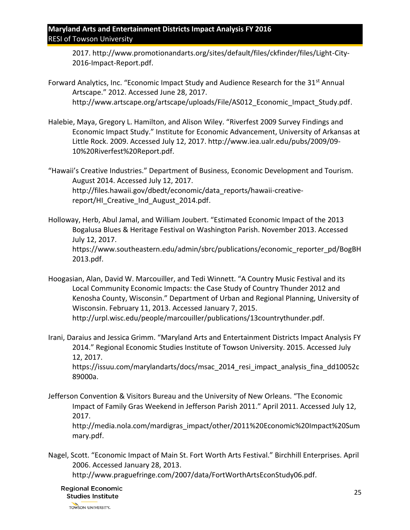2017. http://www.promotionandarts.org/sites/default/files/ckfinder/files/Light-City-2016-Impact-Report.pdf.

- Forward Analytics, Inc. "Economic Impact Study and Audience Research for the 31<sup>st</sup> Annual Artscape." 2012. Accessed June 28, 2017. http://www.artscape.org/artscape/uploads/File/AS012 Economic Impact Study.pdf.
- Halebie, Maya, Gregory L. Hamilton, and Alison Wiley. "Riverfest 2009 Survey Findings and Economic Impact Study." Institute for Economic Advancement, University of Arkansas at Little Rock. 2009. Accessed July 12, 2017. http://www.iea.ualr.edu/pubs/2009/09- 10%20Riverfest%20Report.pdf.

"Hawaii's Creative Industries." Department of Business, Economic Development and Tourism. August 2014. Accessed July 12, 2017. http://files.hawaii.gov/dbedt/economic/data\_reports/hawaii-creativereport/HI Creative Ind August 2014.pdf.

- Holloway, Herb, Abul Jamal, and William Joubert. "Estimated Economic Impact of the 2013 Bogalusa Blues & Heritage Festival on Washington Parish. November 2013. Accessed July 12, 2017. https://www.southeastern.edu/admin/sbrc/publications/economic\_reporter\_pd/BogBH 2013.pdf.
- Hoogasian, Alan, David W. Marcouiller, and Tedi Winnett. "A Country Music Festival and its Local Community Economic Impacts: the Case Study of Country Thunder 2012 and Kenosha County, Wisconsin." Department of Urban and Regional Planning, University of Wisconsin. February 11, 2013. Accessed January 7, 2015. http://urpl.wisc.edu/people/marcouiller/publications/13countrythunder.pdf.
- Irani, Daraius and Jessica Grimm. "Maryland Arts and Entertainment Districts Impact Analysis FY 2014." Regional Economic Studies Institute of Towson University. 2015. Accessed July 12, 2017. https://issuu.com/marylandarts/docs/msac\_2014\_resi\_impact\_analysis\_fina\_dd10052c 89000a.
- Jefferson Convention & Visitors Bureau and the University of New Orleans. "The Economic Impact of Family Gras Weekend in Jefferson Parish 2011." April 2011. Accessed July 12, 2017. http://media.nola.com/mardigras\_impact/other/2011%20Economic%20Impact%20Sum mary.pdf.
- Nagel, Scott. "Economic Impact of Main St. Fort Worth Arts Festival." Birchhill Enterprises. April 2006. Accessed January 28, 2013.

http://www.praguefringe.com/2007/data/FortWorthArtsEconStudy06.pdf.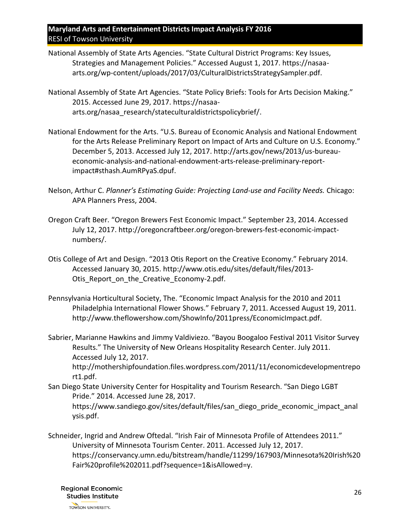- National Assembly of State Arts Agencies. "State Cultural District Programs: Key Issues, Strategies and Management Policies." Accessed August 1, 2017. https://nasaaarts.org/wp-content/uploads/2017/03/CulturalDistrictsStrategySampler.pdf.
- National Assembly of State Art Agencies. "State Policy Briefs: Tools for Arts Decision Making." 2015. Accessed June 29, 2017. https://nasaaarts.org/nasaa\_research/stateculturaldistrictspolicybrief/.
- National Endowment for the Arts. "U.S. Bureau of Economic Analysis and National Endowment for the Arts Release Preliminary Report on Impact of Arts and Culture on U.S. Economy." December 5, 2013. Accessed July 12, 2017. http://arts.gov/news/2013/us-bureaueconomic-analysis-and-national-endowment-arts-release-preliminary-reportimpact#sthash.AumRPyaS.dpuf.
- Nelson, Arthur C. *Planner's Estimating Guide: Projecting Land-use and Facility Needs.* Chicago: APA Planners Press, 2004.
- Oregon Craft Beer. "Oregon Brewers Fest Economic Impact." September 23, 2014. Accessed July 12, 2017. http://oregoncraftbeer.org/oregon-brewers-fest-economic-impactnumbers/.
- Otis College of Art and Design. "2013 Otis Report on the Creative Economy." February 2014. Accessed January 30, 2015. http://www.otis.edu/sites/default/files/2013- Otis\_Report\_on\_the\_Creative\_Economy-2.pdf.
- Pennsylvania Horticultural Society, The. "Economic Impact Analysis for the 2010 and 2011 Philadelphia International Flower Shows." February 7, 2011. Accessed August 19, 2011. http://www.theflowershow.com/ShowInfo/2011press/EconomicImpact.pdf.
- Sabrier, Marianne Hawkins and Jimmy Valdiviezo. "Bayou Boogaloo Festival 2011 Visitor Survey Results." The University of New Orleans Hospitality Research Center. July 2011. Accessed July 12, 2017.

http://mothershipfoundation.files.wordpress.com/2011/11/economicdevelopmentrepo rt1.pdf.

- San Diego State University Center for Hospitality and Tourism Research. "San Diego LGBT Pride." 2014. Accessed June 28, 2017. https://www.sandiego.gov/sites/default/files/san\_diego\_pride\_economic\_impact\_anal ysis.pdf.
- Schneider, Ingrid and Andrew Oftedal. "Irish Fair of Minnesota Profile of Attendees 2011." University of Minnesota Tourism Center. 2011. Accessed July 12, 2017. https://conservancy.umn.edu/bitstream/handle/11299/167903/Minnesota%20Irish%20 Fair%20profile%202011.pdf?sequence=1&isAllowed=y.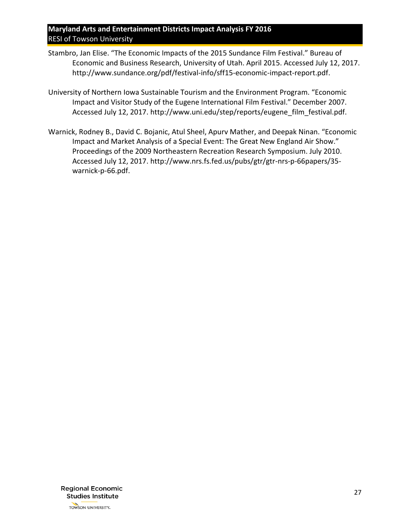- Stambro, Jan Elise. "The Economic Impacts of the 2015 Sundance Film Festival." Bureau of Economic and Business Research, University of Utah. April 2015. Accessed July 12, 2017. http://www.sundance.org/pdf/festival-info/sff15-economic-impact-report.pdf.
- University of Northern Iowa Sustainable Tourism and the Environment Program. "Economic Impact and Visitor Study of the Eugene International Film Festival." December 2007. Accessed July 12, 2017. http://www.uni.edu/step/reports/eugene\_film\_festival.pdf.
- Warnick, Rodney B., David C. Bojanic, Atul Sheel, Apurv Mather, and Deepak Ninan. "Economic Impact and Market Analysis of a Special Event: The Great New England Air Show." Proceedings of the 2009 Northeastern Recreation Research Symposium. July 2010. Accessed July 12, 2017. http://www.nrs.fs.fed.us/pubs/gtr/gtr-nrs-p-66papers/35 warnick-p-66.pdf.

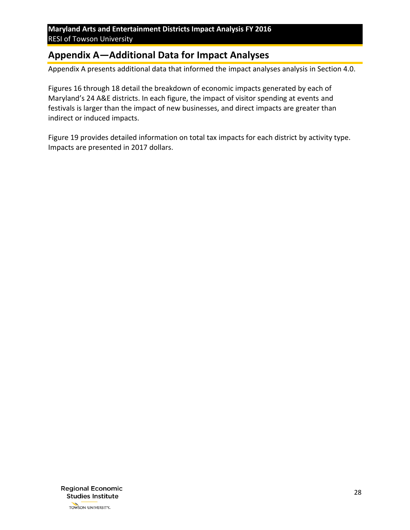# <span id="page-27-0"></span>**Appendix A—Additional Data for Impact Analyses**

Appendix A presents additional data that informed the impact analyses analysis in Section 4.0.

[Figures](#page-28-0) 16 through [18](#page-29-1) detail the breakdown of economic impacts generated by each of Maryland's 24 A&E districts. In each figure, the impact of visitor spending at events and festivals is larger than the impact of new businesses, and direct impacts are greater than [indirect or induced impacts.](#page-30-1) 

[Figure](#page-30-1) 19 provides detailed information on total tax impacts for each district by activity type. Impacts are presented in 2017 dollars.

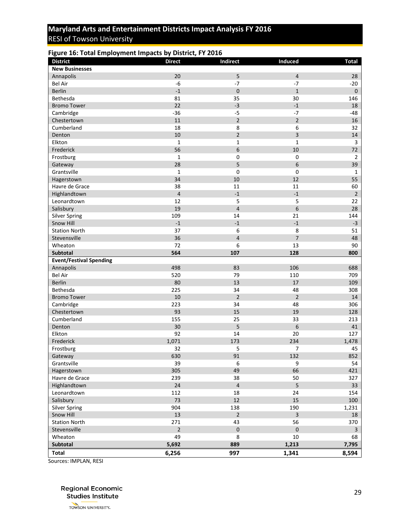#### <span id="page-28-0"></span>**Figure 16: Total Employment Impacts by District, FY 2016**

| <b>District</b>                | <b>Direct</b>           | Indirect                | Induced                 | <b>Total</b>   |
|--------------------------------|-------------------------|-------------------------|-------------------------|----------------|
| <b>New Businesses</b>          |                         |                         |                         |                |
| Annapolis                      | 20                      | 5                       | $\overline{4}$          | 28             |
| <b>Bel Air</b>                 | $-6$                    | $-7$                    | $-7$                    | $-20$          |
| <b>Berlin</b>                  | $^{\text{{\small -1}}}$ | $\mathbf 0$             | $\mathbf 1$             | $\pmb{0}$      |
| Bethesda                       | 81                      | 35                      | 30                      | 146            |
| <b>Bromo Tower</b>             | 22                      | $-3$                    | $-1$                    | 18             |
| Cambridge                      | $-36$                   | $-5$                    | $-7$                    | $-48$          |
| Chestertown                    | 11                      | $\overline{2}$          | $\overline{2}$          | 16             |
| Cumberland                     | 18                      | 8                       | 6                       | 32             |
| Denton                         | 10                      | $\mathbf 2$             | 3                       | 14             |
| Elkton                         | $\mathbf 1$             | $\mathbf{1}$            | $\mathbf 1$             | 3              |
| Frederick                      | 56                      | 6                       | 10                      | 72             |
| Frostburg                      | $\mathbf 1$             | $\pmb{0}$               | $\pmb{0}$               | $\overline{2}$ |
| Gateway                        | 28                      | 5                       | 6                       | 39             |
| Grantsville                    | $\mathbf 1$             | $\mathbf 0$             | $\mathbf 0$             | 1              |
| Hagerstown                     | 34                      | 10                      | 12                      | 55             |
| Havre de Grace                 | 38                      | 11                      | 11                      | 60             |
| Highlandtown                   | $\overline{4}$          | $-1$                    | $-1$                    | $\overline{2}$ |
| Leonardtown                    | 12                      | $\overline{\mathbf{5}}$ | 5                       | 22             |
| Salisbury                      | 19                      | $\overline{4}$          | 6                       | 28             |
| <b>Silver Spring</b>           | 109                     | 14                      | 21                      | 144            |
| Snow Hill                      | $^{\text{{\small -1}}}$ | $^{\rm -1}$             | $^{\mbox{{\small -1}}}$ | $-3$           |
| <b>Station North</b>           | 37                      | 6                       | 8                       | 51             |
| Stevensville                   | 36                      | $\overline{4}$          | $\overline{7}$          | 48             |
| Wheaton                        | 72                      | 6                       | 13                      | 90             |
| Subtotal                       | 564                     | 107                     | 128                     | 800            |
| <b>Event/Festival Spending</b> |                         |                         |                         |                |
| Annapolis                      | 498                     | 83                      | 106                     | 688            |
| <b>Bel Air</b>                 | 520                     | 79                      | 110                     | 709            |
| <b>Berlin</b>                  | 80                      | 13                      | 17                      | 109            |
| Bethesda                       | 225                     | 34                      | 48                      | 308            |
| <b>Bromo Tower</b>             | 10                      | $\overline{2}$          | $\overline{2}$          | 14             |
| Cambridge                      | 223                     | 34                      | 48                      | 306            |
| Chestertown                    | 93                      | 15                      | 19                      | 128            |
| Cumberland                     | 155                     | 25                      | 33                      | 213            |
| Denton                         | 30                      | 5                       | 6                       | 41             |
| Elkton                         | 92                      | 14                      | 20                      | 127            |
| Frederick                      | 1,071                   | 173                     | 234                     | 1,478          |
| Frostburg                      | 32                      | 5                       | 7                       | 45             |
| Gateway                        | 630                     | 91                      | 132                     | 852            |
| Grantsville                    | 39                      | 6                       | 9                       | 54             |
| Hagerstown                     | 305                     | 49                      | 66                      | 421            |
| Havre de Grace                 | 239                     | 38                      | 50                      | 327            |
| Highlandtown                   | $24\,$                  | $\sqrt{4}$              | 5                       | 33             |
| Leonardtown                    | 112                     | 18                      | 24                      | 154            |
| Salisbury                      | 73                      | 12                      | 15                      | 100            |
| <b>Silver Spring</b>           | 904                     | 138                     | 190                     | 1,231          |
| Snow Hill                      | 13                      | $\overline{2}$          | 3                       | 18             |
| <b>Station North</b>           | 271                     | 43                      | 56                      | 370            |
| Stevensville                   | $\mathbf 2$             | $\pmb{0}$               | $\pmb{0}$               | $\mathbf{3}$   |
| Wheaton                        | 49                      | 8                       | 10                      | 68             |
| Subtotal                       | 5,692                   | 889                     | 1,213                   | 7,795          |
| <b>Total</b>                   | 6,256                   | 997                     | 1,341                   | 8,594          |

Sources: IMPLAN, RESI

**Regional Economic Studies Institute**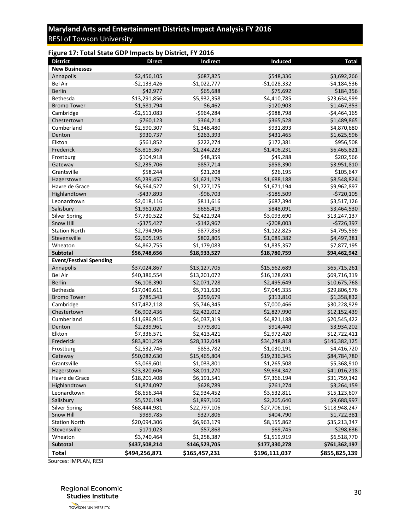#### <span id="page-29-0"></span>**Figure 17: Total State GDP Impacts by District, FY 2016**

| <b>District</b>                | <b>Direct</b> | Indirect      | Induced       | <b>Total</b>  |
|--------------------------------|---------------|---------------|---------------|---------------|
| <b>New Businesses</b>          |               |               |               |               |
| Annapolis                      | \$2,456,105   | \$687,825     | \$548,336     | \$3,692,266   |
| <b>Bel Air</b>                 | $-$2,133,426$ | $-$1,022,777$ | $-$1,028,332$ | $-$4,184,536$ |
| <b>Berlin</b>                  | \$42,977      | \$65,688      | \$75,692      | \$184,356     |
| Bethesda                       | \$13,291,856  | \$5,932,358   | \$4,410,785   | \$23,634,999  |
| <b>Bromo Tower</b>             | \$1,581,794   | \$6,462       | $-$120,903$   | \$1,467,353   |
| Cambridge                      | $-52,511,083$ | $-5964,284$   | $-5988,798$   | $-$4,464,165$ |
| Chestertown                    | \$760,123     | \$364,214     | \$365,528     | \$1,489,865   |
| Cumberland                     | \$2,590,307   | \$1,348,480   | \$931,893     | \$4,870,680   |
| Denton                         | \$930,737     | \$263,393     | \$431,465     | \$1,625,596   |
| Elkton                         | \$561,852     | \$222,274     | \$172,381     | \$956,508     |
| Frederick                      | \$3,815,367   | \$1,244,223   | \$1,406,231   | \$6,465,821   |
| Frostburg                      | \$104,918     | \$48,359      | \$49,288      | \$202,566     |
| Gateway                        | \$2,235,706   | \$857,714     | \$858,390     | \$3,951,810   |
| Grantsville                    | \$58,244      | \$21,208      | \$26,195      | \$105,647     |
| Hagerstown                     | \$5,239,457   | \$1,621,179   | \$1,688,188   | \$8,548,824   |
| Havre de Grace                 | \$6,564,527   | \$1,727,175   | \$1,671,194   | \$9,962,897   |
| Highlandtown                   | $-$437,893$   | $-$96,703$    | $-$185,509$   | $-$ \$720,105 |
| Leonardtown                    | \$2,018,116   | \$811,616     | \$687,394     | \$3,517,126   |
| Salisbury                      | \$1,961,020   | \$655,419     | \$848,091     | \$3,464,530   |
| <b>Silver Spring</b>           | \$7,730,522   | \$2,422,924   | \$3,093,690   | \$13,247,137  |
| Snow Hill                      | $-$ \$375,427 | $-$142,967$   | $-5208,003$   | $-5726,397$   |
| <b>Station North</b>           | \$2,794,906   | \$877,858     | \$1,122,825   | \$4,795,589   |
| Stevensville                   | \$2,605,195   | \$802,805     | \$1,089,382   | \$4,497,381   |
| Wheaton                        | \$4,862,755   | \$1,179,083   | \$1,835,357   | \$7,877,195   |
| <b>Subtotal</b>                | \$56,748,656  | \$18,933,527  | \$18,780,759  | \$94,462,942  |
| <b>Event/Festival Spending</b> |               |               |               |               |
| Annapolis                      | \$37,024,867  | \$13,127,705  | \$15,562,689  | \$65,715,261  |
| <b>Bel Air</b>                 | \$40,386,554  | \$13,201,072  | \$16,128,693  | \$69,716,319  |
| <b>Berlin</b>                  | \$6,108,390   | \$2,071,728   | \$2,495,649   | \$10,675,768  |
| Bethesda                       | \$17,049,611  | \$5,711,630   | \$7,045,335   | \$29,806,576  |
| <b>Bromo Tower</b>             | \$785,343     | \$259,679     | \$313,810     | \$1,358,832   |
| Cambridge                      | \$17,482,118  | \$5,746,345   | \$7,000,466   | \$30,228,929  |
| Chestertown                    | \$6,902,436   | \$2,422,012   | \$2,827,990   | \$12,152,439  |
| Cumberland                     | \$11,686,915  | \$4,037,319   | \$4,821,188   | \$20,545,422  |
| Denton                         | \$2,239,961   | \$779,801     | \$914,440     | \$3,934,202   |
| Elkton                         | \$7,336,571   | \$2,413,421   | \$2,972,420   | \$12,722,411  |
| Frederick                      | \$83,801,259  | \$28,332,048  | \$34,248,818  | \$146,382,125 |
| Frostburg                      | \$2,532,746   | \$853,782     | \$1,030,191   | \$4,416,720   |
| Gateway                        | \$50,082,630  | \$15,465,804  | \$19,236,345  | \$84,784,780  |
| Grantsville                    | \$3,069,601   | \$1,033,801   | \$1,265,508   | \$5,368,910   |
| Hagerstown                     | \$23,320,606  | \$8,011,270   | \$9,684,342   | \$41,016,218  |
| Havre de Grace                 | \$18,201,408  | \$6,191,541   | \$7,366,194   | \$31,759,142  |
| Highlandtown                   | \$1,874,097   | \$628,789     | \$761,274     | \$3,264,159   |
| Leonardtown                    | \$8,656,344   | \$2,934,452   | \$3,532,811   | \$15,123,607  |
| Salisbury                      | \$5,526,198   | \$1,897,160   | \$2,265,640   | \$9,688,997   |
| <b>Silver Spring</b>           | \$68,444,981  | \$22,797,106  | \$27,706,161  | \$118,948,247 |
| Snow Hill                      | \$989,785     | \$327,806     | \$404,790     | \$1,722,381   |
| <b>Station North</b>           | \$20,094,306  | \$6,963,179   | \$8,155,862   | \$35,213,347  |
| Stevensville                   | \$171,023     | \$57,868      | \$69,745      | \$298,636     |
| Wheaton<br>Subtotal            | \$3,740,464   | \$1,258,387   | \$1,519,919   | \$6,518,770   |
|                                | \$437,508,214 | \$146,523,705 | \$177,330,278 | \$761,362,197 |
| <b>Total</b>                   | \$494,256,871 | \$165,457,231 | \$196,111,037 | \$855,825,139 |

<span id="page-29-1"></span>Sources: IMPLAN, RESI

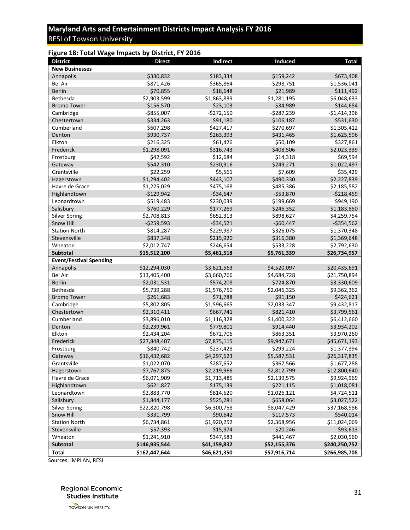#### <span id="page-30-0"></span>**Figure 18: Total Wage Impacts by District, FY 2016**

| <b>District</b>                | <b>Direct</b> | Indirect     | Induced      | <b>Total</b>  |
|--------------------------------|---------------|--------------|--------------|---------------|
| <b>New Businesses</b>          |               |              |              |               |
| Annapolis                      | \$330,832     | \$183,334    | \$159,242    | \$673,408     |
| <b>Bel Air</b>                 | $-5871,426$   | $- $365,864$ | $-5298,751$  | $-$1,536,041$ |
| <b>Berlin</b>                  | \$70,855      | \$18,648     | \$21,989     | \$111,492     |
| Bethesda                       | \$2,903,599   | \$1,863,839  | \$1,281,195  | \$6,048,633   |
| <b>Bromo Tower</b>             | \$156,570     | \$23,103     | $-534,989$   | \$144,684     |
| Cambridge                      | $-$855,007$   | $-$272,150$  | $-5287,239$  | $-$1,414,396$ |
| Chestertown                    | \$334,263     | \$91,180     | \$106,187    | \$531,630     |
| Cumberland                     | \$607,298     | \$427,417    | \$270,697    | \$1,305,412   |
| Denton                         | \$930,737     | \$263,393    | \$431,465    | \$1,625,596   |
| Elkton                         | \$216,325     | \$61,426     | \$50,109     | \$327,861     |
| Frederick                      | \$1,298,091   | \$316,743    | \$408,506    | \$2,023,339   |
| Frostburg                      | \$42,592      | \$12,684     | \$14,318     | \$69,594      |
| Gateway                        | \$542,310     | \$230,916    | \$249,271    | \$1,022,497   |
| Grantsville                    | \$22,259      | \$5,561      | \$7,609      | \$35,429      |
| Hagerstown                     | \$1,294,402   | \$443,107    | \$490,330    | \$2,227,839   |
| Havre de Grace                 | \$1,225,029   | \$475,168    | \$485,386    | \$2,185,582   |
| Highlandtown                   | $-$129,942$   | $-534,647$   | $-$53,870$   | $-5218,459$   |
| Leonardtown                    | \$519,483     | \$230,039    | \$199,669    | \$949,190     |
| Salisbury                      | \$760,229     | \$177,269    | \$246,352    | \$1,183,850   |
| <b>Silver Spring</b>           | \$2,708,813   | \$652,313    | \$898,627    | \$4,259,754   |
| Snow Hill                      | $-$259,593$   | $-534,521$   | $-$60,447$   | $-$ \$354,562 |
| <b>Station North</b>           | \$814,287     | \$229,987    | \$326,075    | \$1,370,348   |
| Stevensville                   | \$837,348     | \$215,920    | \$316,380    | \$1,369,648   |
| Wheaton                        | \$2,012,747   | \$246,654    | \$533,228    | \$2,792,630   |
| Subtotal                       | \$15,512,100  | \$5,461,518  | \$5,761,339  | \$26,734,957  |
| <b>Event/Festival Spending</b> |               |              |              |               |
| Annapolis                      | \$12,294,030  | \$3,621,563  | \$4,520,097  | \$20,435,691  |
| <b>Bel Air</b>                 | \$13,405,400  | \$3,660,766  | \$4,684,728  | \$21,750,894  |
| <b>Berlin</b>                  | \$2,031,531   | \$574,208    | \$724,870    | \$3,330,609   |
| Bethesda                       | \$5,739,288   | \$1,576,750  | \$2,046,325  | \$9,362,362   |
| <b>Bromo Tower</b>             | \$261,683     | \$71,788     | \$91,150     | \$424,621     |
| Cambridge                      | \$5,802,805   | \$1,596,665  | \$2,033,347  | \$9,432,817   |
| Chestertown                    | \$2,310,411   | \$667,741    | \$821,410    | \$3,799,561   |
| Cumberland                     | \$3,896,010   | \$1,116,328  | \$1,400,322  | \$6,412,660   |
| Denton                         | \$2,239,961   | \$779,801    | \$914,440    | \$3,934,202   |
| Elkton                         | \$2,434,204   | \$672,706    | \$863,351    | \$3,970,260   |
| Frederick                      | \$27,848,407  | \$7,875,115  | \$9,947,671  | \$45,671,193  |
| Frostburg                      | \$840,742     | \$237,428    | \$299,224    | \$1,377,394   |
| Gateway                        | \$16,432,682  | \$4,297,623  | \$5,587,531  | \$26,317,835  |
| Grantsville                    | \$1,022,070   | \$287,652    | \$367,566    | \$1,677,288   |
| Hagerstown                     | \$7,767,875   | \$2,219,966  | \$2,812,799  | \$12,800,640  |
| Havre de Grace                 | \$6,071,909   | \$1,713,485  | \$2,139,575  | \$9,924,969   |
| Highlandtown                   | \$621,827     | \$175,139    | \$221,115    | \$1,018,081   |
| Leonardtown                    | \$2,883,770   | \$814,620    | \$1,026,121  | \$4,724,511   |
| Salisbury                      | \$1,844,177   | \$525,281    | \$658,064    | \$3,027,522   |
| <b>Silver Spring</b>           | \$22,820,798  | \$6,300,758  | \$8,047,429  | \$37,168,986  |
| Snow Hill                      | \$331,799     | \$90,642     | \$117,573    | \$540,014     |
| <b>Station North</b>           | \$6,734,861   | \$1,920,252  | \$2,368,956  | \$11,024,069  |
| Stevensville                   | \$57,393      | \$15,974     | \$20,246     | \$93,613      |
| Wheaton                        | \$1,241,910   | \$347,583    | \$441,467    | \$2,030,960   |
| <b>Subtotal</b>                | \$146,935,544 | \$41,159,832 | \$52,155,376 | \$240,250,752 |
| <b>Total</b>                   | \$162,447,644 | \$46,621,350 | \$57,916,714 | \$266,985,708 |

<span id="page-30-1"></span>Sources: IMPLAN, RESI

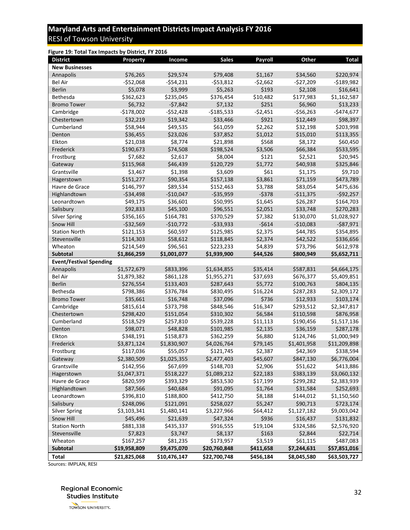<span id="page-31-0"></span>

| Figure 19: Total Tax Impacts by District, FY 2016 |              |              |              |           |             |              |
|---------------------------------------------------|--------------|--------------|--------------|-----------|-------------|--------------|
| <b>District</b>                                   | Property     | Income       | <b>Sales</b> | Payroll   | Other       | <b>Total</b> |
| <b>New Businesses</b>                             |              |              |              |           |             |              |
| Annapolis                                         | \$76,265     | \$29,574     | \$79,408     | \$1,167   | \$34,560    | \$220,974    |
| <b>Bel Air</b>                                    | -\$52,068    | $-$54,231$   | -\$53,812    | $-52,662$ | $-$27,209$  | $-$189,982$  |
| <b>Berlin</b>                                     | \$5,078      | \$3,999      | \$5,263      | \$193     | \$2,108     | \$16,641     |
| Bethesda                                          | \$362,623    | \$235,045    | \$376,454    | \$10,482  | \$177,983   | \$1,162,587  |
| <b>Bromo Tower</b>                                | \$6,732      | $-57,842$    | \$7,132      | \$251     | \$6,960     | \$13,233     |
| Cambridge                                         | $-$178,002$  | $-$52,428$   | $-$185,533$  | $-52,451$ | $-556,263$  | $-$474,677$  |
| Chestertown                                       | \$32,219     | \$19,342     | \$33,466     | \$921     | \$12,449    | \$98,397     |
| Cumberland                                        | \$58,944     | \$49,535     | \$61,059     | \$2,262   | \$32,198    | \$203,998    |
| Denton                                            | \$36,455     | \$23,026     | \$37,852     | \$1,012   | \$15,010    | \$113,355    |
| Elkton                                            | \$21,038     | \$8,774      | \$21,898     | \$568     | \$8,172     | \$60,450     |
| Frederick                                         | \$190,673    | \$74,508     | \$198,524    | \$3,506   | \$66,384    | \$533,595    |
| Frostburg                                         | \$7,682      | \$2,617      | \$8,004      | \$121     | \$2,521     | \$20,945     |
| Gateway                                           | \$115,968    | \$46,439     | \$120,729    | \$1,772   | \$40,938    | \$325,846    |
| Grantsville                                       | \$3,467      | \$1,398      | \$3,609      | \$61      | \$1,175     | \$9,710      |
| Hagerstown                                        | \$151,277    | \$90,354     | \$157,138    | \$3,861   | \$71,159    | \$473,789    |
| Havre de Grace                                    | \$146,797    | \$89,534     | \$152,463    | \$3,788   | \$83,054    | \$475,636    |
| Highlandtown                                      | $-534,498$   | $-$10,047$   | $-$35,959$   | $-5378$   | $-$11,375$  | $-$92,257$   |
| Leonardtown                                       | \$49,175     | \$36,601     | \$50,995     | \$1,645   | \$26,287    | \$164,703    |
| Salisbury                                         | \$92,833     | \$45,100     | \$96,551     | \$2,051   | \$33,748    | \$270,283    |
| <b>Silver Spring</b>                              | \$356,165    | \$164,781    | \$370,529    | \$7,382   | \$130,070   | \$1,028,927  |
| Snow Hill                                         | $-532,569$   | $-$10,772$   | $-533,933$   | $-5614$   | $-$10,083$  | $-$ \$87,971 |
| <b>Station North</b>                              | \$121,153    | \$60,597     | \$125,985    | \$2,375   | \$44,785    | \$354,895    |
| Stevensville                                      | \$114,303    | \$58,612     | \$118,845    | \$2,374   | \$42,522    | \$336,656    |
| Wheaton                                           | \$214,549    | \$96,561     | \$223,233    | \$4,839   | \$73,796    | \$612,978    |
| <b>Subtotal</b>                                   | \$1,866,259  | \$1,001,077  | \$1,939,900  | \$44,526  | \$800,949   | \$5,652,711  |
| <b>Event/Festival Spending</b>                    |              |              |              |           |             |              |
| Annapolis                                         | \$1,572,679  | \$833,396    | \$1,634,855  | \$35,414  | \$587,831   | \$4,664,175  |
| <b>Bel Air</b>                                    | \$1,879,382  | \$861,128    | \$1,955,271  | \$37,693  | \$676,377   | \$5,409,851  |
| <b>Berlin</b>                                     | \$276,554    | \$133,403    | \$287,643    | \$5,772   | \$100,763   | \$804,135    |
| Bethesda                                          | \$798,386    | \$376,784    | \$830,495    | \$16,224  | \$287,283   | \$2,309,172  |
| <b>Bromo Tower</b>                                | \$35,661     | \$16,748     | \$37,096     | \$736     | \$12,933    | \$103,174    |
| Cambridge                                         | \$815,614    | \$373,798    | \$848,546    | \$16,347  | \$293,512   | \$2,347,817  |
| Chestertown                                       | \$298,420    | \$151,054    | \$310,302    | \$6,584   | \$110,598   | \$876,958    |
| Cumberland                                        | \$518,529    | \$257,810    | \$539,228    | \$11,113  | \$190,456   | \$1,517,136  |
| Denton                                            | \$98,071     | \$48,828     | \$101,985    | \$2,135   | \$36,159    | \$287,178    |
| Elkton                                            | \$348,191    | \$158,873    | \$362,259    | \$6,880   | \$124,746   | \$1,000,949  |
| Frederick                                         | \$3,871,124  | \$1,830,907  | \$4,026,764  | \$79,145  | \$1,401,958 | \$11,209,898 |
| Frostburg                                         | \$117,036    | \$55,057     | \$121,745    | \$2,387   | \$42,369    | \$338,594    |
| Gateway                                           | \$2,380,509  | \$1,025,355  | \$2,477,403  | \$45,607  | \$847,130   | \$6,776,004  |
| Grantsville                                       | \$142,956    | \$67,699     | \$148,703    | \$2,906   | \$51,622    | \$413,886    |
| Hagerstown                                        | \$1,047,371  | \$518,227    | \$1,089,212  | \$22,183  | \$383,139   | \$3,060,132  |
| Havre de Grace                                    | \$820,599    | \$393,329    | \$853,530    | \$17,199  | \$299,282   | \$2,383,939  |
| Highlandtown                                      | \$87,566     | \$40,684     | \$91,095     | \$1,764   | \$31,584    | \$252,693    |
| Leonardtown                                       | \$396,810    | \$188,800    | \$412,750    | \$8,188   | \$144,012   | \$1,150,560  |
| Salisbury                                         | \$248,096    | \$121,091    | \$258,027    | \$5,247   | \$90,713    | \$723,174    |
| <b>Silver Spring</b>                              | \$3,103,341  | \$1,480,141  | \$3,227,966  | \$64,412  | \$1,127,182 | \$9,003,042  |
| Snow Hill                                         | \$45,496     | \$21,639     | \$47,324     | \$936     | \$16,437    | \$131,832    |
| <b>Station North</b>                              | \$881,338    | \$435,337    | \$916,555    | \$19,104  | \$324,586   | \$2,576,920  |
| Stevensville                                      | \$7,823      | \$3,747      | \$8,137      | \$163     | \$2,844     | \$22,714     |
| Wheaton                                           | \$167,257    | \$81,235     | \$173,957    | \$3,519   | \$61,115    | \$487,083    |
| Subtotal                                          | \$19,958,809 | \$9,475,070  | \$20,760,848 | \$411,658 | \$7,244,631 | \$57,851,016 |
| <b>Total</b>                                      | \$21,825,068 | \$10,476,147 | \$22,700,748 | \$456,184 | \$8,045,580 | \$63,503,727 |

[Sources: IMPLAN, RESI](#page-32-0)

**Regional Economic Studies Institute**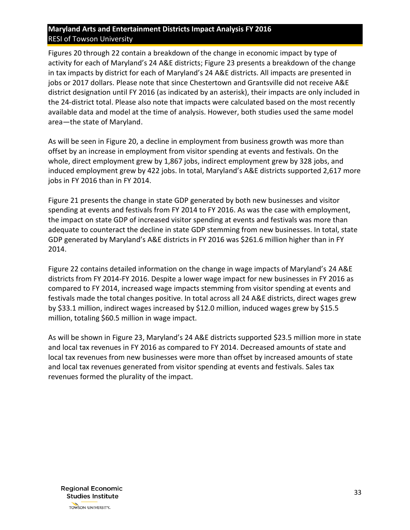[Figures](#page-32-0) 20 through [22](#page-34-1) contain a breakdown of the change in economic impact by type of activity for each of Maryland's 24 A&E districts; [Figure 23](#page-35-1) presents a breakdown of the change in tax impacts by district for each of Maryland's 24 A&E districts. All impacts are presented in jobs or 2017 dollars. Please note that since Chestertown and Grantsville did not receive A&E district designation until FY 2016 (as indicated by an asterisk), their impacts are only included in the 24-district total. Please also note that impacts were calculated based on the most recently available data and model at the time of analysis. However, both studies used the same model area—the state of Maryland.

As will be seen in [Figure](#page-32-0) 20, a decline in employment from business growth was more than offset by an increase in employment from visitor spending at events and festivals. On the whole, direct employment grew by 1,867 jobs, indirect employment grew by 328 jobs, and induced employment grew by 422 jobs. In total, Maryland's A&E districts supported 2,617 more jobs in FY 2016 than in FY 2014.

[Figure](#page-34-0) 21 presents the change in state GDP generated by both new businesses and visitor spending at events and festivals from FY 2014 to FY 2016. As was the case with employment, the impact on state GDP of increased visitor spending at events and festivals was more than adequate to counteract the decline in state GDP stemming from new businesses. In total, state GDP generated by Maryland's A&E districts in FY 2016 was \$261.6 million higher than in FY 2014.

[Figure](#page-34-1) 22 contains detailed information on the change in wage impacts of Maryland's 24 A&E districts from FY 2014-FY 2016. Despite a lower wage impact for new businesses in FY 2016 as compared to FY 2014, increased wage impacts stemming from visitor spending at events and festivals made the total changes positive. In total across all 24 A&E districts, direct wages grew by \$33.1 million, indirect wages increased by \$12.0 million, induced wages grew by \$15.5 million, totaling \$60.5 million in wage impact.

<span id="page-32-0"></span>As will be shown in [Figure 23](#page-35-2), Maryland's 24 A&E districts supported \$23.5 million more in state and local tax revenues in FY 2016 as compared to FY 2014. Decreased amounts of state and local tax revenues from new businesses were more than offset by increased amounts of state and local tax revenues generated from visitor spending at events and festivals. Sales tax revenues formed the plurality of the impact.

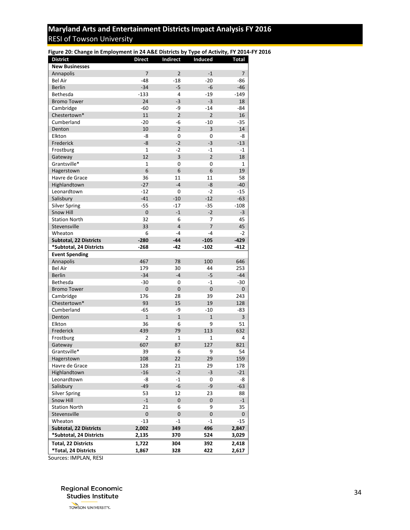<span id="page-33-0"></span>

| Figure 20: Change in Employment in 24 A&E Districts by Type of Activity, FY 2014-FY 2016 |                |                |                |              |
|------------------------------------------------------------------------------------------|----------------|----------------|----------------|--------------|
| <b>District</b>                                                                          | <b>Direct</b>  | Indirect       | Induced        | <b>Total</b> |
| <b>New Businesses</b>                                                                    |                |                |                |              |
| Annapolis                                                                                | $\overline{7}$ | $\overline{2}$ | $-1$           | 7            |
| <b>Bel Air</b>                                                                           | $-48$          | $-18$          | $-20$          | -86          |
| <b>Berlin</b>                                                                            | $-34$          | $-5$           | -6             | $-46$        |
| Bethesda                                                                                 | $-133$         | 4              | $-19$          | $-149$       |
| <b>Bromo Tower</b>                                                                       | 24             | $-3$           | $-3$           | 18           |
| Cambridge                                                                                | -60            | -9             | $-14$          | -84          |
| Chestertown*                                                                             | 11             | $\overline{2}$ | $\overline{2}$ | 16           |
| Cumberland                                                                               | $-20$          | -6             | $-10$          | $-35$        |
| Denton                                                                                   | 10             | $\overline{2}$ | 3              | 14           |
| Elkton                                                                                   | -8             | 0              | 0              | -8           |
| Frederick                                                                                | $-8$           | $-2$           | $-3$           | $-13$        |
| Frostburg                                                                                | $\mathbf{1}$   | $-2$           | $-1$           | $-1$         |
| Gateway                                                                                  | 12             | 3              | $\overline{2}$ | 18           |
| Grantsville*                                                                             | $\mathbf{1}$   | 0              | 0              | 1            |
| Hagerstown                                                                               | 6              | 6              | 6              | 19           |
| Havre de Grace                                                                           | 36             | 11             | 11             | 58           |
| Highlandtown                                                                             | $-27$          | $-4$           | -8             | $-40$        |
| Leonardtown                                                                              | -12            | 0              | $-2$           | $-15$        |
| Salisbury                                                                                | $-41$          | $-10$          | $-12$          | $-63$        |
| <b>Silver Spring</b>                                                                     | $-55$          | $-17$          | $-35$          | $-108$       |
| Snow Hill                                                                                | $\mathbf 0$    | $-1$           | $-2$           | $-3$         |
| <b>Station North</b>                                                                     | 32             | 6              | 7              | 45           |
| Stevensville                                                                             | 33             | $\overline{4}$ | $\overline{7}$ | 45           |
| Wheaton                                                                                  | 6              | $-4$           | $-4$           | $-2$         |
| <b>Subtotal, 22 Districts</b>                                                            | $-280$         | $-44$          | $-105$         | $-429$       |
| *Subtotal, 24 Districts                                                                  | $-268$         | $-42$          | $-102$         | $-412$       |
|                                                                                          |                |                |                |              |
| <b>Event Spending</b>                                                                    | 467            | 78             | 100            | 646          |
| Annapolis                                                                                | 179            | 30             |                |              |
| Bel Air                                                                                  | $-34$          | $-4$           | 44<br>$-5$     | 253<br>$-44$ |
| <b>Berlin</b>                                                                            |                |                |                |              |
| Bethesda                                                                                 | $-30$          | 0              | $-1$           | $-30$        |
| <b>Bromo Tower</b>                                                                       | $\mathbf 0$    | $\mathbf 0$    | $\mathbf 0$    | $\mathbf 0$  |
| Cambridge                                                                                | 176            | 28             | 39             | 243          |
| Chestertown*                                                                             | 93             | 15             | 19             | 128          |
| Cumberland                                                                               | $-65$          | -9             | $-10$          | -83          |
| Denton                                                                                   | $\overline{1}$ | $\mathbf{1}$   | $\mathbf{1}$   | 3            |
| Elkton                                                                                   | 36             | 6              | 9              | 51           |
| Frederick                                                                                | 439            | 79             | 113            | 632          |
| Frostburg                                                                                | 2              | 1              | 1              | 4            |
| Gateway                                                                                  | 607            | 87             | 127            | 821          |
| Grantsville*                                                                             | 39             | 6              | 9              | 54           |
| Hagerstown                                                                               | 108            | 22             | 29             | 159          |
| Havre de Grace                                                                           | 128            | 21             | 29             | 178          |
| Highlandtown                                                                             | $-16$          | $-2$           | $-3$           | $-21$        |
| Leonardtown                                                                              | -8             | $-1$           | 0              | -8           |
| Salisbury                                                                                | $-49$          | $-6$           | -9             | $-63$        |
| <b>Silver Spring</b>                                                                     | 53             | 12             | 23             | 88           |
| Snow Hill                                                                                | $-1$           | 0              | $\mathbf 0$    | $-1$         |
| <b>Station North</b>                                                                     | 21             | 6              | 9              | 35           |
| Stevensville                                                                             | $\pmb{0}$      | 0              | $\pmb{0}$      | 0            |
| Wheaton                                                                                  | $-13$          | $-1$           | $-1$           | $-15$        |
| <b>Subtotal, 22 Districts</b>                                                            | 2,002          | 349            | 496            | 2,847        |
| *Subtotal, 24 Districts                                                                  | 2,135          | 370            | 524            | 3,029        |
| Total, 22 Districts                                                                      | 1,722          | 304            | 392            | 2,418        |
| *Total, 24 Districts                                                                     | 1,867          | 328            | 422            | 2,617        |

Sources: IMPLAN, RESI

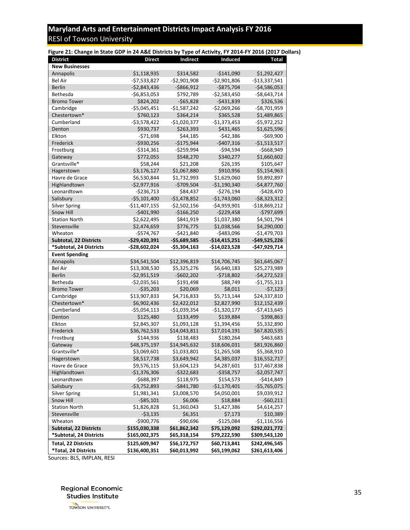<span id="page-34-0"></span>

| Figure 21: Change in State GDP in 24 A&E Districts by Type of Activity, FY 2014-FY 2016 (2017 Dollars) |                |               |                |                 |
|--------------------------------------------------------------------------------------------------------|----------------|---------------|----------------|-----------------|
| <b>District</b>                                                                                        | <b>Direct</b>  | Indirect      | Induced        | Total           |
| <b>New Businesses</b>                                                                                  |                |               |                |                 |
| Annapolis                                                                                              | \$1,118,935    | \$314,582     | $-$141,090$    | \$1,292,427     |
| <b>Bel Air</b>                                                                                         | $-57,533,827$  | $-$2,901,908$ | $-52,901,806$  | $-$13,337,541$  |
| <b>Berlin</b>                                                                                          | $-52,843,436$  | $-5866,912$   | $-$875,704$    | $-$4,586,053$   |
| Bethesda                                                                                               | $-56,853,053$  | \$792,789     | $-$2,583,450$  | $-$ \$8,643,714 |
| <b>Bromo Tower</b>                                                                                     | \$824,202      | $-565,828$    | $-5431,839$    | \$326,536       |
| Cambridge                                                                                              | $-$5,045,451$  | $-$1,587,242$ | $-$2,069,266$  | $-58,701,959$   |
| Chestertown*                                                                                           | \$760,123      | \$364,214     | \$365,528      | \$1,489,865     |
| Cumberland                                                                                             | $-53,578,422$  | $-$1,020,377$ | $-$1,373,453$  | $-$5,972,252$   |
| Denton                                                                                                 | \$930,737      | \$263,393     | \$431,465      | \$1,625,596     |
| Elkton                                                                                                 | $-571,698$     | \$44,185      | $-542,386$     | $-$69,900$      |
| Frederick                                                                                              | $-5930,256$    | $-$175,944$   | $-$407,316$    | $-$1,513,517$   |
| Frostburg                                                                                              | $-5314,361$    | $-5259,994$   | $-594,594$     | $-$668,949$     |
| Gateway                                                                                                | \$772,055      | \$548,270     | \$340,277      | \$1,660,602     |
| Grantsville*                                                                                           | \$58,244       | \$21,208      | \$26,195       | \$105,647       |
| Hagerstown                                                                                             | \$3,176,127    | \$1,067,880   | \$910,956      | \$5,154,963     |
| Havre de Grace                                                                                         | \$6,530,844    | \$1,732,993   | \$1,629,060    | \$9,892,897     |
| Highlandtown                                                                                           | $-$2,977,916$  | $-5709,504$   | $-$1,190,340$  | $-$4,877,760$   |
| Leonardtown                                                                                            | -\$236,713     | \$84,437      | $-5276,194$    | $-$428,470$     |
| Salisbury                                                                                              | $-55,101,400$  | $-$1,478,852$ | $-$1,743,060$  | $-58,323,312$   |
| <b>Silver Spring</b>                                                                                   | $-$11,407,155$ | $-$2,502,156$ | $-$4,959,901$  | $-$18,869,212$  |
| <b>Snow Hill</b>                                                                                       | $-5401,990$    | $-$166,250$   | $-$229,458$    | $-$797,699$     |
| <b>Station North</b>                                                                                   | \$2,622,495    | \$841,919     | \$1,037,380    | \$4,501,794     |
| Stevensville                                                                                           | \$2,474,659    | \$776,775     | \$1,038,566    | \$4,290,000     |
| Wheaton                                                                                                | $-$574,767$    | $-5421,840$   | $-$483,096$    | $-$1,479,703$   |
| Subtotal, 22 Districts                                                                                 | $-$29,420,391$ | $-$5,689,585$ | $-$14,415,251$ | $-$49,525,226$  |
| *Subtotal, 24 Districts                                                                                | $-$28,602,024$ | $-$5,304,163$ | -\$14,023,528  | -\$47,929,714   |
| <b>Event Spending</b>                                                                                  |                |               |                |                 |
| Annapolis                                                                                              | \$34,541,504   | \$12,396,819  | \$14,706,745   | \$61,645,067    |
| <b>Bel Air</b>                                                                                         | \$13,308,530   | \$5,325,276   | \$6,640,183    | \$25,273,989    |
| <b>Berlin</b>                                                                                          | $-$2,951,519$  | $-$602,202$   | $-5718,802$    | $-$4,272,523$   |
| Bethesda                                                                                               | $-52,035,561$  | \$191,498     | \$88,749       | $-$1,755,313$   |
| <b>Bromo Tower</b>                                                                                     | $-535,203$     | \$20,069      | \$8,011        | $-57,123$       |
| Cambridge                                                                                              | \$13,907,833   | \$4,716,833   | \$5,713,144    | \$24,337,810    |
| Chestertown*                                                                                           | \$6,902,436    | \$2,422,012   | \$2,827,990    | \$12,152,439    |
| Cumberland                                                                                             | $-55,054,113$  | $-$1,039,354$ | $-$1,320,177$  | $-$7,413,645$   |
| Denton                                                                                                 | \$125,480      | \$133,499     | \$139,884      | \$398,863       |
| Elkton                                                                                                 | \$2,845,307    | \$1,093,128   | \$1,394,456    | \$5,332,890     |
| Frederick                                                                                              | \$36,762,533   | \$14,043,811  | \$17,014,191   | \$67,820,535    |
| Frostburg                                                                                              | \$144,936      | \$138,483     | \$180,264      | \$463,683       |
| Gateway                                                                                                | \$48,375,197   | \$14,945,632  | \$18,606,031   | \$81,926,860    |
| Grantsville*                                                                                           | \$3,069,601    | \$1,033,801   | \$1,265,508    | \$5,368,910     |
| Hagerstown                                                                                             | \$8,517,738    | \$3,649,942   | \$4,385,037    | \$16,552,717    |
| Havre de Grace                                                                                         | \$9,576,115    | \$3,604,123   | \$4,287,601    | \$17,467,838    |
| Highlandtown                                                                                           | $-$1,376,306$  | $-5322,683$   | $-5358,757$    | $-$2,057,747$   |
| Leonardtown                                                                                            | -\$688,397     | \$118,975     | \$154,573      | $-$414,849$     |
| Salisbury                                                                                              | $-53,752,893$  | $-5841,780$   | $-$1,170,401$  | $-$5,765,075$   |
| <b>Silver Spring</b>                                                                                   | \$1,981,341    | \$3,008,570   | \$4,050,001    | \$9,039,912     |
| Snow Hill                                                                                              | $-585,101$     | \$6,006       | \$18,884       | $-$60,211$      |
| <b>Station North</b>                                                                                   | \$1,826,828    | \$1,360,043   | \$1,427,386    | \$4,614,257     |
| Stevensville                                                                                           | $-53,135$      | \$6,351       | \$7,173        | \$10,389        |
| Wheaton                                                                                                | $-$900,776$    | $-$90,696$    | $-$125,084$    | -\$1,116,556    |
| <b>Subtotal, 22 Districts</b>                                                                          | \$155,030,338  | \$61,862,342  | \$75,129,092   | \$292,021,772   |
| *Subtotal, 24 Districts                                                                                | \$165,002,375  | \$65,318,154  | \$79,222,590   | \$309,543,120   |
| <b>Total, 22 Districts</b>                                                                             | \$125,609,947  | \$56,172,757  | \$60,713,841   | \$242,496,545   |
| *Total, 24 Districts                                                                                   | \$136,400,351  | \$60,013,992  | \$65,199,062   | \$261,613,406   |

Sources: BLS, IMPLAN, RESI

<span id="page-34-1"></span>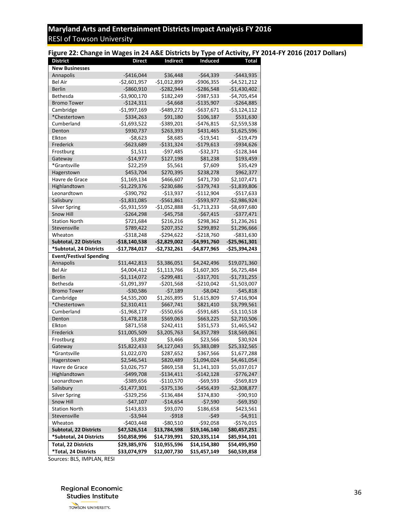#### <span id="page-35-0"></span>**Figure 22: Change in Wages in 24 A&E Districts by Type of Activity, FY 2014-FY 2016 (2017 Dollars)**

| <b>District</b>                                    | <b>Direct</b>                | <b>Indirect</b>              | Induced                      | Total                        |
|----------------------------------------------------|------------------------------|------------------------------|------------------------------|------------------------------|
| <b>New Businesses</b>                              |                              |                              |                              |                              |
| Annapolis                                          | -\$416,044                   | \$36,448                     | -\$64,339                    | -\$443,935                   |
| <b>Bel Air</b>                                     | -\$2,601,957                 | -\$1,012,899                 | -\$906,355                   | -\$4,521,212                 |
| Berlin                                             | $-$ \$860,910                | $-$ \$282,944                | -\$286,548                   | $-$1,430,402$                |
| Bethesda                                           | -\$3,900,170                 | \$182,249                    | -\$987,533                   | -\$4,705,454                 |
| <b>Bromo Tower</b>                                 | $-5124,311$                  | $-54,668$                    | $-$135,907$                  | -\$264,885                   |
| Cambridge                                          | -\$1,997,169                 | -\$489,272                   | -\$637,671                   | -\$3,124,112                 |
| *Chestertown                                       | \$334,263                    | \$91,180                     | \$106,187                    | \$531,630                    |
| Cumberland                                         | $-$1,693,522$                | -\$389,201                   | -\$476,815                   | -\$2,559,538                 |
| Denton                                             | \$930,737                    | \$263,393                    | \$431,465                    | \$1,625,596                  |
| Elkton                                             | -\$8,623                     | \$8,685                      | -\$19,541                    | -\$19,479                    |
| Frederick                                          | $-5623,689$                  | $-5131,324$                  | -\$179,613                   | $-$ \$934,626                |
| Frostburg                                          | \$1,511                      | -\$97,485                    | -\$32,371                    | -\$128,344                   |
| Gateway                                            | -\$14,977                    | \$127,198                    | \$81,238                     | \$193,459                    |
| *Grantsville                                       | \$22,259                     | \$5,561                      | \$7,609                      | \$35,429                     |
| Hagerstown                                         | \$453,704                    | \$270,395                    | \$238,278                    | \$962,377                    |
| Havre de Grace                                     | \$1,169,134                  | \$466,607                    | \$471,730                    | \$2,107,471                  |
| Highlandtown                                       | $-$1,229,376$                | -\$230,686                   | -\$379,743                   | $-$1,839,806$                |
| Leonardtown                                        | $-$ \$390,792                | -\$13,937                    | -\$112,904                   | -\$517,633                   |
| Salisbury                                          | $-51,831,085$                | $-5561,861$                  | -\$593,977                   | -\$2,986,924                 |
| <b>Silver Spring</b>                               | -\$5,931,559                 | -\$1,052,888                 | -\$1,713,233                 | -\$8,697,680                 |
| <b>Snow Hill</b>                                   | -\$264,298                   | $-545,758$                   | $-$67,415$                   | -\$377,471                   |
| <b>Station North</b>                               | \$721,684                    | \$216,216                    | \$298,362                    | \$1,236,261                  |
| Stevensville                                       | \$789,422                    | \$207,352                    | \$299,892                    | \$1,296,666                  |
| Wheaton                                            | -\$318,248                   | -\$294,622                   | -\$218,760                   | -\$831,630                   |
| <b>Subtotal, 22 Districts</b>                      | -\$18,140,538                | -\$2,829,002                 | -\$4,991,760                 | -\$25,961,301                |
| *Subtotal, 24 Districts                            | -\$17,784,017                | -\$2,732,261                 | -\$4,877,965                 | -\$25,394,243                |
| <b>Event/Festival Spending</b>                     |                              |                              |                              |                              |
| Annapolis                                          | \$11,442,813                 | \$3,386,051                  | \$4,242,496                  | \$19,071,360                 |
| Bel Air                                            | \$4,004,412                  | \$1,113,766                  | \$1,607,305                  | \$6,725,484                  |
| <b>Berlin</b>                                      | $-51,114,072$                | $-$ \$299,481                | -\$317,701                   | -\$1,731,255                 |
| Bethesda                                           | -\$1,091,397                 | $-$ \$201,568                | $-$ \$210,042                | -\$1,503,007                 |
| <b>Bromo Tower</b>                                 | $-530,586$                   | $-57,189$                    | $-58,042$                    | $-545,818$                   |
| Cambridge                                          | \$4,535,200                  | \$1,265,895                  | \$1,615,809                  | \$7,416,904                  |
| *Chestertown                                       | \$2,310,411                  | \$667,741                    | \$821,410                    | \$3,799,561                  |
| Cumberland                                         | -\$1,968,177                 | -\$550,656                   | -\$591,685                   | -\$3,110,518                 |
| Denton                                             | \$1,478,218                  | \$569,063                    |                              |                              |
| Elkton                                             |                              |                              | \$663,225                    | \$2,710,506                  |
|                                                    | \$871,558                    | \$242,411                    | \$351,573                    | \$1,465,542                  |
| Frederick                                          | \$11,005,509                 | \$3,205,763                  | \$4,357,789                  | \$18,569,061                 |
| Frostburg                                          | \$3,892                      | \$3,466                      | \$23,566                     | \$30,924                     |
| Gateway                                            | \$15,822,433                 | \$4,127,043                  | \$5,383,089                  | \$25,332,565                 |
| *Grantsville                                       | \$1,022,070                  | \$287,652                    | \$367,566                    | \$1,677,288                  |
| Hagerstown                                         | \$2,546,541                  | \$820,489                    | \$1,094,024                  | \$4,461,054                  |
| Havre de Grace                                     | \$3,026,757                  | \$869,158                    | \$1,141,103                  | \$5,037,017                  |
| Highlandtown                                       | $-$499,708$                  | $-$134,411$                  | $-$142,128$                  | $-$776,247$                  |
| Leonardtown                                        | -\$389,656                   | $-$110,570$                  | $-569,593$                   | $-5569,819$                  |
| Salisbury                                          | $-$1,477,301$                | $-$ \$375,136                | $-$456,439$                  | $-52,308,877$                |
| <b>Silver Spring</b>                               | $-$329,256$                  | $-$136,484$                  | \$374,830                    | $-590,910$                   |
| Snow Hill                                          | $-$47,107$                   | $-$14,654$                   | $-57,590$                    | $-$69,350$                   |
| <b>Station North</b>                               | \$143,833                    | \$93,070                     | \$186,658                    | \$423,561                    |
| Stevensville                                       | $-53,944$                    | $-5918$                      | $-549$                       | $-54,911$                    |
| Wheaton                                            | $-$403,448$                  | $-580,510$                   | $-592,058$                   | $-$576,015$                  |
| <b>Subtotal, 22 Districts</b>                      | \$47,526,514                 | \$13,784,598                 | \$19,146,140                 | \$80,457,251                 |
| *Subtotal, 24 Districts                            | \$50,858,996                 | \$14,739,991                 | \$20,335,114                 | \$85,934,101                 |
| <b>Total, 22 Districts</b><br>*Total, 24 Districts | \$29,385,976<br>\$33,074,979 | \$10,955,596<br>\$12,007,730 | \$14,154,380<br>\$15,457,149 | \$54,495,950<br>\$60,539,858 |

<span id="page-35-2"></span><span id="page-35-1"></span>Sources: BLS, IMPLAN, RESI

**Regional Economic Studies Institute**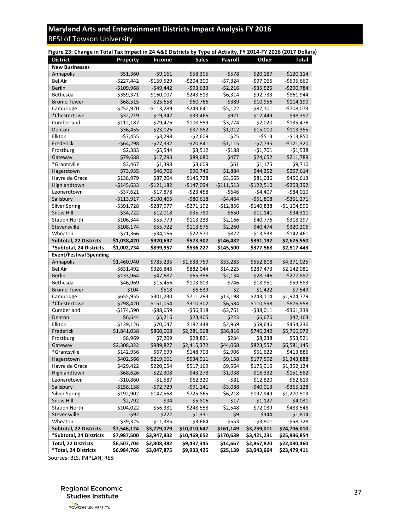| Property                   | Income                                                                                                                                                                                                                                                      | <b>Sales</b>                                                                                                                                                                                                                              | <b>Payroll</b>                                                                                                                                                                                                                                                                            | Other                                                                                                                                                                                                    | Total                                                                                                                                                                                                                                                                                                                                                                                     |
|----------------------------|-------------------------------------------------------------------------------------------------------------------------------------------------------------------------------------------------------------------------------------------------------------|-------------------------------------------------------------------------------------------------------------------------------------------------------------------------------------------------------------------------------------------|-------------------------------------------------------------------------------------------------------------------------------------------------------------------------------------------------------------------------------------------------------------------------------------------|----------------------------------------------------------------------------------------------------------------------------------------------------------------------------------------------------------|-------------------------------------------------------------------------------------------------------------------------------------------------------------------------------------------------------------------------------------------------------------------------------------------------------------------------------------------------------------------------------------------|
|                            |                                                                                                                                                                                                                                                             |                                                                                                                                                                                                                                           |                                                                                                                                                                                                                                                                                           |                                                                                                                                                                                                          |                                                                                                                                                                                                                                                                                                                                                                                           |
| \$51,360                   |                                                                                                                                                                                                                                                             | \$58,305                                                                                                                                                                                                                                  | $-5578$                                                                                                                                                                                                                                                                                   | \$20,187                                                                                                                                                                                                 | \$120,114                                                                                                                                                                                                                                                                                                                                                                                 |
| $-$227,442$                | $-$159,529$                                                                                                                                                                                                                                                 | $-$204,300$                                                                                                                                                                                                                               | $-57,324$                                                                                                                                                                                                                                                                                 | $-$97,065$                                                                                                                                                                                               | $-$695,660$                                                                                                                                                                                                                                                                                                                                                                               |
| $-$109,968$                | $-549,442$                                                                                                                                                                                                                                                  | $-593,633$                                                                                                                                                                                                                                | $-52,216$                                                                                                                                                                                                                                                                                 | $-535,525$                                                                                                                                                                                               | $-5290,784$                                                                                                                                                                                                                                                                                                                                                                               |
| -\$359,371                 | $-$160,007$                                                                                                                                                                                                                                                 | $-5243,518$                                                                                                                                                                                                                               | $-56,314$                                                                                                                                                                                                                                                                                 | $-592,733$                                                                                                                                                                                               | $-$861,944$                                                                                                                                                                                                                                                                                                                                                                               |
| \$68,515                   | $-525,658$                                                                                                                                                                                                                                                  | \$60,766                                                                                                                                                                                                                                  | $-5389$                                                                                                                                                                                                                                                                                   | \$10,956                                                                                                                                                                                                 | \$114,190                                                                                                                                                                                                                                                                                                                                                                                 |
| $-$252,920$                | $-$113,289$                                                                                                                                                                                                                                                 | $-5249,641$                                                                                                                                                                                                                               | $-55,122$                                                                                                                                                                                                                                                                                 | $-587,101$                                                                                                                                                                                               | $-5708,073$                                                                                                                                                                                                                                                                                                                                                                               |
| \$32,219                   | \$19,342                                                                                                                                                                                                                                                    | \$33,466                                                                                                                                                                                                                                  | \$921                                                                                                                                                                                                                                                                                     | \$12,449                                                                                                                                                                                                 | \$98,397                                                                                                                                                                                                                                                                                                                                                                                  |
| \$112,187                  | $-579,476$                                                                                                                                                                                                                                                  | \$108,559                                                                                                                                                                                                                                 | $-53,774$                                                                                                                                                                                                                                                                                 | $-52,020$                                                                                                                                                                                                | \$135,476                                                                                                                                                                                                                                                                                                                                                                                 |
| \$36,455                   | \$23,026                                                                                                                                                                                                                                                    | \$37,852                                                                                                                                                                                                                                  | \$1,012                                                                                                                                                                                                                                                                                   | \$15,010                                                                                                                                                                                                 | \$113,355                                                                                                                                                                                                                                                                                                                                                                                 |
| $-57,455$                  | $-53,298$                                                                                                                                                                                                                                                   | $-52,609$                                                                                                                                                                                                                                 | \$25                                                                                                                                                                                                                                                                                      | $-5513$                                                                                                                                                                                                  | $-$13,850$                                                                                                                                                                                                                                                                                                                                                                                |
| $-564,298$                 | $-527,332$                                                                                                                                                                                                                                                  | $-520,841$                                                                                                                                                                                                                                | $-51,115$                                                                                                                                                                                                                                                                                 | $-57,735$                                                                                                                                                                                                | $-$121,320$                                                                                                                                                                                                                                                                                                                                                                               |
| \$2,383                    | $-55,544$                                                                                                                                                                                                                                                   | \$3,512                                                                                                                                                                                                                                   | $-5188$                                                                                                                                                                                                                                                                                   | $-$1,701$                                                                                                                                                                                                | $-$1,538$                                                                                                                                                                                                                                                                                                                                                                                 |
| \$79,688                   | \$17,293                                                                                                                                                                                                                                                    | \$89,680                                                                                                                                                                                                                                  | \$477                                                                                                                                                                                                                                                                                     | \$24,652                                                                                                                                                                                                 | \$211,789                                                                                                                                                                                                                                                                                                                                                                                 |
| \$3,467                    | \$1,398                                                                                                                                                                                                                                                     | \$3,609                                                                                                                                                                                                                                   | \$61                                                                                                                                                                                                                                                                                      | \$1,175                                                                                                                                                                                                  | \$9,710                                                                                                                                                                                                                                                                                                                                                                                   |
| \$73,935                   | \$46,702                                                                                                                                                                                                                                                    |                                                                                                                                                                                                                                           | \$1,884                                                                                                                                                                                                                                                                                   | \$44,352                                                                                                                                                                                                 | \$257,614                                                                                                                                                                                                                                                                                                                                                                                 |
|                            | \$87,204                                                                                                                                                                                                                                                    | \$145,728                                                                                                                                                                                                                                 | \$3,665                                                                                                                                                                                                                                                                                   | \$81,036                                                                                                                                                                                                 | \$456,613                                                                                                                                                                                                                                                                                                                                                                                 |
| $-$145,633$                | $-5121,182$                                                                                                                                                                                                                                                 | $-$147,094$                                                                                                                                                                                                                               | $-5111,513$                                                                                                                                                                                                                                                                               | $-$122,510$                                                                                                                                                                                              | $-$203,392$                                                                                                                                                                                                                                                                                                                                                                               |
| $-537,621$                 | $-$17,878$                                                                                                                                                                                                                                                  |                                                                                                                                                                                                                                           | $-5646$                                                                                                                                                                                                                                                                                   | $-$4,407$                                                                                                                                                                                                | $-$ \$84,010                                                                                                                                                                                                                                                                                                                                                                              |
|                            |                                                                                                                                                                                                                                                             |                                                                                                                                                                                                                                           |                                                                                                                                                                                                                                                                                           |                                                                                                                                                                                                          | $-5351,271$                                                                                                                                                                                                                                                                                                                                                                               |
| $-5391,728$                | $-5287,977$                                                                                                                                                                                                                                                 | $-5271,192$                                                                                                                                                                                                                               | $-$12,856$                                                                                                                                                                                                                                                                                | $-$140,838$                                                                                                                                                                                              | $-$1,104,590$                                                                                                                                                                                                                                                                                                                                                                             |
| $-534,722$                 |                                                                                                                                                                                                                                                             |                                                                                                                                                                                                                                           |                                                                                                                                                                                                                                                                                           |                                                                                                                                                                                                          | $-594,311$                                                                                                                                                                                                                                                                                                                                                                                |
|                            |                                                                                                                                                                                                                                                             |                                                                                                                                                                                                                                           |                                                                                                                                                                                                                                                                                           |                                                                                                                                                                                                          | \$318,297                                                                                                                                                                                                                                                                                                                                                                                 |
|                            |                                                                                                                                                                                                                                                             |                                                                                                                                                                                                                                           |                                                                                                                                                                                                                                                                                           |                                                                                                                                                                                                          | \$320,206                                                                                                                                                                                                                                                                                                                                                                                 |
|                            |                                                                                                                                                                                                                                                             |                                                                                                                                                                                                                                           |                                                                                                                                                                                                                                                                                           |                                                                                                                                                                                                          | $-$142,461$                                                                                                                                                                                                                                                                                                                                                                               |
| $-$1,038,420$              |                                                                                                                                                                                                                                                             |                                                                                                                                                                                                                                           |                                                                                                                                                                                                                                                                                           |                                                                                                                                                                                                          | $-$2,625,550$                                                                                                                                                                                                                                                                                                                                                                             |
|                            |                                                                                                                                                                                                                                                             |                                                                                                                                                                                                                                           |                                                                                                                                                                                                                                                                                           |                                                                                                                                                                                                          | -\$2,517,443                                                                                                                                                                                                                                                                                                                                                                              |
|                            |                                                                                                                                                                                                                                                             |                                                                                                                                                                                                                                           |                                                                                                                                                                                                                                                                                           |                                                                                                                                                                                                          |                                                                                                                                                                                                                                                                                                                                                                                           |
|                            | \$785,235                                                                                                                                                                                                                                                   | \$1,538,759                                                                                                                                                                                                                               | \$33,283                                                                                                                                                                                                                                                                                  | \$552,808                                                                                                                                                                                                | \$4,371,025                                                                                                                                                                                                                                                                                                                                                                               |
|                            |                                                                                                                                                                                                                                                             |                                                                                                                                                                                                                                           |                                                                                                                                                                                                                                                                                           |                                                                                                                                                                                                          | \$2,142,081                                                                                                                                                                                                                                                                                                                                                                               |
| $-$133,964$                | $-547,687$                                                                                                                                                                                                                                                  |                                                                                                                                                                                                                                           |                                                                                                                                                                                                                                                                                           | $-528,746$                                                                                                                                                                                               | $-$277,887$                                                                                                                                                                                                                                                                                                                                                                               |
| $-546,969$                 | $-$15,456$                                                                                                                                                                                                                                                  | \$103,803                                                                                                                                                                                                                                 | $-5746$                                                                                                                                                                                                                                                                                   |                                                                                                                                                                                                          | \$59,583                                                                                                                                                                                                                                                                                                                                                                                  |
| \$104                      | $-5518$                                                                                                                                                                                                                                                     |                                                                                                                                                                                                                                           | \$2                                                                                                                                                                                                                                                                                       | \$1,422                                                                                                                                                                                                  | \$7,549                                                                                                                                                                                                                                                                                                                                                                                   |
| \$655,955                  | \$301,230                                                                                                                                                                                                                                                   | \$711,283                                                                                                                                                                                                                                 | \$13,198                                                                                                                                                                                                                                                                                  | \$243,114                                                                                                                                                                                                | \$1,924,779                                                                                                                                                                                                                                                                                                                                                                               |
| \$298,420                  | \$151,054                                                                                                                                                                                                                                                   | \$310,302                                                                                                                                                                                                                                 | \$6,584                                                                                                                                                                                                                                                                                   | \$110,598                                                                                                                                                                                                | \$876,958                                                                                                                                                                                                                                                                                                                                                                                 |
|                            |                                                                                                                                                                                                                                                             |                                                                                                                                                                                                                                           |                                                                                                                                                                                                                                                                                           |                                                                                                                                                                                                          | $-5361,339$                                                                                                                                                                                                                                                                                                                                                                               |
| \$6,644                    | \$5,216                                                                                                                                                                                                                                                     |                                                                                                                                                                                                                                           | \$223                                                                                                                                                                                                                                                                                     | \$6,676                                                                                                                                                                                                  | \$42,163                                                                                                                                                                                                                                                                                                                                                                                  |
| \$139,126                  |                                                                                                                                                                                                                                                             |                                                                                                                                                                                                                                           | \$2,969                                                                                                                                                                                                                                                                                   | \$59,646                                                                                                                                                                                                 | \$454,236                                                                                                                                                                                                                                                                                                                                                                                 |
|                            |                                                                                                                                                                                                                                                             |                                                                                                                                                                                                                                           |                                                                                                                                                                                                                                                                                           |                                                                                                                                                                                                          | \$5,766,072                                                                                                                                                                                                                                                                                                                                                                               |
|                            |                                                                                                                                                                                                                                                             | \$28,821                                                                                                                                                                                                                                  |                                                                                                                                                                                                                                                                                           |                                                                                                                                                                                                          | \$53,521                                                                                                                                                                                                                                                                                                                                                                                  |
|                            |                                                                                                                                                                                                                                                             |                                                                                                                                                                                                                                           |                                                                                                                                                                                                                                                                                           |                                                                                                                                                                                                          | \$6,581,145                                                                                                                                                                                                                                                                                                                                                                               |
|                            |                                                                                                                                                                                                                                                             |                                                                                                                                                                                                                                           |                                                                                                                                                                                                                                                                                           |                                                                                                                                                                                                          | \$413,886                                                                                                                                                                                                                                                                                                                                                                                 |
|                            |                                                                                                                                                                                                                                                             |                                                                                                                                                                                                                                           |                                                                                                                                                                                                                                                                                           |                                                                                                                                                                                                          | \$1,343,888                                                                                                                                                                                                                                                                                                                                                                               |
|                            |                                                                                                                                                                                                                                                             |                                                                                                                                                                                                                                           |                                                                                                                                                                                                                                                                                           |                                                                                                                                                                                                          | \$1,352,124                                                                                                                                                                                                                                                                                                                                                                               |
|                            |                                                                                                                                                                                                                                                             |                                                                                                                                                                                                                                           |                                                                                                                                                                                                                                                                                           |                                                                                                                                                                                                          | $-5151,582$                                                                                                                                                                                                                                                                                                                                                                               |
|                            |                                                                                                                                                                                                                                                             |                                                                                                                                                                                                                                           |                                                                                                                                                                                                                                                                                           |                                                                                                                                                                                                          | \$62,613                                                                                                                                                                                                                                                                                                                                                                                  |
|                            |                                                                                                                                                                                                                                                             |                                                                                                                                                                                                                                           |                                                                                                                                                                                                                                                                                           |                                                                                                                                                                                                          |                                                                                                                                                                                                                                                                                                                                                                                           |
| $-$10,860$                 |                                                                                                                                                                                                                                                             |                                                                                                                                                                                                                                           |                                                                                                                                                                                                                                                                                           |                                                                                                                                                                                                          |                                                                                                                                                                                                                                                                                                                                                                                           |
| $-5158,158$                | $-572,729$                                                                                                                                                                                                                                                  | $-591,141$                                                                                                                                                                                                                                | $-53,088$                                                                                                                                                                                                                                                                                 | $-$40,013$                                                                                                                                                                                               |                                                                                                                                                                                                                                                                                                                                                                                           |
| \$192,902                  | \$147,568                                                                                                                                                                                                                                                   | \$725,865                                                                                                                                                                                                                                 | \$6,218                                                                                                                                                                                                                                                                                   | \$197,949                                                                                                                                                                                                |                                                                                                                                                                                                                                                                                                                                                                                           |
| $-52,792$                  | $-594$                                                                                                                                                                                                                                                      | \$5,806                                                                                                                                                                                                                                   | $-517$                                                                                                                                                                                                                                                                                    | \$1,127                                                                                                                                                                                                  |                                                                                                                                                                                                                                                                                                                                                                                           |
| \$104,022                  | \$56,381                                                                                                                                                                                                                                                    | \$248,558                                                                                                                                                                                                                                 | \$2,548                                                                                                                                                                                                                                                                                   | \$72,039                                                                                                                                                                                                 |                                                                                                                                                                                                                                                                                                                                                                                           |
| $-592$                     | \$222                                                                                                                                                                                                                                                       | \$1,331                                                                                                                                                                                                                                   | \$9                                                                                                                                                                                                                                                                                       | \$344                                                                                                                                                                                                    |                                                                                                                                                                                                                                                                                                                                                                                           |
| $-$ \$39,325               | $-511,385$                                                                                                                                                                                                                                                  | $-53,664$                                                                                                                                                                                                                                 | $-5553$                                                                                                                                                                                                                                                                                   | $-53,801$                                                                                                                                                                                                |                                                                                                                                                                                                                                                                                                                                                                                           |
| \$7,546,124                | \$3,729,079                                                                                                                                                                                                                                                 | \$10,010,647                                                                                                                                                                                                                              | \$161,149                                                                                                                                                                                                                                                                                 | \$3,259,011                                                                                                                                                                                              |                                                                                                                                                                                                                                                                                                                                                                                           |
| \$7,987,500<br>\$6,507,704 | \$3,947,832<br>\$2,808,382                                                                                                                                                                                                                                  | \$10,469,652<br>\$9,437,345                                                                                                                                                                                                               | \$170,639<br>\$14,667                                                                                                                                                                                                                                                                     | \$3,421,231<br>\$2,867,820                                                                                                                                                                               | $-5365,128$<br>\$1,270,503<br>\$4,031<br>\$483,548<br>\$1,814<br>$-558,728$<br>\$24,706,010<br>\$25,996,854<br>\$22,080,460                                                                                                                                                                                                                                                               |
|                            | \$138,979<br>$-$113,917$<br>\$106,344<br>\$108,174<br>$-571,366$<br>-\$1,002,734<br><b>Event/Festival Spending</b><br>\$1,460,940<br>\$631,492<br>$-$174,590$<br>\$1,841,038<br>\$8,969<br>\$2,308,322<br>\$142,956<br>\$402,566<br>\$429,422<br>$-568,626$ | $-59,161$<br>$-$100,465$<br>$-$12,018$<br>\$55,779<br>\$55,722<br>$-534,166$<br>$-$920,697$<br>-\$899,957<br>\$326,846<br>$-588,659$<br>\$70,047<br>\$860,008<br>\$7,209<br>\$989,827<br>\$67,699<br>\$219,661<br>\$220,054<br>$-522,308$ | \$90,740<br>$-523,458$<br>$-$ \$80,618<br>$-535,780$<br>\$113,233<br>\$113,576<br>$-522,570$<br>$-$573,302$<br>-\$536,227<br>\$882,044<br>$-565,356$<br>\$6,539<br>$-556,318$<br>\$23,405<br>\$182,448<br>\$2,281,968<br>\$2,415,372<br>\$148,703<br>\$534,911<br>\$517,169<br>$-543,278$ | $-54,464$<br>$-5650$<br>\$2,166<br>\$2,260<br>$-5822$<br>$-$146,482$<br>$-$145,500$<br>\$14,225<br>$-52,134$<br>$-53,761$<br>\$36,816<br>\$284<br>\$44,068<br>\$2,906<br>\$9,158<br>\$9,564<br>$-$1,038$ | Figure 23: Change in Total Tax Impact in 24 A&E Districts by Type of Activity, FY 2014-FY 2016 (2017 Dollars)<br>$-551,808$<br>$-511,141$<br>\$40,776<br>\$40,474<br>$-513,538$<br>$-5391,192$<br>-\$377,568<br>\$287,473<br>\$18,951<br>$-538,011$<br>\$746,242<br>\$8,238<br>\$823,557<br>\$51,622<br>\$177,592<br>\$175,915<br>$-516,332$<br>-\$1,587<br>\$62,320<br>-\$81<br>\$12,820 |

Sources: BLS, IMPLAN, RESI

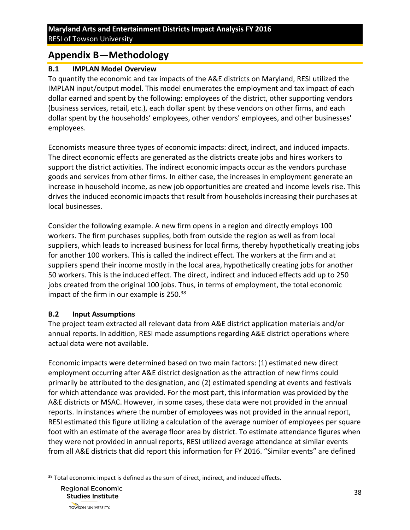# <span id="page-37-0"></span>**Appendix B—Methodology**

#### <span id="page-37-1"></span>**B.1 IMPLAN Model Overview**

To quantify the economic and tax impacts of the A&E districts on Maryland, RESI utilized the IMPLAN input/output model. This model enumerates the employment and tax impact of each dollar earned and spent by the following: employees of the district, other supporting vendors (business services, retail, etc.), each dollar spent by these vendors on other firms, and each dollar spent by the households' employees, other vendors' employees, and other businesses' employees.

Economists measure three types of economic impacts: direct, indirect, and induced impacts. The direct economic effects are generated as the districts create jobs and hires workers to support the district activities. The indirect economic impacts occur as the vendors purchase goods and services from other firms. In either case, the increases in employment generate an increase in household income, as new job opportunities are created and income levels rise. This drives the induced economic impacts that result from households increasing their purchases at local businesses.

Consider the following example. A new firm opens in a region and directly employs 100 workers. The firm purchases supplies, both from outside the region as well as from local suppliers, which leads to increased business for local firms, thereby hypothetically creating jobs for another 100 workers. This is called the indirect effect. The workers at the firm and at suppliers spend their income mostly in the local area, hypothetically creating jobs for another 50 workers. This is the induced effect. The direct, indirect and induced effects add up to 250 jobs created from the original 100 jobs. Thus, in terms of employment, the total economic impact of the firm in our example is 250.<sup>38</sup>

### <span id="page-37-2"></span>**B.2 Input Assumptions**

The project team extracted all relevant data from A&E district application materials and/or annual reports. In addition, RESI made assumptions regarding A&E district operations where actual data were not available.

Economic impacts were determined based on two main factors: (1) estimated new direct employment occurring after A&E district designation as the attraction of new firms could primarily be attributed to the designation, and (2) estimated spending at events and festivals for which attendance was provided. For the most part, this information was provided by the A&E districts or MSAC. However, in some cases, these data were not provided in the annual reports. In instances where the number of employees was not provided in the annual report, RESI estimated this figure utilizing a calculation of the average number of employees per square foot with an estimate of the average floor area by district. To estimate attendance figures when they were not provided in annual reports, RESI utilized average attendance at similar events from all A&E districts that did report this information for FY 2016. "Similar events" are defined

 $\overline{\phantom{a}}$  $38$  Total economic impact is defined as the sum of direct, indirect, and induced effects.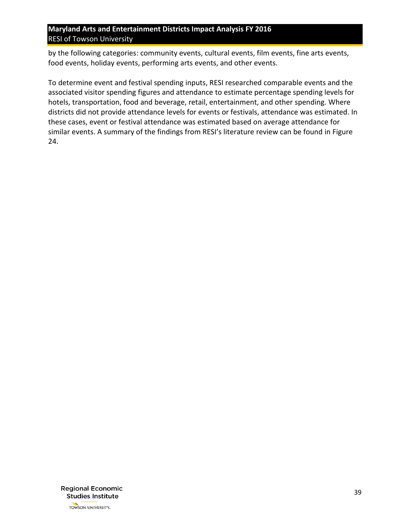by the following categories: community events, cultural events, film events, fine arts events, food events, holiday events, performing arts events, and other events.

To determine event and festival spending inputs, RESI researched comparable events and the associated visitor spending figures and attendance to estimate percentage spending levels for hotels, transportation, food and beverage, retail, entertainment, and other spending. Where districts did not provide attendance levels for events or festivals, attendance was estimated. In these cases, event or festival attendance was estimated based on average attendance for similar events. A summary of the findings from RESI's literature review can be found in [Figure](#page-39-0)  [24.](#page-39-0)

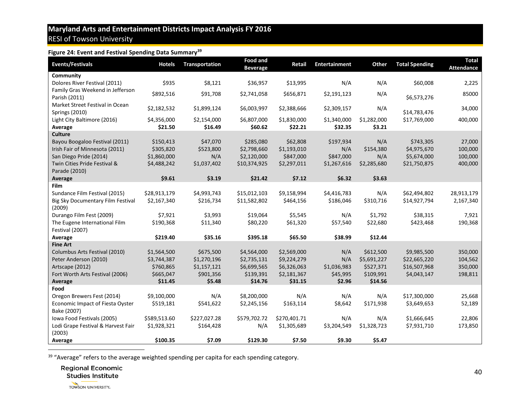#### **Figure 24: Event and Festival Spending Data Summary<sup>39</sup>**

<span id="page-39-0"></span>

| <b>Events/Festivals</b>            | <b>Hotels</b> | <b>Transportation</b> | <b>Food and</b><br><b>Beverage</b> | <b>Retail</b> | <b>Entertainment</b> | Other       | <b>Total Spending</b> | <b>Total</b><br><b>Attendance</b> |
|------------------------------------|---------------|-----------------------|------------------------------------|---------------|----------------------|-------------|-----------------------|-----------------------------------|
| Community                          |               |                       |                                    |               |                      |             |                       |                                   |
| Dolores River Festival (2011)      | \$935         | \$8,121               | \$36,957                           | \$13,995      | N/A                  | N/A         | \$60,008              | 2,225                             |
| Family Gras Weekend in Jefferson   | \$892,516     | \$91,708              | \$2,741,058                        | \$656,871     | \$2,191,123          | N/A         |                       | 85000                             |
| Parish (2011)                      |               |                       |                                    |               |                      |             | \$6,573,276           |                                   |
| Market Street Festival in Ocean    | \$2,182,532   | \$1,899,124           | \$6,003,997                        | \$2,388,666   | \$2,309,157          | N/A         |                       | 34,000                            |
| <b>Springs (2010)</b>              |               |                       |                                    |               |                      |             | \$14,783,476          |                                   |
| Light City Baltimore (2016)        | \$4,356,000   | \$2,154,000           | \$6,807,000                        | \$1,830,000   | \$1,340,000          | \$1,282,000 | \$17,769,000          | 400,000                           |
| Average                            | \$21.50       | \$16.49               | \$60.62                            | \$22.21       | \$32.35              | \$3.21      |                       |                                   |
| <b>Culture</b>                     |               |                       |                                    |               |                      |             |                       |                                   |
| Bayou Boogaloo Festival (2011)     | \$150,413     | \$47,070              | \$285,080                          | \$62,808      | \$197,934            | N/A         | \$743,305             | 27,000                            |
| Irish Fair of Minnesota (2011)     | \$305,820     | \$523,800             | \$2,798,660                        | \$1,193,010   | N/A                  | \$154,380   | \$4,975,670           | 100,000                           |
| San Diego Pride (2014)             | \$1,860,000   | N/A                   | \$2,120,000                        | \$847,000     | \$847,000            | N/A         | \$5,674,000           | 100,000                           |
| Twin Cities Pride Festival &       | \$4,488,242   | \$1,037,402           | \$10,374,925                       | \$2,297,011   | \$1,267,616          | \$2,285,680 | \$21,750,875          | 400,000                           |
| Parade (2010)                      |               |                       |                                    |               |                      |             |                       |                                   |
| Average                            | \$9.61        | \$3.19                | \$21.42                            | \$7.12        | \$6.32               | \$3.63      |                       |                                   |
| Film                               |               |                       |                                    |               |                      |             |                       |                                   |
| Sundance Film Festival (2015)      | \$28,913,179  | \$4,993,743           | \$15,012,103                       | \$9,158,994   | \$4,416,783          | N/A         | \$62,494,802          | 28,913,179                        |
| Big Sky Documentary Film Festival  | \$2,167,340   | \$216,734             | \$11,582,802                       | \$464,156     | \$186,046            | \$310,716   | \$14,927,794          | 2,167,340                         |
| (2009)                             |               |                       |                                    |               |                      |             |                       |                                   |
| Durango Film Fest (2009)           | \$7,921       | \$3,993               | \$19,064                           | \$5,545       | N/A                  | \$1,792     | \$38,315              | 7,921                             |
| The Eugene International Film      | \$190,368     | \$11,340              | \$80,220                           | \$61,320      | \$57,540             | \$22,680    | \$423,468             | 190,368                           |
| Festival (2007)                    |               |                       |                                    |               |                      |             |                       |                                   |
| Average                            | \$219.40      | \$35.16               | \$395.18                           | \$65.50       | \$38.99              | \$12.44     |                       |                                   |
| <b>Fine Art</b>                    |               |                       |                                    |               |                      |             |                       |                                   |
| Columbus Arts Festival (2010)      | \$1,564,500   | \$675,500             | \$4,564,000                        | \$2,569,000   | N/A                  | \$612,500   | \$9,985,500           | 350,000                           |
| Peter Anderson (2010)              | \$3,744,387   | \$1,270,196           | \$2,735,131                        | \$9,224,279   | N/A                  | \$5,691,227 | \$22,665,220          | 104,562                           |
| Artscape (2012)                    | \$760,865     | \$1,157,121           | \$6,699,565                        | \$6,326,063   | \$1,036,983          | \$527,371   | \$16,507,968          | 350,000                           |
| Fort Worth Arts Festival (2006)    | \$665,047     | \$901,356             | \$139,391                          | \$2,181,367   | \$45,995             | \$109,991   | \$4,043,147           | 198,811                           |
| Average                            | \$11.45       | \$5.48                | \$14.76                            | \$31.15       | \$2.96               | \$14.56     |                       |                                   |
| Food                               |               |                       |                                    |               |                      |             |                       |                                   |
| Oregon Brewers Fest (2014)         | \$9,100,000   | N/A                   | \$8,200,000                        | N/A           | N/A                  | N/A         | \$17,300,000          | 25,668                            |
| Economic Impact of Fiesta Oyster   | \$519,181     | \$541,622             | \$2,245,156                        | \$163,114     | \$8,642              | \$171,938   | \$3,649,653           | 52,189                            |
| Bake (2007)                        |               |                       |                                    |               |                      |             |                       |                                   |
| Iowa Food Festivals (2005)         | \$589,513.60  | \$227,027.28          | \$579,702.72                       | \$270,401.71  | N/A                  | N/A         | \$1,666,645           | 22,806                            |
| Lodi Grape Festival & Harvest Fair | \$1,928,321   | \$164,428             | N/A                                | \$1,305,689   | \$3,204,549          | \$1,328,723 | \$7,931,710           | 173,850                           |
| (2003)                             |               |                       |                                    |               |                      |             |                       |                                   |
| Average                            | \$100.35      | \$7.09                | \$129.30                           | \$7.50        | \$9.30               | \$5.47      |                       |                                   |
|                                    |               |                       |                                    |               |                      |             |                       |                                   |

<sup>39</sup> "Average" refers to the average weighted spending per capita for each spending category.

**Regional Economic** 

**Studies Institute**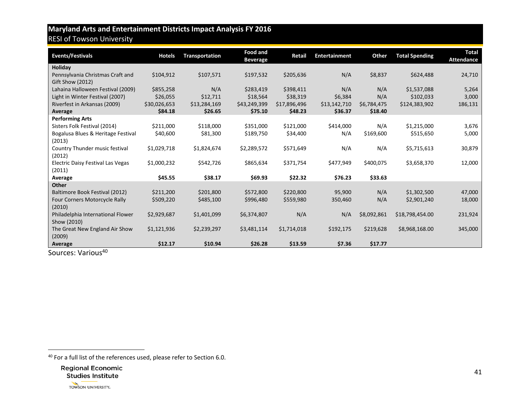| <b>Events/Festivals</b>              | <b>Hotels</b> | <b>Transportation</b> | <b>Food and</b><br><b>Beverage</b> | Retail       | <b>Entertainment</b> | Other       | <b>Total Spending</b> | <b>Total</b><br><b>Attendance</b> |
|--------------------------------------|---------------|-----------------------|------------------------------------|--------------|----------------------|-------------|-----------------------|-----------------------------------|
| Holiday                              |               |                       |                                    |              |                      |             |                       |                                   |
| Pennsylvania Christmas Craft and     | \$104,912     | \$107,571             | \$197,532                          | \$205,636    | N/A                  | \$8,837     | \$624,488             | 24,710                            |
| Gift Show (2012)                     |               |                       |                                    |              |                      |             |                       |                                   |
| Lahaina Halloween Festival (2009)    | \$855,258     | N/A                   | \$283,419                          | \$398,411    | N/A                  | N/A         | \$1,537,088           | 5,264                             |
| Light in Winter Festival (2007)      | \$26,055      | \$12,711              | \$18,564                           | \$38,319     | \$6,384              | N/A         | \$102,033             | 3,000                             |
| Riverfest in Arkansas (2009)         | \$30,026,653  | \$13,284,169          | \$43,249,399                       | \$17,896,496 | \$13,142,710         | \$6,784,475 | \$124,383,902         | 186,131                           |
| Average                              | \$84.18       | \$26.65               | \$75.10                            | \$48.23      | \$36.37              | \$18.40     |                       |                                   |
| <b>Performing Arts</b>               |               |                       |                                    |              |                      |             |                       |                                   |
| Sisters Folk Festival (2014)         | \$211,000     | \$118,000             | \$351,000                          | \$121,000    | \$414,000            | N/A         | \$1,215,000           | 3,676                             |
| Bogalusa Blues & Heritage Festival   | \$40,600      | \$81,300              | \$189,750                          | \$34,400     | N/A                  | \$169,600   | \$515,650             | 5,000                             |
| (2013)                               |               |                       |                                    |              |                      |             |                       |                                   |
| Country Thunder music festival       | \$1,029,718   | \$1,824,674           | \$2,289,572                        | \$571,649    | N/A                  | N/A         | \$5,715,613           | 30,879                            |
| (2012)                               |               |                       |                                    |              |                      |             |                       |                                   |
| Electric Daisy Festival Las Vegas    | \$1,000,232   | \$542,726             | \$865,634                          | \$371,754    | \$477,949            | \$400,075   | \$3,658,370           | 12,000                            |
| (2011)                               |               |                       |                                    |              |                      |             |                       |                                   |
| Average                              | \$45.55       | \$38.17               | \$69.93                            | \$22.32      | \$76.23              | \$33.63     |                       |                                   |
| Other                                |               |                       |                                    |              |                      |             |                       |                                   |
| Baltimore Book Festival (2012)       | \$211,200     | \$201,800             | \$572,800                          | \$220,800    | 95,900               | N/A         | \$1,302,500           | 47,000                            |
| <b>Four Corners Motorcycle Rally</b> | \$509,220     | \$485,100             | \$996,480                          | \$559,980    | 350,460              | N/A         | \$2,901,240           | 18,000                            |
| (2010)                               |               |                       |                                    |              |                      |             |                       |                                   |
| Philadelphia International Flower    | \$2,929,687   | \$1,401,099           | \$6,374,807                        | N/A          | N/A                  | \$8,092,861 | \$18,798,454.00       | 231,924                           |
| Show (2010)                          |               |                       |                                    |              |                      |             |                       |                                   |
| The Great New England Air Show       | \$1,121,936   | \$2,239,297           | \$3,481,114                        | \$1,714,018  | \$192,175            | \$219,628   | \$8,968,168.00        | 345,000                           |
| (2009)                               |               |                       |                                    |              |                      |             |                       |                                   |
| Average<br>$\sim$                    | \$12.17       | \$10.94               | \$26.28                            | \$13.59      | \$7.36               | \$17.77     |                       |                                   |

Sources: Various<sup>40</sup>

 $40$  For a full list of the references used, please refer to Section 6.0.



 $\overline{\phantom{a}}$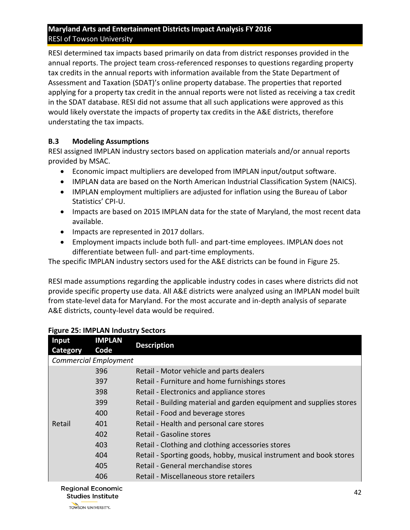RESI determined tax impacts based primarily on data from district responses provided in the annual reports. The project team cross-referenced responses to questions regarding property tax credits in the annual reports with information available from the State Department of Assessment and Taxation (SDAT)'s online property database. The properties that reported applying for a property tax credit in the annual reports were not listed as receiving a tax credit in the SDAT database. RESI did not assume that all such applications were approved as this would likely overstate the impacts of property tax credits in the A&E districts, therefore understating the tax impacts.

#### <span id="page-41-0"></span>**B.3 Modeling Assumptions**

RESI assigned IMPLAN industry sectors based on application materials and/or annual reports provided by MSAC.

- Economic impact multipliers are developed from IMPLAN input/output software.
- IMPLAN data are based on the North American Industrial Classification System (NAICS).
- IMPLAN employment multipliers are adjusted for inflation using the Bureau of Labor Statistics' CPI-U.
- Impacts are based on 2015 IMPLAN data for the state of Maryland, the most recent data available.
- Impacts are represented in 2017 dollars.
- Employment impacts include both full- and part-time employees. IMPLAN does not differentiate between full- and part-time employments.

The specific IMPLAN industry sectors used for the A&E districts can be found in [Figure 25.](#page-41-1)

RESI made assumptions regarding the applicable industry codes in cases where districts did not provide specific property use data. All A&E districts were analyzed using an IMPLAN model built from state-level data for Maryland. For the most accurate and in-depth analysis of separate A&E districts, county-level data would be required.

| Input<br>Category | <b>IMPLAN</b><br>Code        | <b>Description</b>                                                  |
|-------------------|------------------------------|---------------------------------------------------------------------|
|                   | <b>Commercial Employment</b> |                                                                     |
|                   | 396                          | Retail - Motor vehicle and parts dealers                            |
|                   | 397                          | Retail - Furniture and home furnishings stores                      |
|                   | 398                          | Retail - Electronics and appliance stores                           |
|                   | 399                          | Retail - Building material and garden equipment and supplies stores |
|                   | 400                          | Retail - Food and beverage stores                                   |
| Retail            | 401                          | Retail - Health and personal care stores                            |
|                   | 402                          | Retail - Gasoline stores                                            |
|                   | 403                          | Retail - Clothing and clothing accessories stores                   |
|                   | 404                          | Retail - Sporting goods, hobby, musical instrument and book stores  |
|                   | 405                          | Retail - General merchandise stores                                 |
|                   | 406                          | Retail - Miscellaneous store retailers                              |
|                   |                              |                                                                     |

#### <span id="page-41-1"></span>**Figure 25: IMPLAN Industry Sectors**

**Regional Economic Studies Institute**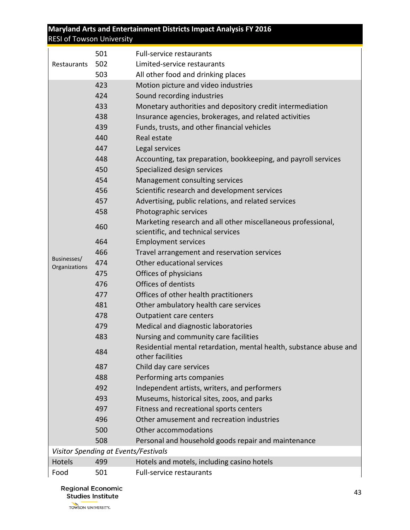|               | 501                                  | <b>Full-service restaurants</b>                                                        |
|---------------|--------------------------------------|----------------------------------------------------------------------------------------|
| Restaurants   | 502                                  | Limited-service restaurants                                                            |
|               | 503                                  | All other food and drinking places                                                     |
|               | 423                                  | Motion picture and video industries                                                    |
|               | 424                                  | Sound recording industries                                                             |
|               | 433                                  | Monetary authorities and depository credit intermediation                              |
|               | 438                                  | Insurance agencies, brokerages, and related activities                                 |
|               | 439                                  | Funds, trusts, and other financial vehicles                                            |
|               | 440                                  | Real estate                                                                            |
|               | 447                                  | Legal services                                                                         |
|               | 448                                  | Accounting, tax preparation, bookkeeping, and payroll services                         |
|               | 450                                  | Specialized design services                                                            |
|               | 454                                  | Management consulting services                                                         |
|               | 456                                  | Scientific research and development services                                           |
|               | 457                                  | Advertising, public relations, and related services                                    |
|               | 458                                  | Photographic services                                                                  |
|               | 460                                  | Marketing research and all other miscellaneous professional,                           |
|               |                                      | scientific, and technical services                                                     |
|               | 464                                  | <b>Employment services</b>                                                             |
| Businesses/   | 466                                  | Travel arrangement and reservation services                                            |
| Organizations | 474                                  | Other educational services                                                             |
|               | 475                                  | Offices of physicians                                                                  |
|               | 476                                  | Offices of dentists                                                                    |
|               | 477                                  | Offices of other health practitioners                                                  |
|               | 481                                  | Other ambulatory health care services                                                  |
|               | 478                                  | <b>Outpatient care centers</b>                                                         |
|               | 479                                  | Medical and diagnostic laboratories                                                    |
|               | 483                                  | Nursing and community care facilities                                                  |
|               | 484                                  | Residential mental retardation, mental health, substance abuse and<br>other facilities |
|               | 487                                  | Child day care services                                                                |
|               | 488                                  | Performing arts companies                                                              |
|               | 492                                  | Independent artists, writers, and performers                                           |
|               | 493                                  | Museums, historical sites, zoos, and parks                                             |
|               | 497                                  | Fitness and recreational sports centers                                                |
|               | 496                                  | Other amusement and recreation industries                                              |
|               | 500                                  | Other accommodations                                                                   |
|               | 508                                  | Personal and household goods repair and maintenance                                    |
|               | Visitor Spending at Events/Festivals |                                                                                        |
| Hotels        | 499                                  | Hotels and motels, including casino hotels                                             |
| Food          | 501                                  | <b>Full-service restaurants</b>                                                        |

**Regional Economic** Studies Institute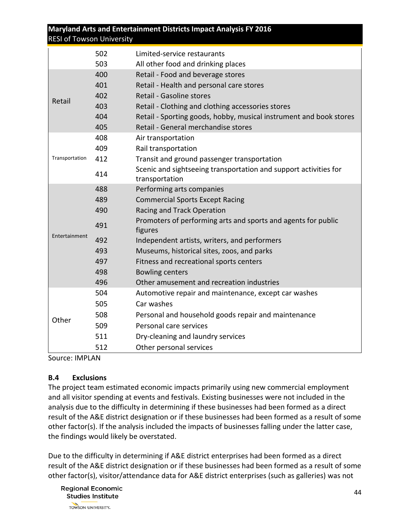| <b>RESI of Towson University</b> |     | Maryland Arts and Entertainment Districts Impact Analysis FY 2016                  |
|----------------------------------|-----|------------------------------------------------------------------------------------|
|                                  | 502 | Limited-service restaurants                                                        |
|                                  | 503 | All other food and drinking places                                                 |
|                                  | 400 | Retail - Food and beverage stores                                                  |
|                                  | 401 | Retail - Health and personal care stores                                           |
|                                  | 402 | Retail - Gasoline stores                                                           |
| Retail                           | 403 | Retail - Clothing and clothing accessories stores                                  |
|                                  | 404 | Retail - Sporting goods, hobby, musical instrument and book stores                 |
|                                  | 405 | Retail - General merchandise stores                                                |
|                                  | 408 | Air transportation                                                                 |
|                                  | 409 | Rail transportation                                                                |
| Transportation                   | 412 | Transit and ground passenger transportation                                        |
|                                  | 414 | Scenic and sightseeing transportation and support activities for<br>transportation |
|                                  | 488 | Performing arts companies                                                          |
|                                  | 489 | <b>Commercial Sports Except Racing</b>                                             |
|                                  | 490 | Racing and Track Operation                                                         |
|                                  | 491 | Promoters of performing arts and sports and agents for public<br>figures           |
| Entertainment                    | 492 | Independent artists, writers, and performers                                       |
|                                  | 493 | Museums, historical sites, zoos, and parks                                         |
|                                  | 497 | Fitness and recreational sports centers                                            |
|                                  | 498 | <b>Bowling centers</b>                                                             |
|                                  | 496 | Other amusement and recreation industries                                          |
|                                  | 504 | Automotive repair and maintenance, except car washes                               |
|                                  | 505 | Car washes                                                                         |
| Other                            | 508 | Personal and household goods repair and maintenance                                |
|                                  | 509 | Personal care services                                                             |
|                                  | 511 | Dry-cleaning and laundry services                                                  |
|                                  | 512 | Other personal services                                                            |

Source: IMPLAN

#### <span id="page-43-0"></span>**B.4 Exclusions**

The project team estimated economic impacts primarily using new commercial employment and all visitor spending at events and festivals. Existing businesses were not included in the analysis due to the difficulty in determining if these businesses had been formed as a direct result of the A&E district designation or if these businesses had been formed as a result of some other factor(s). If the analysis included the impacts of businesses falling under the latter case, the findings would likely be overstated.

Due to the difficulty in determining if A&E district enterprises had been formed as a direct result of the A&E district designation or if these businesses had been formed as a result of some other factor(s), visitor/attendance data for A&E district enterprises (such as galleries) was not

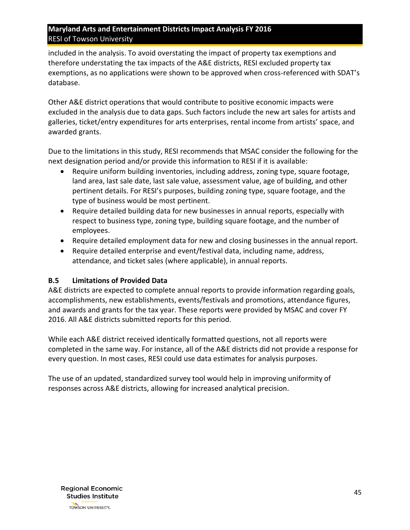included in the analysis. To avoid overstating the impact of property tax exemptions and therefore understating the tax impacts of the A&E districts, RESI excluded property tax exemptions, as no applications were shown to be approved when cross-referenced with SDAT's database.

Other A&E district operations that would contribute to positive economic impacts were excluded in the analysis due to data gaps. Such factors include the new art sales for artists and galleries, ticket/entry expenditures for arts enterprises, rental income from artists' space, and awarded grants.

Due to the limitations in this study, RESI recommends that MSAC consider the following for the next designation period and/or provide this information to RESI if it is available:

- Require uniform building inventories, including address, zoning type, square footage, land area, last sale date, last sale value, assessment value, age of building, and other pertinent details. For RESI's purposes, building zoning type, square footage, and the type of business would be most pertinent.
- Require detailed building data for new businesses in annual reports, especially with respect to business type, zoning type, building square footage, and the number of employees.
- Require detailed employment data for new and closing businesses in the annual report.
- Require detailed enterprise and event/festival data, including name, address, attendance, and ticket sales (where applicable), in annual reports.

#### <span id="page-44-0"></span>**B.5 Limitations of Provided Data**

A&E districts are expected to complete annual reports to provide information regarding goals, accomplishments, new establishments, events/festivals and promotions, attendance figures, and awards and grants for the tax year. These reports were provided by MSAC and cover FY 2016. All A&E districts submitted reports for this period.

While each A&E district received identically formatted questions, not all reports were completed in the same way. For instance, all of the A&E districts did not provide a response for every question. In most cases, RESI could use data estimates for analysis purposes.

The use of an updated, standardized survey tool would help in improving uniformity of responses across A&E districts, allowing for increased analytical precision.

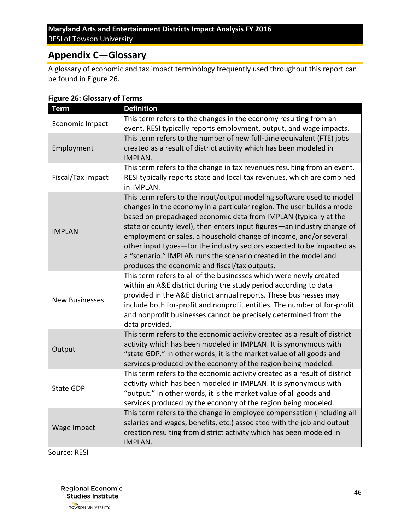# <span id="page-45-0"></span>**Appendix C—Glossary**

A glossary of economic and tax impact terminology frequently used throughout this report can be found in [Figure 26.](#page-45-1)

| <b>Term</b>           | <b>Definition</b>                                                                                                                                                                                                                                                                                                                                                                                                                                                                                                                                               |
|-----------------------|-----------------------------------------------------------------------------------------------------------------------------------------------------------------------------------------------------------------------------------------------------------------------------------------------------------------------------------------------------------------------------------------------------------------------------------------------------------------------------------------------------------------------------------------------------------------|
| Economic Impact       | This term refers to the changes in the economy resulting from an<br>event. RESI typically reports employment, output, and wage impacts.                                                                                                                                                                                                                                                                                                                                                                                                                         |
| Employment            | This term refers to the number of new full-time equivalent (FTE) jobs<br>created as a result of district activity which has been modeled in<br>IMPLAN.                                                                                                                                                                                                                                                                                                                                                                                                          |
| Fiscal/Tax Impact     | This term refers to the change in tax revenues resulting from an event.<br>RESI typically reports state and local tax revenues, which are combined<br>in IMPLAN.                                                                                                                                                                                                                                                                                                                                                                                                |
| <b>IMPLAN</b>         | This term refers to the input/output modeling software used to model<br>changes in the economy in a particular region. The user builds a model<br>based on prepackaged economic data from IMPLAN (typically at the<br>state or county level), then enters input figures-an industry change of<br>employment or sales, a household change of income, and/or several<br>other input types-for the industry sectors expected to be impacted as<br>a "scenario." IMPLAN runs the scenario created in the model and<br>produces the economic and fiscal/tax outputs. |
| <b>New Businesses</b> | This term refers to all of the businesses which were newly created<br>within an A&E district during the study period according to data<br>provided in the A&E district annual reports. These businesses may<br>include both for-profit and nonprofit entities. The number of for-profit<br>and nonprofit businesses cannot be precisely determined from the<br>data provided.                                                                                                                                                                                   |
| Output                | This term refers to the economic activity created as a result of district<br>activity which has been modeled in IMPLAN. It is synonymous with<br>"state GDP." In other words, it is the market value of all goods and<br>services produced by the economy of the region being modeled.                                                                                                                                                                                                                                                                          |
| <b>State GDP</b>      | This term refers to the economic activity created as a result of district<br>activity which has been modeled in IMPLAN. It is synonymous with<br>"output." In other words, it is the market value of all goods and<br>services produced by the economy of the region being modeled.                                                                                                                                                                                                                                                                             |
| Wage Impact           | This term refers to the change in employee compensation (including all<br>salaries and wages, benefits, etc.) associated with the job and output<br>creation resulting from district activity which has been modeled in<br>IMPLAN.                                                                                                                                                                                                                                                                                                                              |

#### <span id="page-45-1"></span>**Figure 26: Glossary of Terms**

Source: RESI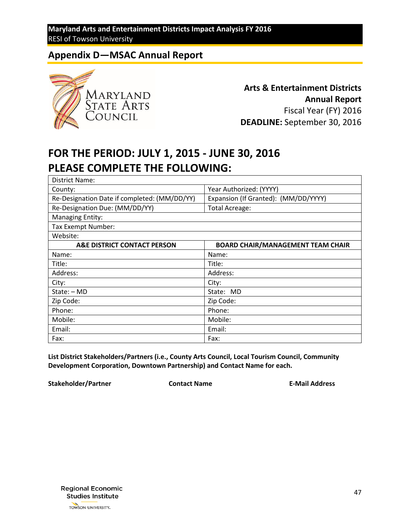# <span id="page-46-0"></span>**Appendix D—MSAC Annual Report**



**Arts & Entertainment Districts Annual Report** Fiscal Year (FY) 2016 **DEADLINE:** September 30, 2016

# **FOR THE PERIOD: JULY 1, 2015 - JUNE 30, 2016 PLEASE COMPLETE THE FOLLOWING:**

| District Name:                               |                                          |
|----------------------------------------------|------------------------------------------|
| County:                                      | Year Authorized: (YYYY)                  |
| Re-Designation Date if completed: (MM/DD/YY) | Expansion (If Granted): (MM/DD/YYYY)     |
| Re-Designation Due: (MM/DD/YY)               | <b>Total Acreage:</b>                    |
| <b>Managing Entity:</b>                      |                                          |
| Tax Exempt Number:                           |                                          |
| Website:                                     |                                          |
| A&E DISTRICT CONTACT PERSON                  | <b>BOARD CHAIR/MANAGEMENT TEAM CHAIR</b> |
| Name:                                        | Name:                                    |
| Title:                                       | Title:                                   |
| Address:                                     | Address:                                 |
| City:                                        | City:                                    |
| State: - MD                                  | State: MD                                |
| Zip Code:                                    | Zip Code:                                |
| Phone:                                       | Phone:                                   |
| Mobile:                                      | Mobile:                                  |
| Email:                                       | Email:                                   |
| Fax:                                         | Fax:                                     |

**List District Stakeholders/Partners (i.e., County Arts Council, Local Tourism Council, Community Development Corporation, Downtown Partnership) and Contact Name for each.**

**Stakeholder/Partner Contact Name E-Mail Address**

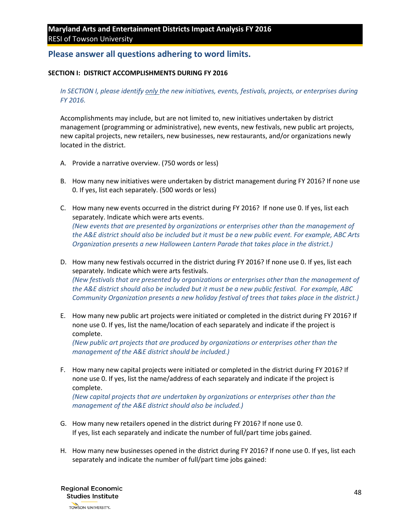#### **Please answer all questions adhering to word limits.**

#### **SECTION I: DISTRICT ACCOMPLISHMENTS DURING FY 2016**

#### *In SECTION I, please identify only the new initiatives, events, festivals, projects, or enterprises during FY 2016.*

Accomplishments may include, but are not limited to, new initiatives undertaken by district management (programming or administrative), new events, new festivals, new public art projects, new capital projects, new retailers, new businesses, new restaurants, and/or organizations newly located in the district.

- A. Provide a narrative overview. (750 words or less)
- B. How many new initiatives were undertaken by district management during FY 2016? If none use 0. If yes, list each separately. (500 words or less)
- C. How many new events occurred in the district during FY 2016? If none use 0. If yes, list each separately. Indicate which were arts events. *(New events that are presented by organizations or enterprises other than the management of the A&E district should also be included but it must be a new public event. For example, ABC Arts Organization presents a new Halloween Lantern Parade that takes place in the district.)*
- D. How many new festivals occurred in the district during FY 2016? If none use 0. If yes, list each separately. Indicate which were arts festivals. *(New festivals that are presented by organizations or enterprises other than the management of the A&E district should also be included but it must be a new public festival. For example, ABC Community Organization presents a new holiday festival of trees that takes place in the district.)*
- E. How many new public art projects were initiated or completed in the district during FY 2016? If none use 0. If yes, list the name/location of each separately and indicate if the project is complete.

*(New public art projects that are produced by organizations or enterprises other than the management of the A&E district should be included.)*

F. How many new capital projects were initiated or completed in the district during FY 2016? If none use 0. If yes, list the name/address of each separately and indicate if the project is complete.

*(New capital projects that are undertaken by organizations or enterprises other than the management of the A&E district should also be included.)*

- G. How many new retailers opened in the district during FY 2016? If none use 0. If yes, list each separately and indicate the number of full/part time jobs gained.
- H. How many new businesses opened in the district during FY 2016? If none use 0. If yes, list each separately and indicate the number of full/part time jobs gained:

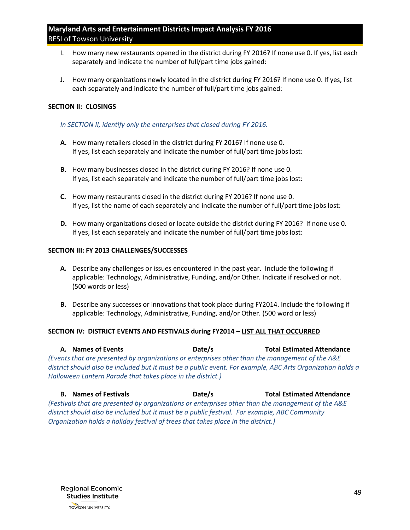- I. How many new restaurants opened in the district during FY 2016? If none use 0. If yes, list each separately and indicate the number of full/part time jobs gained:
- J. How many organizations newly located in the district during FY 2016? If none use 0. If yes, list each separately and indicate the number of full/part time jobs gained:

#### **SECTION II: CLOSINGS**

#### *In SECTION II, identify only the enterprises that closed during FY 2016.*

- **A.** How many retailers closed in the district during FY 2016? If none use 0. If yes, list each separately and indicate the number of full/part time jobs lost:
- **B.** How many businesses closed in the district during FY 2016? If none use 0. If yes, list each separately and indicate the number of full/part time jobs lost:
- **C.** How many restaurants closed in the district during FY 2016? If none use 0. If yes, list the name of each separately and indicate the number of full/part time jobs lost:
- **D.** How many organizations closed or locate outside the district during FY 2016? If none use 0. If yes, list each separately and indicate the number of full/part time jobs lost:

#### **SECTION III: FY 2013 CHALLENGES/SUCCESSES**

- **A.** Describe any challenges or issues encountered in the past year. Include the following if applicable: Technology, Administrative, Funding, and/or Other. Indicate if resolved or not. (500 words or less)
- **B.** Describe any successes or innovations that took place during FY2014. Include the following if applicable: Technology, Administrative, Funding, and/or Other. (500 word or less)

#### **SECTION IV: DISTRICT EVENTS AND FESTIVALS during FY2014 – LIST ALL THAT OCCURRED**

**A. Names of Events Date/s Total Estimated Attendance** *(Events that are presented by organizations or enterprises other than the management of the A&E district should also be included but it must be a public event. For example, ABC Arts Organization holds a Halloween Lantern Parade that takes place in the district.)*

**B. Names of Festivals Date/s Total Estimated Attendance** *(Festivals that are presented by organizations or enterprises other than the management of the A&E district should also be included but it must be a public festival. For example, ABC Community Organization holds a holiday festival of trees that takes place in the district.)*

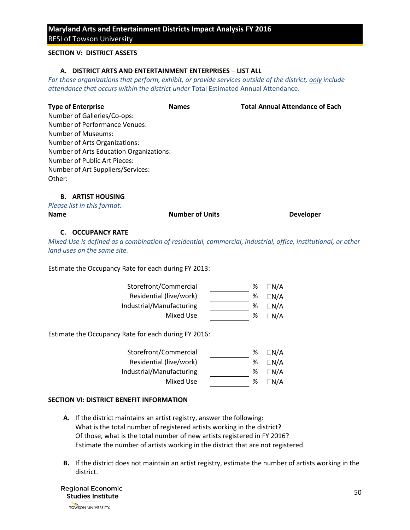#### **SECTION V: DISTRICT ASSETS**

#### **A. DISTRICT ARTS AND ENTERTAINMENT ENTERPRISES** – **LIST ALL**

*For those organizations that perform, exhibit, or provide services outside of the district, only include attendance that occurs within the district under* Total Estimated Annual Attendance*.* 

| <b>Names</b>                            | <b>Total Annual Attendance of Each</b> |
|-----------------------------------------|----------------------------------------|
|                                         |                                        |
|                                         |                                        |
|                                         |                                        |
|                                         |                                        |
| Number of Arts Education Organizations: |                                        |
|                                         |                                        |
|                                         |                                        |
|                                         |                                        |
|                                         |                                        |
|                                         |                                        |

| Please list in this format: |                        |                  |
|-----------------------------|------------------------|------------------|
| <b>Name</b>                 | <b>Number of Units</b> | <b>Developer</b> |

#### **C. OCCUPANCY RATE**

*Mixed Use is defined as a combination of residential, commercial, industrial, office, institutional, or other land uses on the same site.*

Estimate the Occupancy Rate for each during FY 2013:

| Storefront/Commercial    | % | $\Box N/A$ |
|--------------------------|---|------------|
| Residential (live/work)  | ℅ | $\Box N/A$ |
| Industrial/Manufacturing | % | $\Box N/A$ |
| Mixed Use                | ℅ | ⊟N/A       |

Estimate the Occupancy Rate for each during FY 2016:

| Storefront/Commercial    | % | $\Box N/A$ |
|--------------------------|---|------------|
| Residential (live/work)  | % | $\Box N/A$ |
| Industrial/Manufacturing | % | $\Box N/A$ |
| Mixed Use                | % | $\Box$ n/a |
|                          |   |            |

#### **SECTION VI: DISTRICT BENEFIT INFORMATION**

- **A.** If the district maintains an artist registry, answer the following: What is the total number of registered artists working in the district? Of those, what is the total number of new artists registered in FY 2016? Estimate the number of artists working in the district that are not registered.
- **B.** If the district does not maintain an artist registry, estimate the number of artists working in the district.

**Regional Economic Studies Institute** TOWSON UNIVERSITY.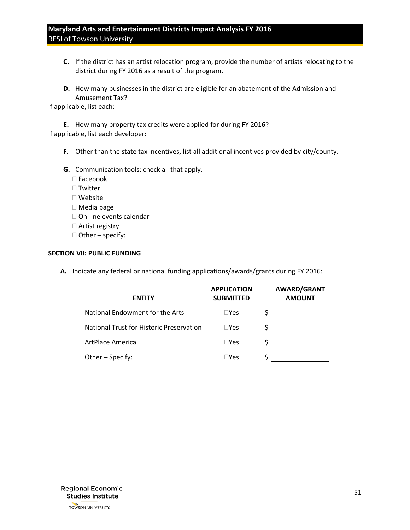- **C.** If the district has an artist relocation program, provide the number of artists relocating to the district during FY 2016 as a result of the program.
- **D.** How many businesses in the district are eligible for an abatement of the Admission and Amusement Tax?

If applicable, list each:

**E.** How many property tax credits were applied for during FY 2016? If applicable, list each developer:

- **F.** Other than the state tax incentives, list all additional incentives provided by city/county.
- **G.** Communication tools: check all that apply.
	- Facebook
	- □ Twitter
	- Website
	- Media page
	- □ On-line events calendar
	- □ Artist registry
	- $\Box$  Other specify:

#### **SECTION VII: PUBLIC FUNDING**

**A.** Indicate any federal or national funding applications/awards/grants during FY 2016:

| <b>APPLICATION</b><br><b>SUBMITTED</b> | <b>AWARD/GRANT</b><br><b>AMOUNT</b> |
|----------------------------------------|-------------------------------------|
| $\square$ Yes                          |                                     |
| $\square$ Yes                          |                                     |
| $\square$ Yes                          |                                     |
| $\square$ Yes                          |                                     |
|                                        |                                     |

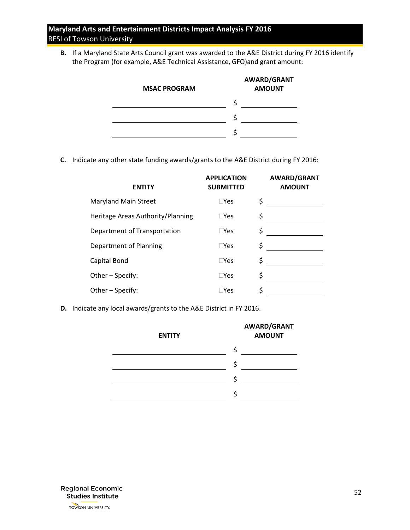**B.** If a Maryland State Arts Council grant was awarded to the A&E District during FY 2016 identify the Program (for example, A&E Technical Assistance, GFO)and grant amount:

| <b>MSAC PROGRAM</b> | <b>AWARD/GRANT</b><br><b>AMOUNT</b> |
|---------------------|-------------------------------------|
|                     |                                     |
|                     |                                     |
|                     |                                     |

**C.** Indicate any other state funding awards/grants to the A&E District during FY 2016:

| <b>ENTITY</b>                     | <b>APPLICATION</b><br><b>SUBMITTED</b> | <b>AWARD/GRANT</b><br><b>AMOUNT</b> |
|-----------------------------------|----------------------------------------|-------------------------------------|
| <b>Maryland Main Street</b>       | $\Box$ Yes                             | \$                                  |
| Heritage Areas Authority/Planning | $\square$ Yes                          | \$                                  |
| Department of Transportation      | $\square$ Yes                          | \$                                  |
| Department of Planning            | $\square$ Yes                          | \$                                  |
| Capital Bond                      | $\square$ Yes                          | \$                                  |
| Other - Specify:                  | $\square$ Yes                          | \$                                  |
| Other - Specify:                  | $\square$ Yes                          | \$                                  |
|                                   |                                        |                                     |

**D.** Indicate any local awards/grants to the A&E District in FY 2016.

| <b>ENTITY</b> | AWARD/GRANT<br><b>AMOUNT</b> |
|---------------|------------------------------|
|               |                              |
|               |                              |
|               | S                            |
|               |                              |

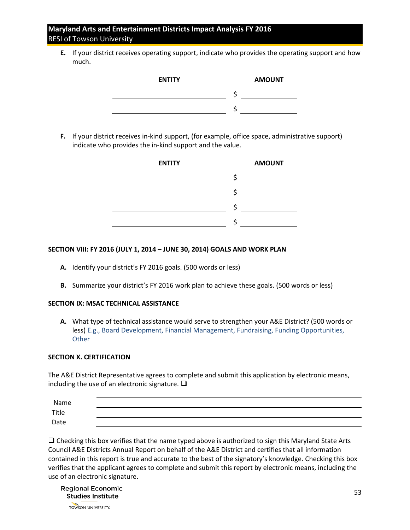**E.** If your district receives operating support, indicate who provides the operating support and how much.

| <b>ENTITY</b> | <b>AMOUNT</b> |
|---------------|---------------|
|               |               |
|               |               |

**F.** If your district receives in-kind support, (for example, office space, administrative support) indicate who provides the in-kind support and the value.



#### **SECTION VIII: FY 2016 (JULY 1, 2014 – JUNE 30, 2014) GOALS AND WORK PLAN**

- **A.** Identify your district's FY 2016 goals. (500 words or less)
- **B.** Summarize your district's FY 2016 work plan to achieve these goals. (500 words or less)

#### **SECTION IX: MSAC TECHNICAL ASSISTANCE**

**A.** What type of technical assistance would serve to strengthen your A&E District? (500 words or less) E.g., Board Development, Financial Management, Fundraising, Funding Opportunities, **Other** 

#### **SECTION X. CERTIFICATION**

The A&E District Representative agrees to complete and submit this application by electronic means, including the use of an electronic signature.  $\square$ 

| Name  |  |
|-------|--|
| Title |  |
| Date  |  |

 $\Box$  Checking this box verifies that the name typed above is authorized to sign this Maryland State Arts Council A&E Districts Annual Report on behalf of the A&E District and certifies that all information contained in this report is true and accurate to the best of the signatory's knowledge. Checking this box verifies that the applicant agrees to complete and submit this report by electronic means, including the use of an electronic signature.